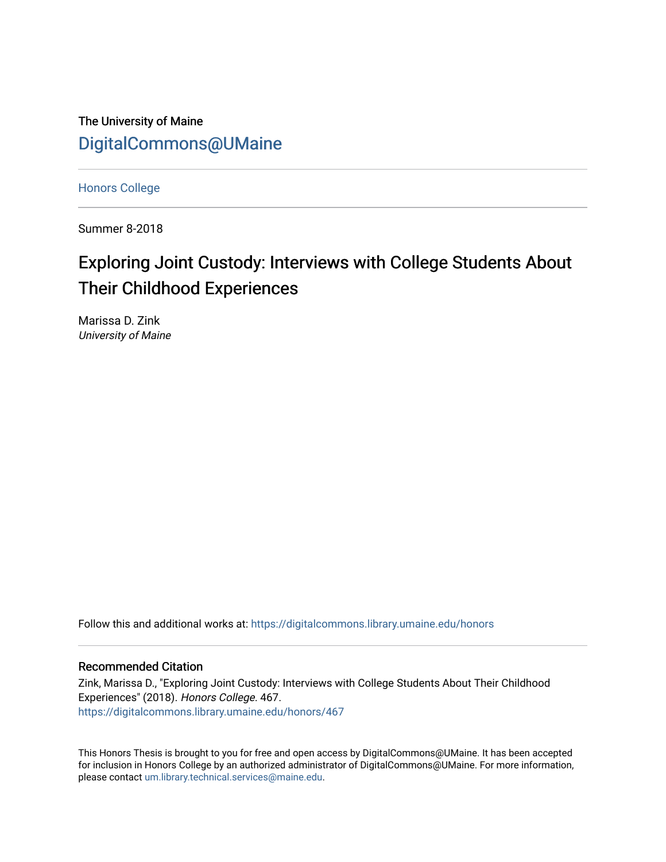The University of Maine [DigitalCommons@UMaine](https://digitalcommons.library.umaine.edu/)

[Honors College](https://digitalcommons.library.umaine.edu/honors)

Summer 8-2018

# Exploring Joint Custody: Interviews with College Students About Their Childhood Experiences

Marissa D. Zink University of Maine

Follow this and additional works at: [https://digitalcommons.library.umaine.edu/honors](https://digitalcommons.library.umaine.edu/honors?utm_source=digitalcommons.library.umaine.edu%2Fhonors%2F467&utm_medium=PDF&utm_campaign=PDFCoverPages) 

### Recommended Citation

Zink, Marissa D., "Exploring Joint Custody: Interviews with College Students About Their Childhood Experiences" (2018). Honors College. 467. [https://digitalcommons.library.umaine.edu/honors/467](https://digitalcommons.library.umaine.edu/honors/467?utm_source=digitalcommons.library.umaine.edu%2Fhonors%2F467&utm_medium=PDF&utm_campaign=PDFCoverPages) 

This Honors Thesis is brought to you for free and open access by DigitalCommons@UMaine. It has been accepted for inclusion in Honors College by an authorized administrator of DigitalCommons@UMaine. For more information, please contact [um.library.technical.services@maine.edu.](mailto:um.library.technical.services@maine.edu)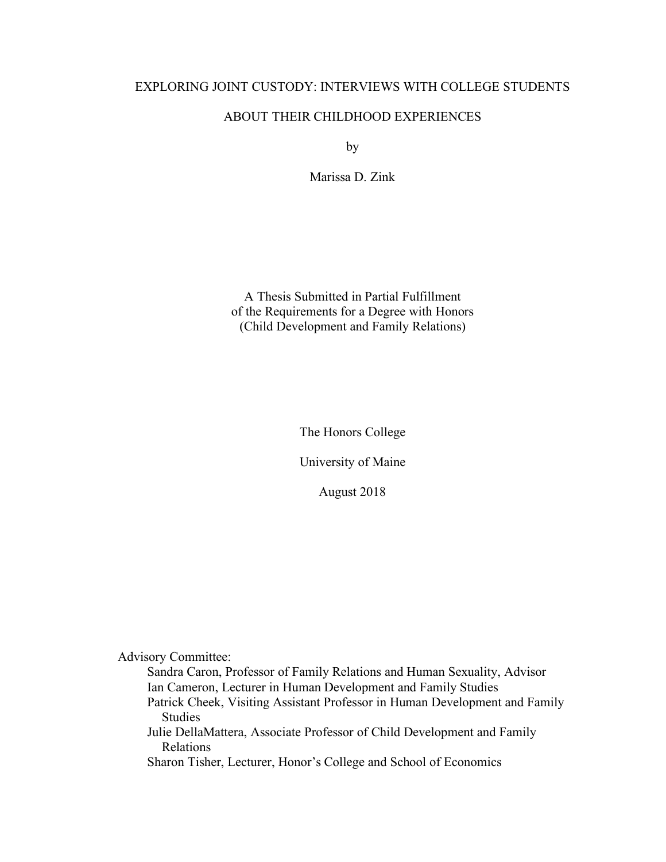### EXPLORING JOINT CUSTODY: INTERVIEWS WITH COLLEGE STUDENTS

### ABOUT THEIR CHILDHOOD EXPERIENCES

by

Marissa D. Zink

A Thesis Submitted in Partial Fulfillment of the Requirements for a Degree with Honors (Child Development and Family Relations)

The Honors College

University of Maine

August 2018

Advisory Committee:

Sandra Caron, Professor of Family Relations and Human Sexuality, Advisor Ian Cameron, Lecturer in Human Development and Family Studies

Patrick Cheek, Visiting Assistant Professor in Human Development and Family Studies

Julie DellaMattera, Associate Professor of Child Development and Family Relations

Sharon Tisher, Lecturer, Honor's College and School of Economics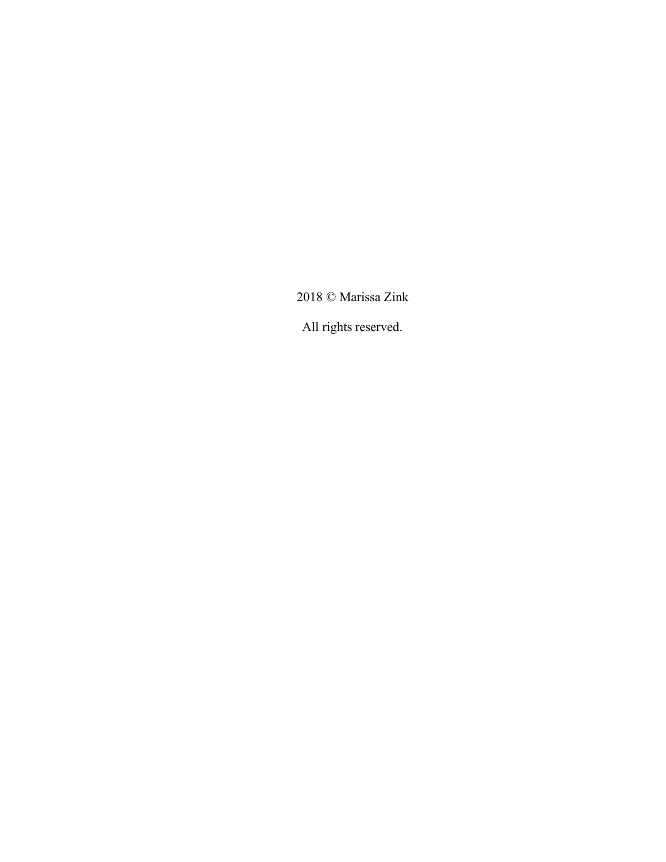2018 © Marissa Zink

All rights reserved.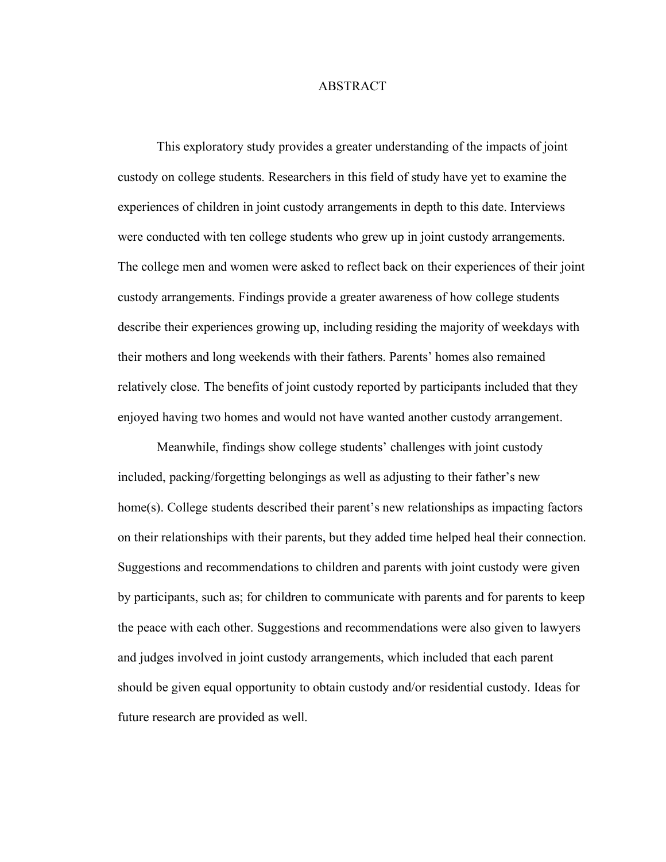### ABSTRACT

This exploratory study provides a greater understanding of the impacts of joint custody on college students. Researchers in this field of study have yet to examine the experiences of children in joint custody arrangements in depth to this date. Interviews were conducted with ten college students who grew up in joint custody arrangements. The college men and women were asked to reflect back on their experiences of their joint custody arrangements. Findings provide a greater awareness of how college students describe their experiences growing up, including residing the majority of weekdays with their mothers and long weekends with their fathers. Parents' homes also remained relatively close. The benefits of joint custody reported by participants included that they enjoyed having two homes and would not have wanted another custody arrangement.

Meanwhile, findings show college students' challenges with joint custody included, packing/forgetting belongings as well as adjusting to their father's new home(s). College students described their parent's new relationships as impacting factors on their relationships with their parents, but they added time helped heal their connection. Suggestions and recommendations to children and parents with joint custody were given by participants, such as; for children to communicate with parents and for parents to keep the peace with each other. Suggestions and recommendations were also given to lawyers and judges involved in joint custody arrangements, which included that each parent should be given equal opportunity to obtain custody and/or residential custody. Ideas for future research are provided as well.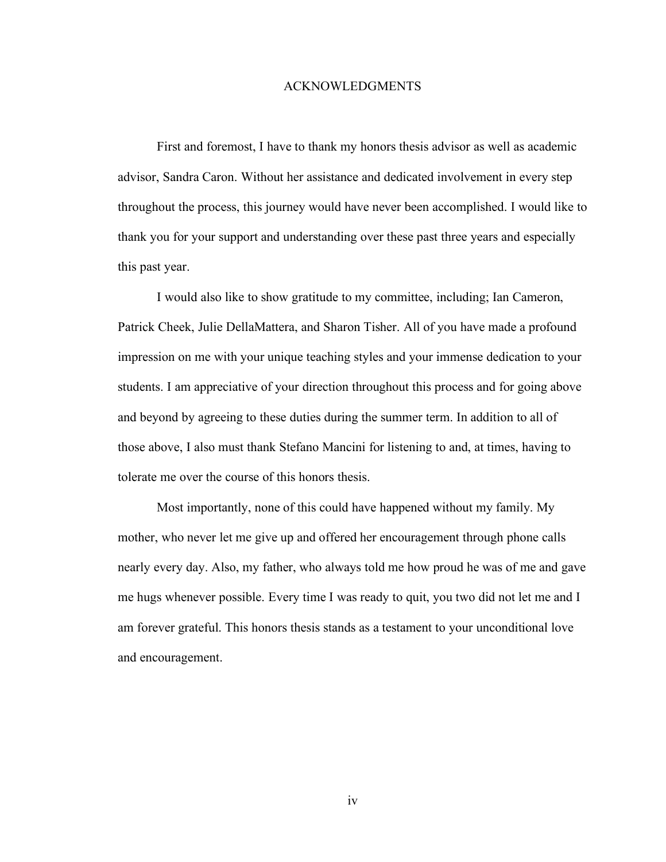### ACKNOWLEDGMENTS

First and foremost, I have to thank my honors thesis advisor as well as academic advisor, Sandra Caron. Without her assistance and dedicated involvement in every step throughout the process, this journey would have never been accomplished. I would like to thank you for your support and understanding over these past three years and especially this past year.

I would also like to show gratitude to my committee, including; Ian Cameron, Patrick Cheek, Julie DellaMattera, and Sharon Tisher. All of you have made a profound impression on me with your unique teaching styles and your immense dedication to your students. I am appreciative of your direction throughout this process and for going above and beyond by agreeing to these duties during the summer term. In addition to all of those above, I also must thank Stefano Mancini for listening to and, at times, having to tolerate me over the course of this honors thesis.

Most importantly, none of this could have happened without my family. My mother, who never let me give up and offered her encouragement through phone calls nearly every day. Also, my father, who always told me how proud he was of me and gave me hugs whenever possible. Every time I was ready to quit, you two did not let me and I am forever grateful. This honors thesis stands as a testament to your unconditional love and encouragement.

iv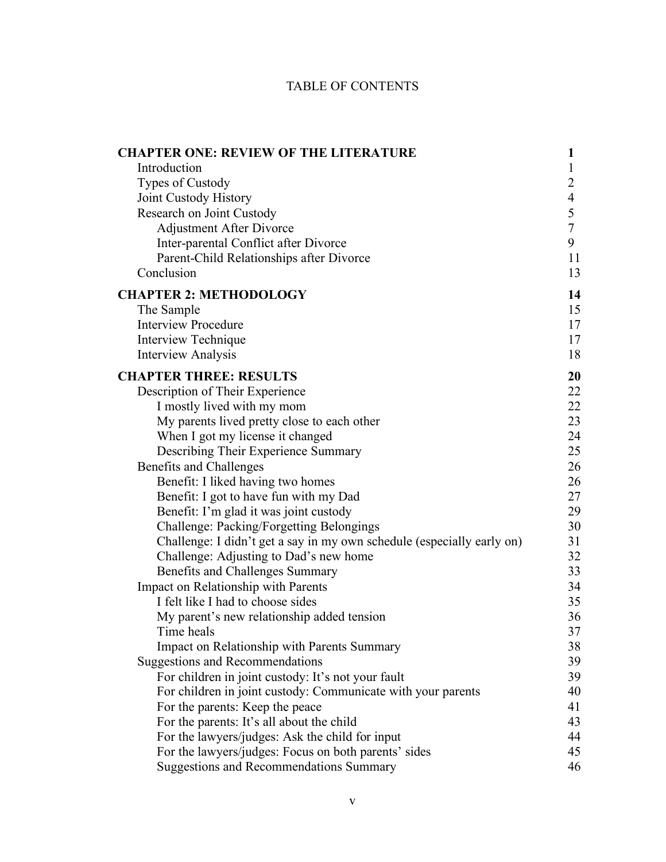### TABLE OF CONTENTS

| <b>CHAPTER ONE: REVIEW OF THE LITERATURE</b>                           | $\mathbf{1}$   |
|------------------------------------------------------------------------|----------------|
| Introduction                                                           | 1              |
| Types of Custody                                                       | $\overline{2}$ |
| Joint Custody History                                                  | $\overline{4}$ |
| Research on Joint Custody                                              | $rac{5}{7}$    |
| <b>Adjustment After Divorce</b>                                        |                |
| Inter-parental Conflict after Divorce                                  | 9              |
| Parent-Child Relationships after Divorce                               | 11             |
| Conclusion                                                             | 13             |
| <b>CHAPTER 2: METHODOLOGY</b>                                          | 14             |
| The Sample                                                             | 15             |
| <b>Interview Procedure</b>                                             | 17             |
| Interview Technique                                                    | 17             |
| <b>Interview Analysis</b>                                              | 18             |
| <b>CHAPTER THREE: RESULTS</b>                                          | 20             |
| Description of Their Experience                                        | 22             |
| I mostly lived with my mom                                             | 22             |
| My parents lived pretty close to each other                            | 23             |
| When I got my license it changed                                       | 24             |
| Describing Their Experience Summary                                    | 25             |
| <b>Benefits and Challenges</b>                                         | 26             |
| Benefit: I liked having two homes                                      | 26             |
| Benefit: I got to have fun with my Dad                                 | 27             |
| Benefit: I'm glad it was joint custody                                 | 29             |
| Challenge: Packing/Forgetting Belongings                               | 30             |
| Challenge: I didn't get a say in my own schedule (especially early on) | 31             |
| Challenge: Adjusting to Dad's new home                                 | 32             |
| Benefits and Challenges Summary                                        | 33             |
| Impact on Relationship with Parents                                    | 34             |
| I felt like I had to choose sides                                      | 35             |
| My parent's new relationship added tension                             | 36             |
| Time heals                                                             | 37             |
| Impact on Relationship with Parents Summary                            | 38             |
| <b>Suggestions and Recommendations</b>                                 | 39             |
| For children in joint custody: It's not your fault                     | 39             |
| For children in joint custody: Communicate with your parents           | 40             |
| For the parents: Keep the peace                                        | 41             |
| For the parents: It's all about the child                              | 43             |
| For the lawyers/judges: Ask the child for input                        | 44             |
| For the lawyers/judges: Focus on both parents' sides                   | 45             |
| <b>Suggestions and Recommendations Summary</b>                         | 46             |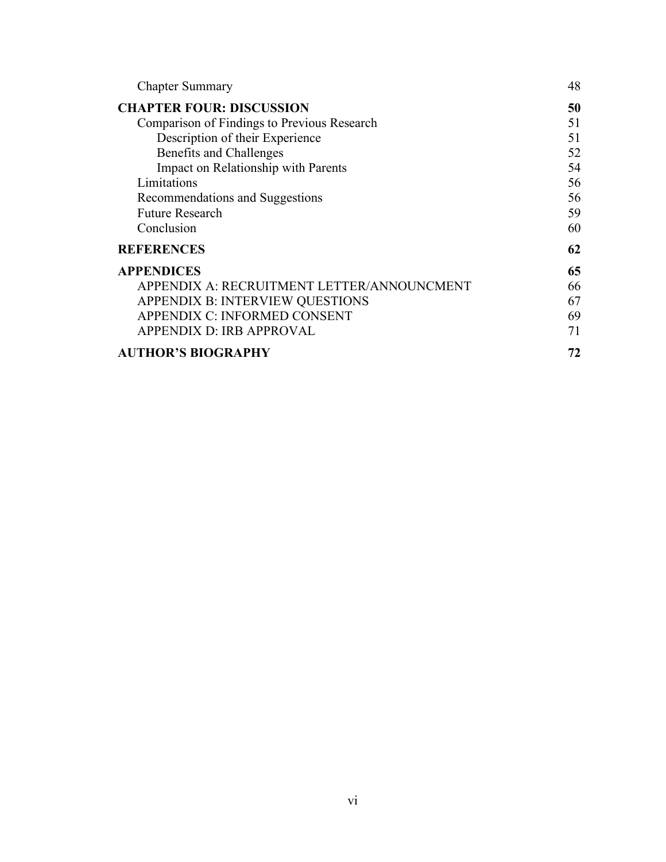| <b>Chapter Summary</b>                      | 48 |
|---------------------------------------------|----|
| <b>CHAPTER FOUR: DISCUSSION</b>             | 50 |
| Comparison of Findings to Previous Research | 51 |
| Description of their Experience             | 51 |
| Benefits and Challenges                     | 52 |
| Impact on Relationship with Parents         | 54 |
| Limitations                                 | 56 |
| Recommendations and Suggestions             | 56 |
| <b>Future Research</b>                      | 59 |
| Conclusion                                  | 60 |
| <b>REFERENCES</b>                           | 62 |
| <b>APPENDICES</b>                           | 65 |
| APPENDIX A: RECRUITMENT LETTER/ANNOUNCMENT  | 66 |
| <b>APPENDIX B: INTERVIEW QUESTIONS</b>      | 67 |
| APPENDIX C: INFORMED CONSENT                | 69 |
| <b>APPENDIX D: IRB APPROVAL</b>             | 71 |
| <b>AUTHOR'S BIOGRAPHY</b>                   | 72 |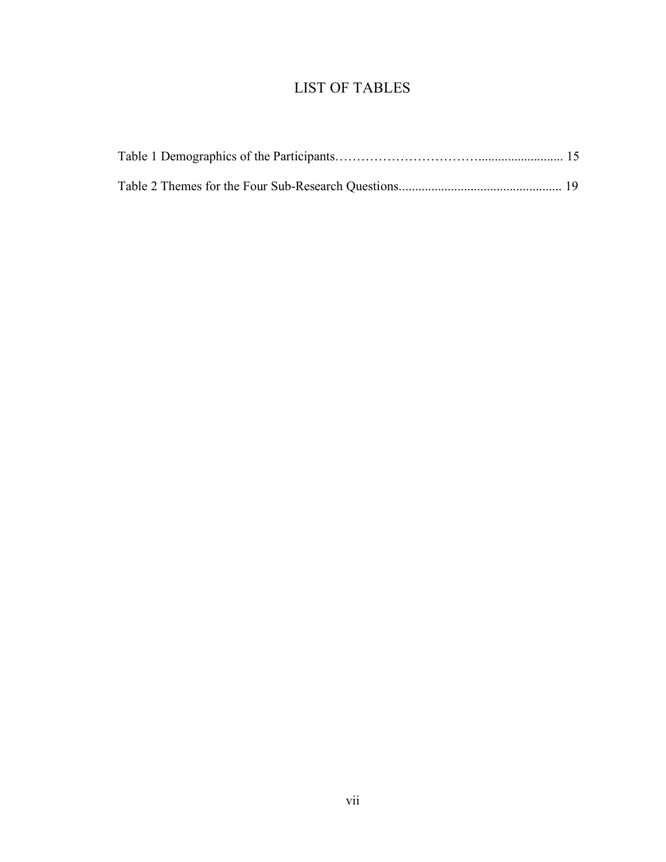## LIST OF TABLES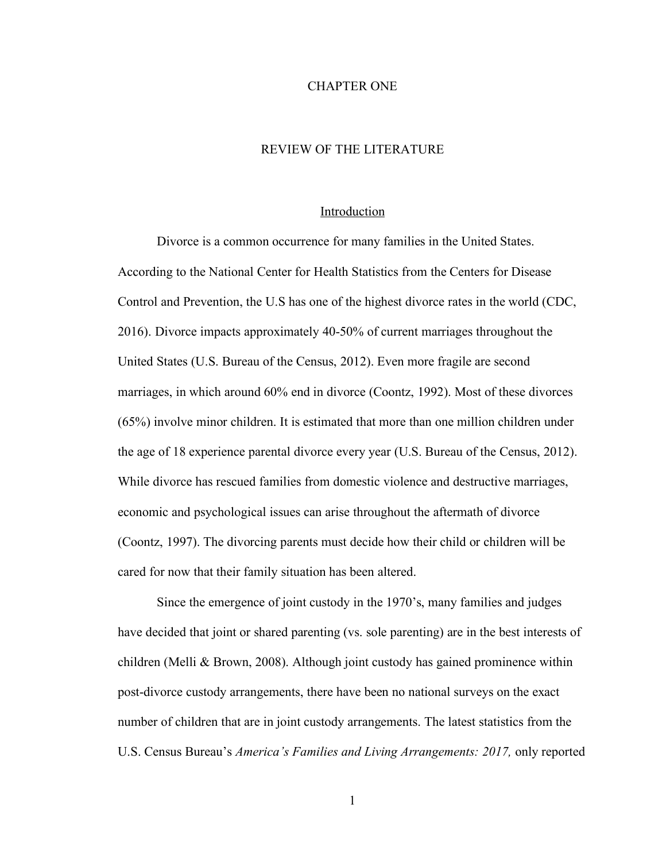### CHAPTER ONE

### REVIEW OF THE LITERATURE

#### Introduction

Divorce is a common occurrence for many families in the United States. According to the National Center for Health Statistics from the Centers for Disease Control and Prevention, the U.S has one of the highest divorce rates in the world (CDC, 2016). Divorce impacts approximately 40-50% of current marriages throughout the United States (U.S. Bureau of the Census, 2012). Even more fragile are second marriages, in which around 60% end in divorce (Coontz, 1992). Most of these divorces (65%) involve minor children. It is estimated that more than one million children under the age of 18 experience parental divorce every year (U.S. Bureau of the Census, 2012). While divorce has rescued families from domestic violence and destructive marriages, economic and psychological issues can arise throughout the aftermath of divorce (Coontz, 1997). The divorcing parents must decide how their child or children will be cared for now that their family situation has been altered.

Since the emergence of joint custody in the 1970's, many families and judges have decided that joint or shared parenting (vs. sole parenting) are in the best interests of children (Melli & Brown, 2008). Although joint custody has gained prominence within post-divorce custody arrangements, there have been no national surveys on the exact number of children that are in joint custody arrangements. The latest statistics from the U.S. Census Bureau's *America's Families and Living Arrangements: 2017,* only reported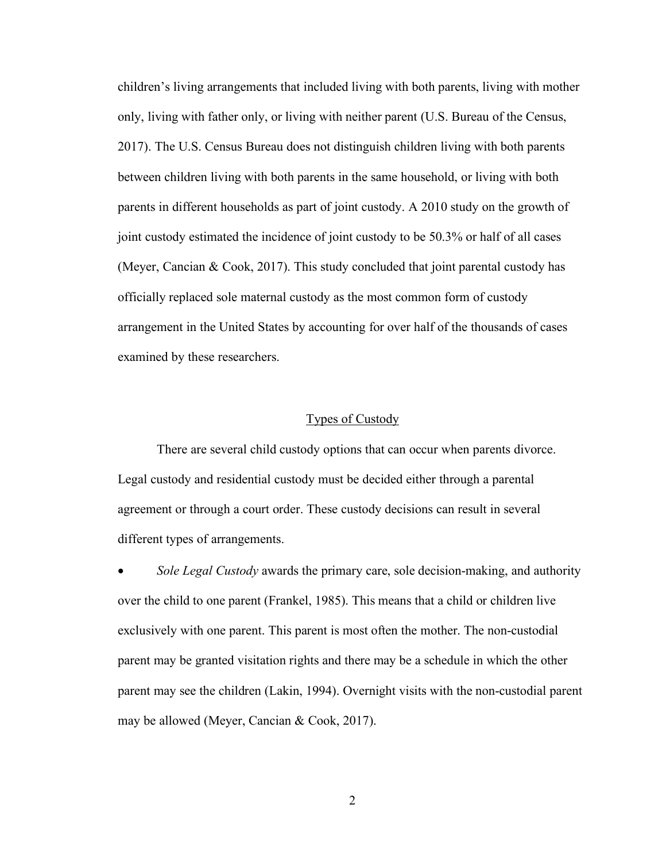children's living arrangements that included living with both parents, living with mother only, living with father only, or living with neither parent (U.S. Bureau of the Census, 2017). The U.S. Census Bureau does not distinguish children living with both parents between children living with both parents in the same household, or living with both parents in different households as part of joint custody. A 2010 study on the growth of joint custody estimated the incidence of joint custody to be 50.3% or half of all cases (Meyer, Cancian & Cook, 2017). This study concluded that joint parental custody has officially replaced sole maternal custody as the most common form of custody arrangement in the United States by accounting for over half of the thousands of cases examined by these researchers.

### Types of Custody

There are several child custody options that can occur when parents divorce. Legal custody and residential custody must be decided either through a parental agreement or through a court order. These custody decisions can result in several different types of arrangements.

• *Sole Legal Custody* awards the primary care, sole decision-making, and authority over the child to one parent (Frankel, 1985). This means that a child or children live exclusively with one parent. This parent is most often the mother. The non-custodial parent may be granted visitation rights and there may be a schedule in which the other parent may see the children (Lakin, 1994). Overnight visits with the non-custodial parent may be allowed (Meyer, Cancian & Cook, 2017).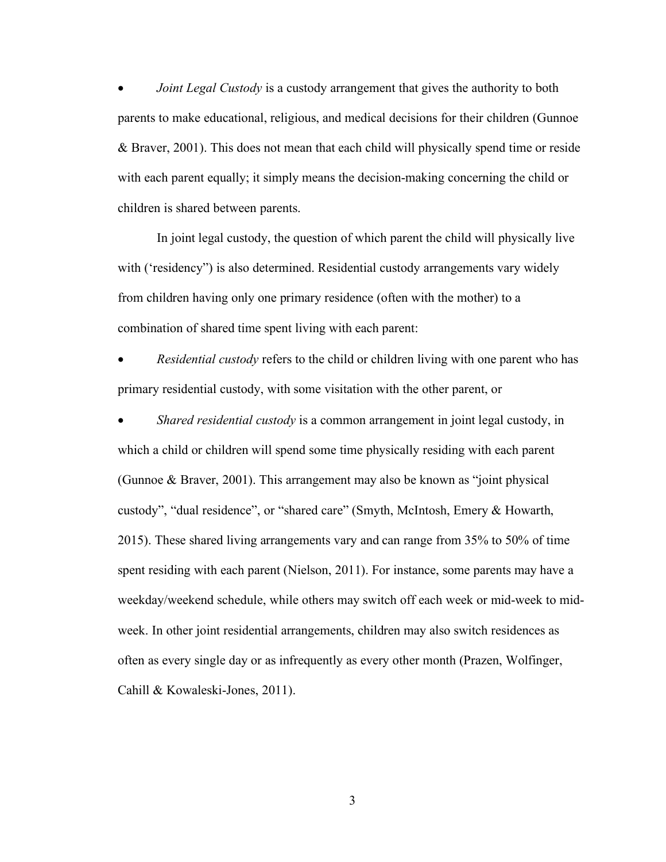• *Joint Legal Custody* is a custody arrangement that gives the authority to both parents to make educational, religious, and medical decisions for their children (Gunnoe & Braver, 2001). This does not mean that each child will physically spend time or reside with each parent equally; it simply means the decision-making concerning the child or children is shared between parents.

In joint legal custody, the question of which parent the child will physically live with ('residency") is also determined. Residential custody arrangements vary widely from children having only one primary residence (often with the mother) to a combination of shared time spent living with each parent:

• *Residential custody* refers to the child or children living with one parent who has primary residential custody, with some visitation with the other parent, or

• *Shared residential custody* is a common arrangement in joint legal custody, in which a child or children will spend some time physically residing with each parent (Gunnoe & Braver, 2001). This arrangement may also be known as "joint physical custody", "dual residence", or "shared care" (Smyth, McIntosh, Emery & Howarth, 2015). These shared living arrangements vary and can range from 35% to 50% of time spent residing with each parent (Nielson, 2011). For instance, some parents may have a weekday/weekend schedule, while others may switch off each week or mid-week to midweek. In other joint residential arrangements, children may also switch residences as often as every single day or as infrequently as every other month (Prazen, Wolfinger, Cahill & Kowaleski-Jones, 2011).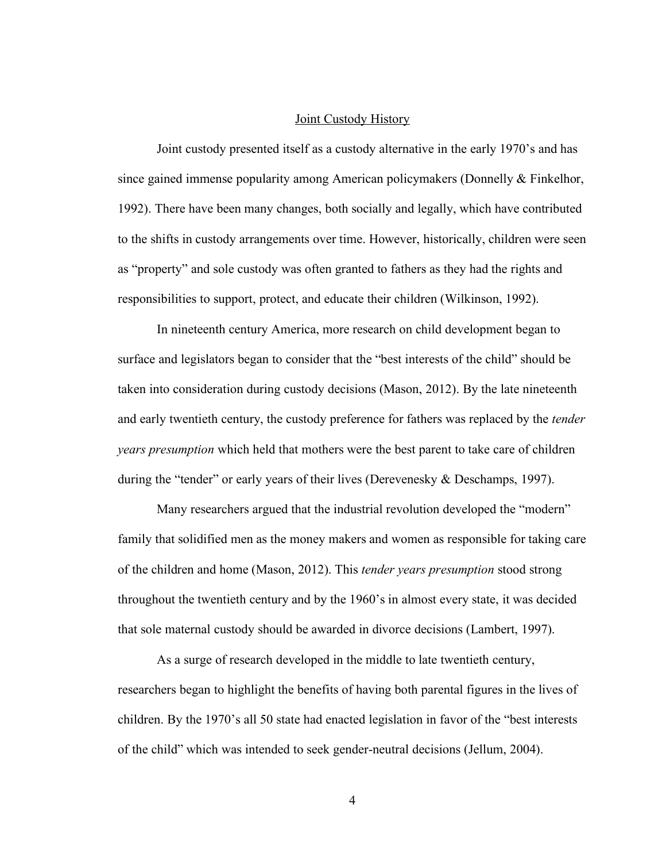### Joint Custody History

Joint custody presented itself as a custody alternative in the early 1970's and has since gained immense popularity among American policymakers (Donnelly & Finkelhor, 1992). There have been many changes, both socially and legally, which have contributed to the shifts in custody arrangements over time. However, historically, children were seen as "property" and sole custody was often granted to fathers as they had the rights and responsibilities to support, protect, and educate their children (Wilkinson, 1992).

In nineteenth century America, more research on child development began to surface and legislators began to consider that the "best interests of the child" should be taken into consideration during custody decisions (Mason, 2012). By the late nineteenth and early twentieth century, the custody preference for fathers was replaced by the *tender years presumption* which held that mothers were the best parent to take care of children during the "tender" or early years of their lives (Derevenesky & Deschamps, 1997).

Many researchers argued that the industrial revolution developed the "modern" family that solidified men as the money makers and women as responsible for taking care of the children and home (Mason, 2012). This *tender years presumption* stood strong throughout the twentieth century and by the 1960's in almost every state, it was decided that sole maternal custody should be awarded in divorce decisions (Lambert, 1997).

As a surge of research developed in the middle to late twentieth century, researchers began to highlight the benefits of having both parental figures in the lives of children. By the 1970's all 50 state had enacted legislation in favor of the "best interests of the child" which was intended to seek gender-neutral decisions (Jellum, 2004).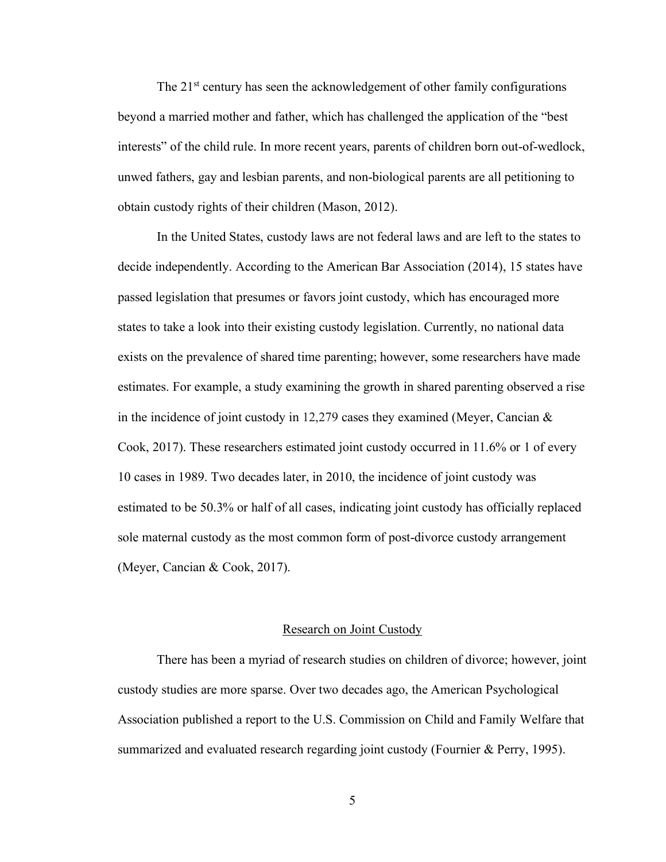The 21<sup>st</sup> century has seen the acknowledgement of other family configurations beyond a married mother and father, which has challenged the application of the "best interests" of the child rule. In more recent years, parents of children born out-of-wedlock, unwed fathers, gay and lesbian parents, and non-biological parents are all petitioning to obtain custody rights of their children (Mason, 2012).

In the United States, custody laws are not federal laws and are left to the states to decide independently. According to the American Bar Association (2014), 15 states have passed legislation that presumes or favors joint custody, which has encouraged more states to take a look into their existing custody legislation. Currently, no national data exists on the prevalence of shared time parenting; however, some researchers have made estimates. For example, a study examining the growth in shared parenting observed a rise in the incidence of joint custody in 12,279 cases they examined (Meyer, Cancian  $\&$ Cook, 2017). These researchers estimated joint custody occurred in 11.6% or 1 of every 10 cases in 1989. Two decades later, in 2010, the incidence of joint custody was estimated to be 50.3% or half of all cases, indicating joint custody has officially replaced sole maternal custody as the most common form of post-divorce custody arrangement (Meyer, Cancian & Cook, 2017).

### Research on Joint Custody

There has been a myriad of research studies on children of divorce; however, joint custody studies are more sparse. Over two decades ago, the American Psychological Association published a report to the U.S. Commission on Child and Family Welfare that summarized and evaluated research regarding joint custody (Fournier & Perry, 1995).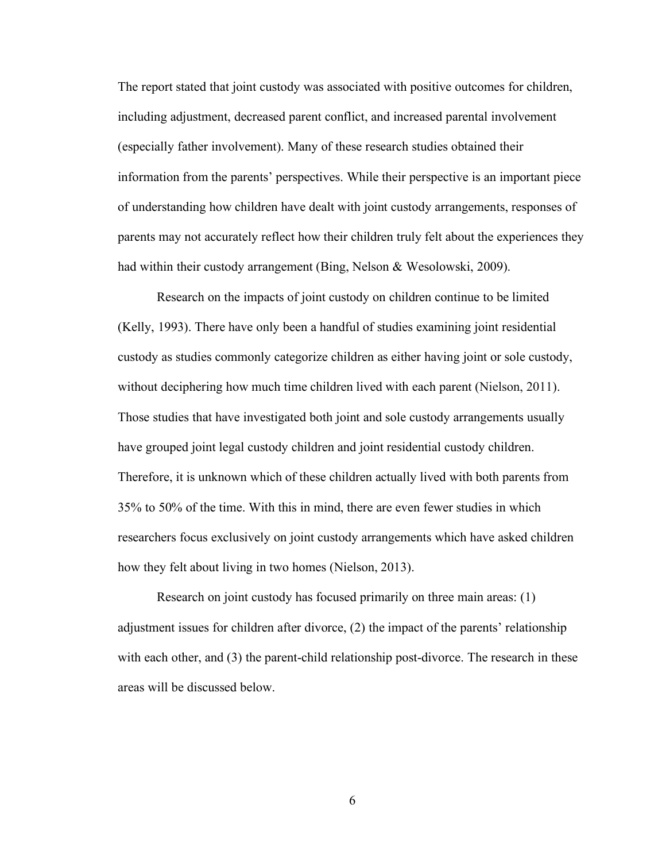The report stated that joint custody was associated with positive outcomes for children, including adjustment, decreased parent conflict, and increased parental involvement (especially father involvement). Many of these research studies obtained their information from the parents' perspectives. While their perspective is an important piece of understanding how children have dealt with joint custody arrangements, responses of parents may not accurately reflect how their children truly felt about the experiences they had within their custody arrangement (Bing, Nelson & Wesolowski, 2009).

Research on the impacts of joint custody on children continue to be limited (Kelly, 1993). There have only been a handful of studies examining joint residential custody as studies commonly categorize children as either having joint or sole custody, without deciphering how much time children lived with each parent (Nielson, 2011). Those studies that have investigated both joint and sole custody arrangements usually have grouped joint legal custody children and joint residential custody children. Therefore, it is unknown which of these children actually lived with both parents from 35% to 50% of the time. With this in mind, there are even fewer studies in which researchers focus exclusively on joint custody arrangements which have asked children how they felt about living in two homes (Nielson, 2013).

Research on joint custody has focused primarily on three main areas: (1) adjustment issues for children after divorce, (2) the impact of the parents' relationship with each other, and (3) the parent-child relationship post-divorce. The research in these areas will be discussed below.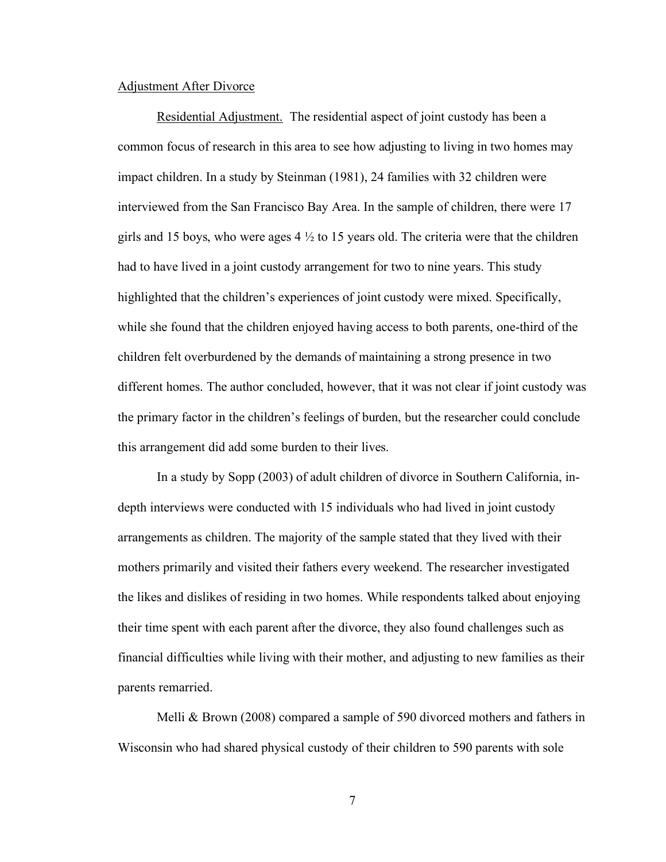### Adjustment After Divorce

Residential Adjustment.The residential aspect of joint custody has been a common focus of research in this area to see how adjusting to living in two homes may impact children. In a study by Steinman (1981), 24 families with 32 children were interviewed from the San Francisco Bay Area. In the sample of children, there were 17 girls and 15 boys, who were ages  $4\frac{1}{2}$  to 15 years old. The criteria were that the children had to have lived in a joint custody arrangement for two to nine years. This study highlighted that the children's experiences of joint custody were mixed. Specifically, while she found that the children enjoyed having access to both parents, one-third of the children felt overburdened by the demands of maintaining a strong presence in two different homes. The author concluded, however, that it was not clear if joint custody was the primary factor in the children's feelings of burden, but the researcher could conclude this arrangement did add some burden to their lives.

In a study by Sopp (2003) of adult children of divorce in Southern California, indepth interviews were conducted with 15 individuals who had lived in joint custody arrangements as children. The majority of the sample stated that they lived with their mothers primarily and visited their fathers every weekend. The researcher investigated the likes and dislikes of residing in two homes. While respondents talked about enjoying their time spent with each parent after the divorce, they also found challenges such as financial difficulties while living with their mother, and adjusting to new families as their parents remarried.

Melli & Brown (2008) compared a sample of 590 divorced mothers and fathers in Wisconsin who had shared physical custody of their children to 590 parents with sole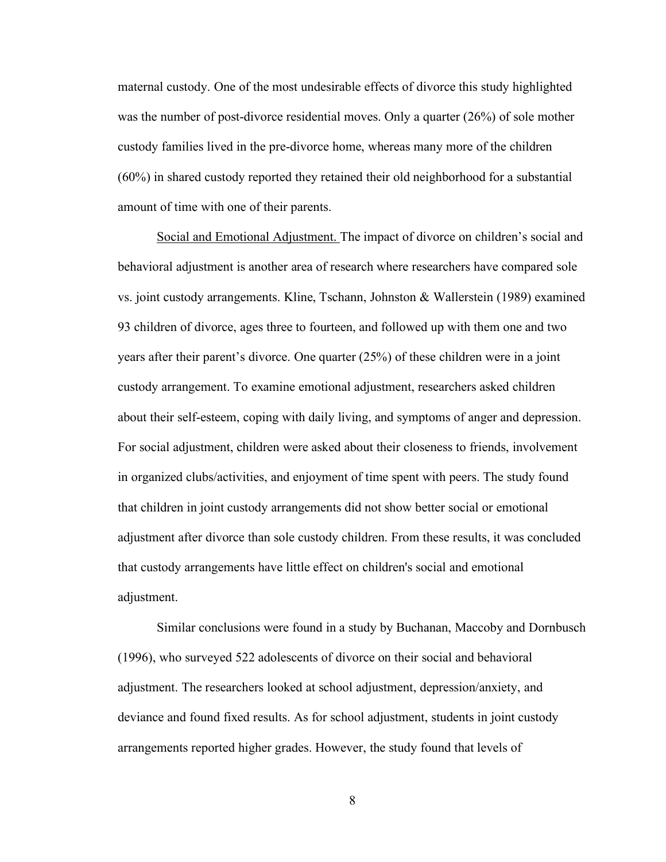maternal custody. One of the most undesirable effects of divorce this study highlighted was the number of post-divorce residential moves. Only a quarter (26%) of sole mother custody families lived in the pre-divorce home, whereas many more of the children (60%) in shared custody reported they retained their old neighborhood for a substantial amount of time with one of their parents.

Social and Emotional Adjustment. The impact of divorce on children's social and behavioral adjustment is another area of research where researchers have compared sole vs. joint custody arrangements. Kline, Tschann, Johnston & Wallerstein (1989) examined 93 children of divorce, ages three to fourteen, and followed up with them one and two years after their parent's divorce. One quarter (25%) of these children were in a joint custody arrangement. To examine emotional adjustment, researchers asked children about their self-esteem, coping with daily living, and symptoms of anger and depression. For social adjustment, children were asked about their closeness to friends, involvement in organized clubs/activities, and enjoyment of time spent with peers. The study found that children in joint custody arrangements did not show better social or emotional adjustment after divorce than sole custody children. From these results, it was concluded that custody arrangements have little effect on children's social and emotional adjustment.

Similar conclusions were found in a study by Buchanan, Maccoby and Dornbusch (1996), who surveyed 522 adolescents of divorce on their social and behavioral adjustment. The researchers looked at school adjustment, depression/anxiety, and deviance and found fixed results. As for school adjustment, students in joint custody arrangements reported higher grades. However, the study found that levels of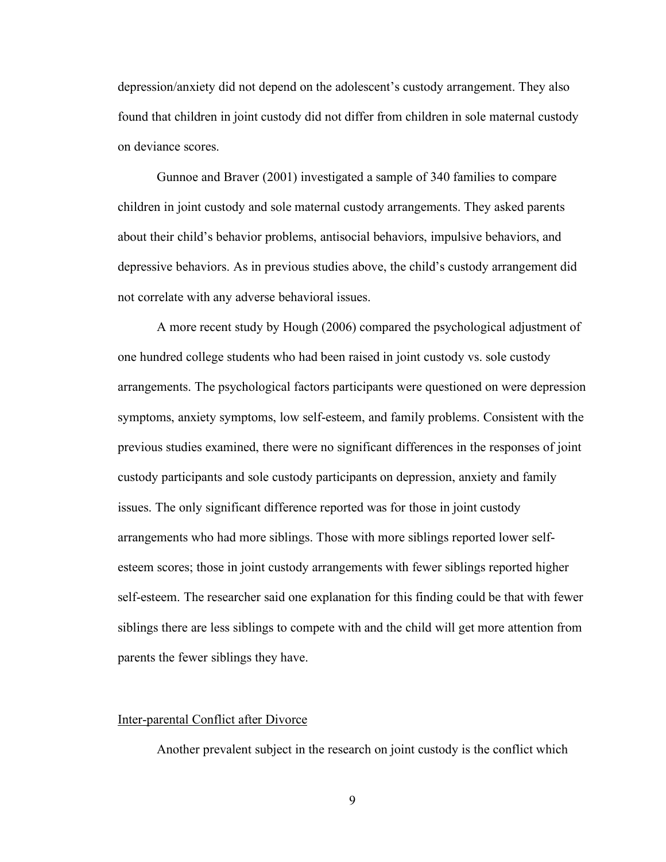depression/anxiety did not depend on the adolescent's custody arrangement. They also found that children in joint custody did not differ from children in sole maternal custody on deviance scores.

Gunnoe and Braver (2001) investigated a sample of 340 families to compare children in joint custody and sole maternal custody arrangements. They asked parents about their child's behavior problems, antisocial behaviors, impulsive behaviors, and depressive behaviors. As in previous studies above, the child's custody arrangement did not correlate with any adverse behavioral issues.

A more recent study by Hough (2006) compared the psychological adjustment of one hundred college students who had been raised in joint custody vs. sole custody arrangements. The psychological factors participants were questioned on were depression symptoms, anxiety symptoms, low self-esteem, and family problems. Consistent with the previous studies examined, there were no significant differences in the responses of joint custody participants and sole custody participants on depression, anxiety and family issues. The only significant difference reported was for those in joint custody arrangements who had more siblings. Those with more siblings reported lower selfesteem scores; those in joint custody arrangements with fewer siblings reported higher self-esteem. The researcher said one explanation for this finding could be that with fewer siblings there are less siblings to compete with and the child will get more attention from parents the fewer siblings they have.

### Inter-parental Conflict after Divorce

Another prevalent subject in the research on joint custody is the conflict which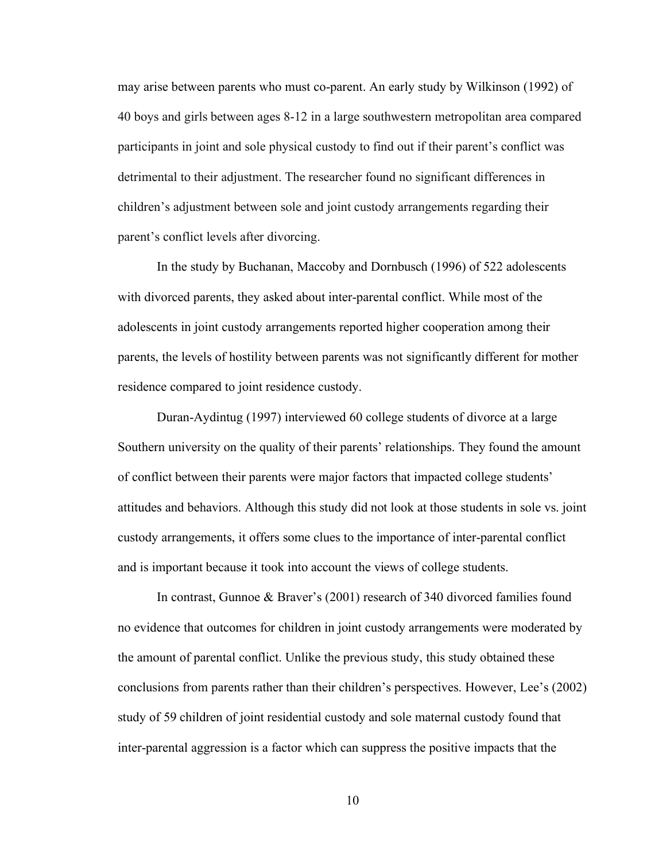may arise between parents who must co-parent. An early study by Wilkinson (1992) of 40 boys and girls between ages 8-12 in a large southwestern metropolitan area compared participants in joint and sole physical custody to find out if their parent's conflict was detrimental to their adjustment. The researcher found no significant differences in children's adjustment between sole and joint custody arrangements regarding their parent's conflict levels after divorcing.

In the study by Buchanan, Maccoby and Dornbusch (1996) of 522 adolescents with divorced parents, they asked about inter-parental conflict. While most of the adolescents in joint custody arrangements reported higher cooperation among their parents, the levels of hostility between parents was not significantly different for mother residence compared to joint residence custody.

Duran-Aydintug (1997) interviewed 60 college students of divorce at a large Southern university on the quality of their parents' relationships. They found the amount of conflict between their parents were major factors that impacted college students' attitudes and behaviors. Although this study did not look at those students in sole vs. joint custody arrangements, it offers some clues to the importance of inter-parental conflict and is important because it took into account the views of college students.

In contrast, Gunnoe & Braver's (2001) research of 340 divorced families found no evidence that outcomes for children in joint custody arrangements were moderated by the amount of parental conflict. Unlike the previous study, this study obtained these conclusions from parents rather than their children's perspectives. However, Lee's (2002) study of 59 children of joint residential custody and sole maternal custody found that inter-parental aggression is a factor which can suppress the positive impacts that the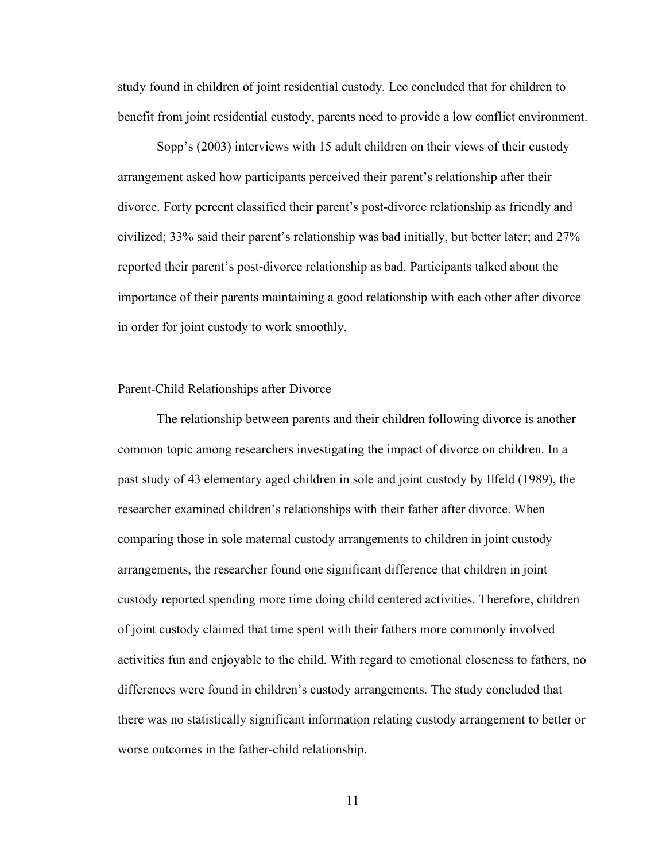study found in children of joint residential custody. Lee concluded that for children to benefit from joint residential custody, parents need to provide a low conflict environment.

Sopp's (2003) interviews with 15 adult children on their views of their custody arrangement asked how participants perceived their parent's relationship after their divorce. Forty percent classified their parent's post-divorce relationship as friendly and civilized; 33% said their parent's relationship was bad initially, but better later; and 27% reported their parent's post-divorce relationship as bad. Participants talked about the importance of their parents maintaining a good relationship with each other after divorce in order for joint custody to work smoothly.

### Parent-Child Relationships after Divorce

The relationship between parents and their children following divorce is another common topic among researchers investigating the impact of divorce on children. In a past study of 43 elementary aged children in sole and joint custody by Ilfeld (1989), the researcher examined children's relationships with their father after divorce. When comparing those in sole maternal custody arrangements to children in joint custody arrangements, the researcher found one significant difference that children in joint custody reported spending more time doing child centered activities. Therefore, children of joint custody claimed that time spent with their fathers more commonly involved activities fun and enjoyable to the child. With regard to emotional closeness to fathers, no differences were found in children's custody arrangements. The study concluded that there was no statistically significant information relating custody arrangement to better or worse outcomes in the father-child relationship.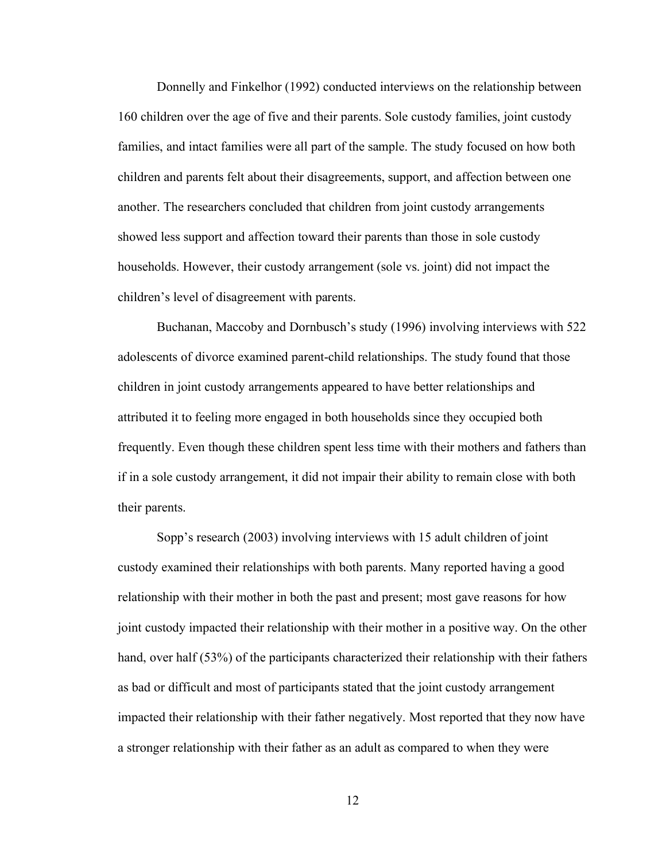Donnelly and Finkelhor (1992) conducted interviews on the relationship between 160 children over the age of five and their parents. Sole custody families, joint custody families, and intact families were all part of the sample. The study focused on how both children and parents felt about their disagreements, support, and affection between one another. The researchers concluded that children from joint custody arrangements showed less support and affection toward their parents than those in sole custody households. However, their custody arrangement (sole vs. joint) did not impact the children's level of disagreement with parents.

Buchanan, Maccoby and Dornbusch's study (1996) involving interviews with 522 adolescents of divorce examined parent-child relationships. The study found that those children in joint custody arrangements appeared to have better relationships and attributed it to feeling more engaged in both households since they occupied both frequently. Even though these children spent less time with their mothers and fathers than if in a sole custody arrangement, it did not impair their ability to remain close with both their parents.

Sopp's research (2003) involving interviews with 15 adult children of joint custody examined their relationships with both parents. Many reported having a good relationship with their mother in both the past and present; most gave reasons for how joint custody impacted their relationship with their mother in a positive way. On the other hand, over half (53%) of the participants characterized their relationship with their fathers as bad or difficult and most of participants stated that the joint custody arrangement impacted their relationship with their father negatively. Most reported that they now have a stronger relationship with their father as an adult as compared to when they were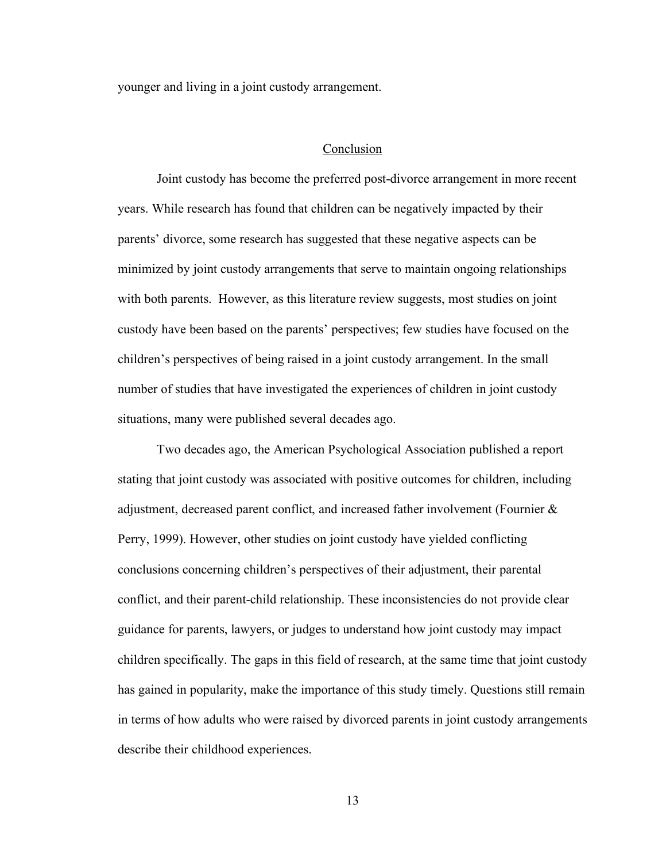younger and living in a joint custody arrangement.

### Conclusion

Joint custody has become the preferred post-divorce arrangement in more recent years. While research has found that children can be negatively impacted by their parents' divorce, some research has suggested that these negative aspects can be minimized by joint custody arrangements that serve to maintain ongoing relationships with both parents. However, as this literature review suggests, most studies on joint custody have been based on the parents' perspectives; few studies have focused on the children's perspectives of being raised in a joint custody arrangement. In the small number of studies that have investigated the experiences of children in joint custody situations, many were published several decades ago.

Two decades ago, the American Psychological Association published a report stating that joint custody was associated with positive outcomes for children, including adjustment, decreased parent conflict, and increased father involvement (Fournier & Perry, 1999). However, other studies on joint custody have yielded conflicting conclusions concerning children's perspectives of their adjustment, their parental conflict, and their parent-child relationship. These inconsistencies do not provide clear guidance for parents, lawyers, or judges to understand how joint custody may impact children specifically. The gaps in this field of research, at the same time that joint custody has gained in popularity, make the importance of this study timely. Questions still remain in terms of how adults who were raised by divorced parents in joint custody arrangements describe their childhood experiences.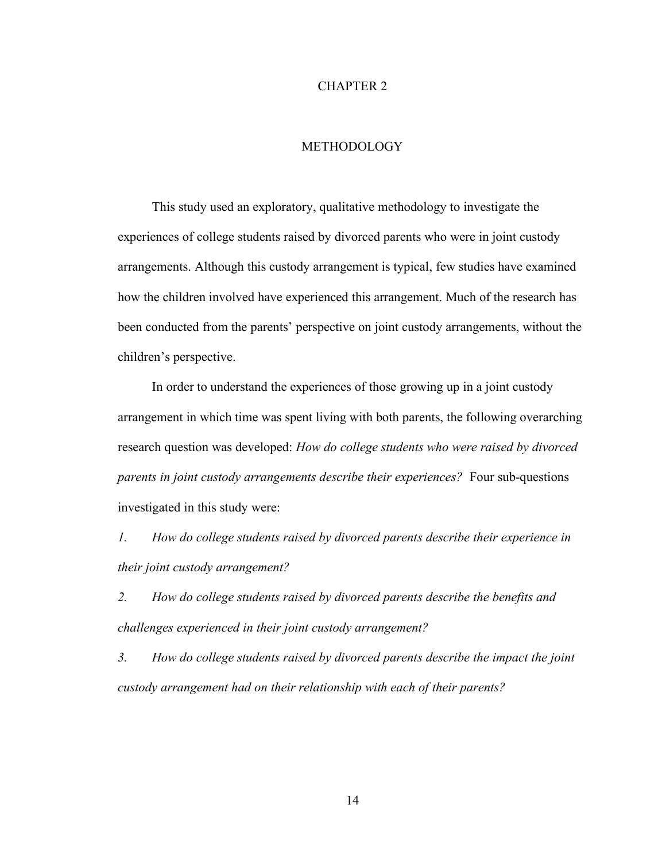### CHAPTER 2

### **METHODOLOGY**

This study used an exploratory, qualitative methodology to investigate the experiences of college students raised by divorced parents who were in joint custody arrangements. Although this custody arrangement is typical, few studies have examined how the children involved have experienced this arrangement. Much of the research has been conducted from the parents' perspective on joint custody arrangements, without the children's perspective.

In order to understand the experiences of those growing up in a joint custody arrangement in which time was spent living with both parents, the following overarching research question was developed: *How do college students who were raised by divorced parents in joint custody arrangements describe their experiences?* Four sub-questions investigated in this study were:

*1. How do college students raised by divorced parents describe their experience in their joint custody arrangement?*

*2. How do college students raised by divorced parents describe the benefits and challenges experienced in their joint custody arrangement?*

*3. How do college students raised by divorced parents describe the impact the joint custody arrangement had on their relationship with each of their parents?*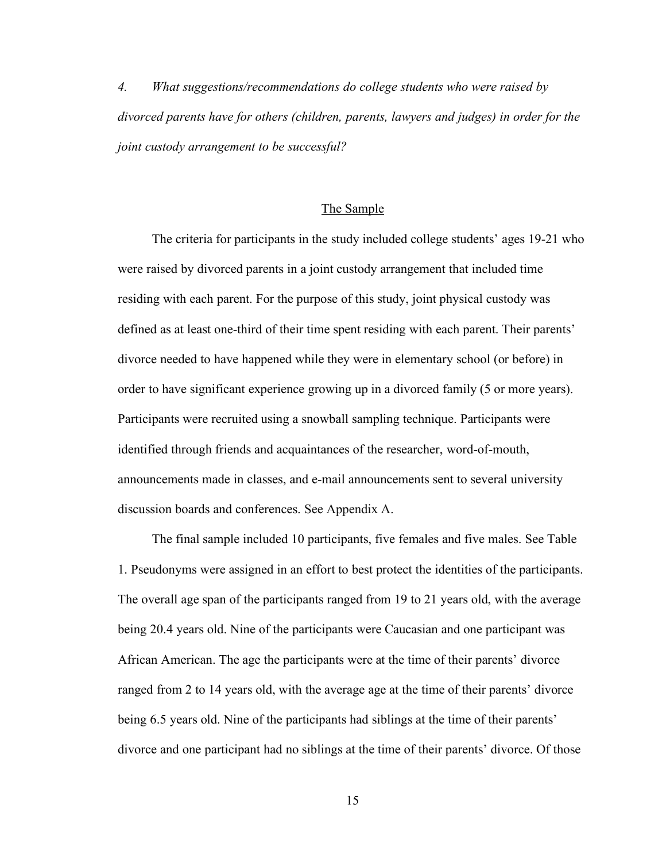*4. What suggestions/recommendations do college students who were raised by divorced parents have for others (children, parents, lawyers and judges) in order for the joint custody arrangement to be successful?*

### The Sample

The criteria for participants in the study included college students' ages 19-21 who were raised by divorced parents in a joint custody arrangement that included time residing with each parent. For the purpose of this study, joint physical custody was defined as at least one-third of their time spent residing with each parent. Their parents' divorce needed to have happened while they were in elementary school (or before) in order to have significant experience growing up in a divorced family (5 or more years). Participants were recruited using a snowball sampling technique. Participants were identified through friends and acquaintances of the researcher, word-of-mouth, announcements made in classes, and e-mail announcements sent to several university discussion boards and conferences. See Appendix A.

The final sample included 10 participants, five females and five males. See Table 1. Pseudonyms were assigned in an effort to best protect the identities of the participants. The overall age span of the participants ranged from 19 to 21 years old, with the average being 20.4 years old. Nine of the participants were Caucasian and one participant was African American. The age the participants were at the time of their parents' divorce ranged from 2 to 14 years old, with the average age at the time of their parents' divorce being 6.5 years old. Nine of the participants had siblings at the time of their parents' divorce and one participant had no siblings at the time of their parents' divorce. Of those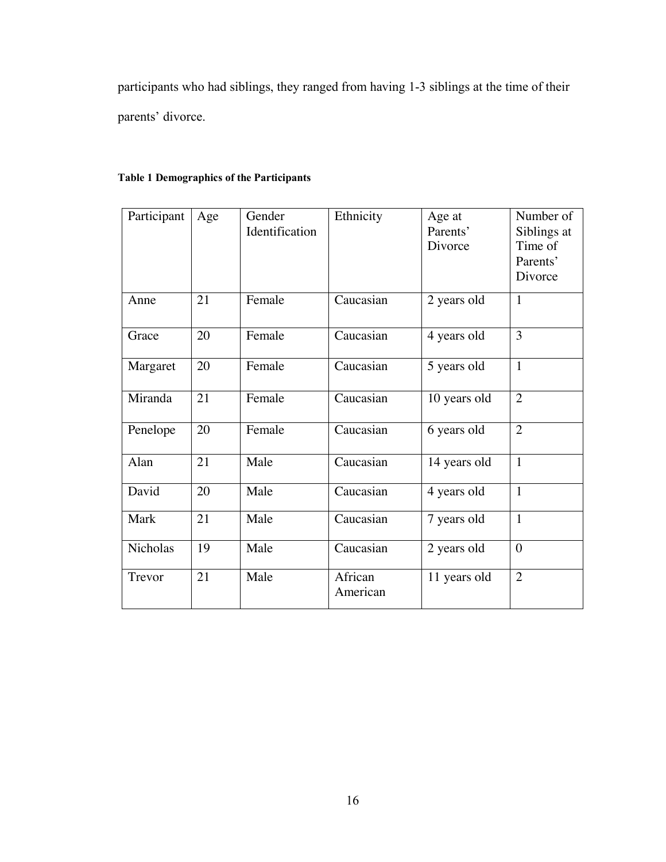participants who had siblings, they ranged from having 1-3 siblings at the time of their parents' divorce.

### **Table 1 Demographics of the Participants**

| Participant | Age | Gender         | Ethnicity           | Age at       | Number of      |
|-------------|-----|----------------|---------------------|--------------|----------------|
|             |     | Identification |                     | Parents'     | Siblings at    |
|             |     |                |                     | Divorce      | Time of        |
|             |     |                |                     |              | Parents'       |
|             |     |                |                     |              | Divorce        |
| Anne        | 21  | Female         | Caucasian           | 2 years old  | $\mathbf{1}$   |
| Grace       | 20  | Female         | Caucasian           | 4 years old  | 3              |
| Margaret    | 20  | Female         | Caucasian           | 5 years old  | $\mathbf{1}$   |
| Miranda     | 21  | Female         | Caucasian           | 10 years old | $\overline{2}$ |
| Penelope    | 20  | Female         | Caucasian           | 6 years old  | $\overline{2}$ |
| Alan        | 21  | Male           | Caucasian           | 14 years old | $\mathbf{1}$   |
| David       | 20  | Male           | Caucasian           | 4 years old  | $\mathbf{1}$   |
| Mark        | 21  | Male           | Caucasian           | 7 years old  | $\mathbf{1}$   |
| Nicholas    | 19  | Male           | Caucasian           | 2 years old  | $\theta$       |
| Trevor      | 21  | Male           | African<br>American | 11 years old | $\overline{2}$ |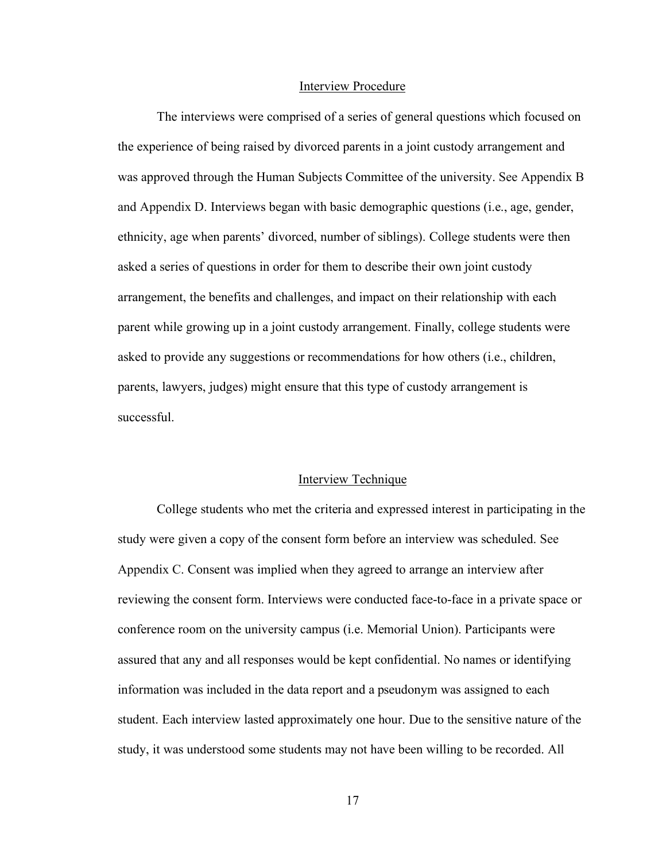### Interview Procedure

The interviews were comprised of a series of general questions which focused on the experience of being raised by divorced parents in a joint custody arrangement and was approved through the Human Subjects Committee of the university. See Appendix B and Appendix D. Interviews began with basic demographic questions (i.e., age, gender, ethnicity, age when parents' divorced, number of siblings). College students were then asked a series of questions in order for them to describe their own joint custody arrangement, the benefits and challenges, and impact on their relationship with each parent while growing up in a joint custody arrangement. Finally, college students were asked to provide any suggestions or recommendations for how others (i.e., children, parents, lawyers, judges) might ensure that this type of custody arrangement is successful.

### Interview Technique

College students who met the criteria and expressed interest in participating in the study were given a copy of the consent form before an interview was scheduled. See Appendix C. Consent was implied when they agreed to arrange an interview after reviewing the consent form. Interviews were conducted face-to-face in a private space or conference room on the university campus (i.e. Memorial Union). Participants were assured that any and all responses would be kept confidential. No names or identifying information was included in the data report and a pseudonym was assigned to each student. Each interview lasted approximately one hour. Due to the sensitive nature of the study, it was understood some students may not have been willing to be recorded. All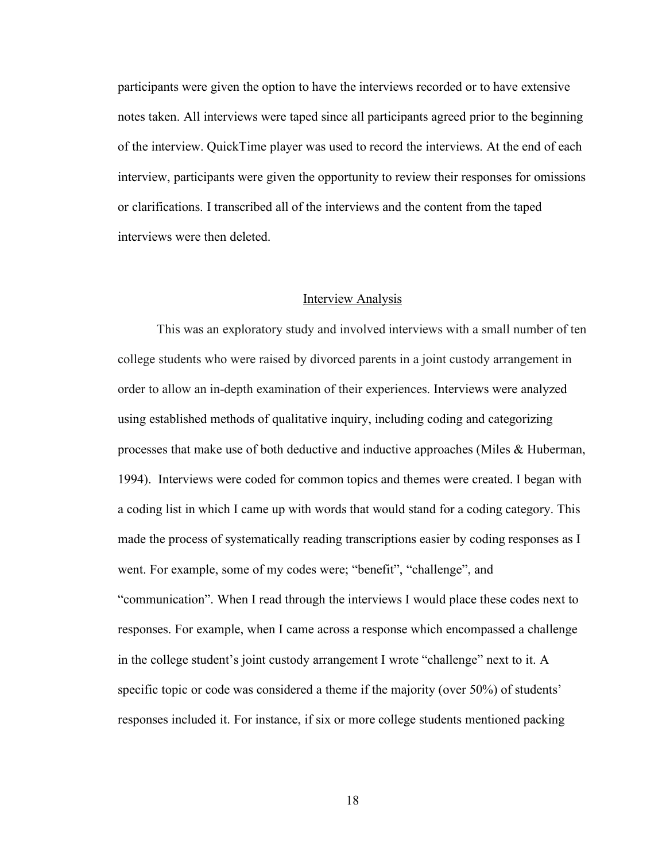participants were given the option to have the interviews recorded or to have extensive notes taken. All interviews were taped since all participants agreed prior to the beginning of the interview. QuickTime player was used to record the interviews. At the end of each interview, participants were given the opportunity to review their responses for omissions or clarifications. I transcribed all of the interviews and the content from the taped interviews were then deleted.

#### **Interview Analysis**

This was an exploratory study and involved interviews with a small number of ten college students who were raised by divorced parents in a joint custody arrangement in order to allow an in-depth examination of their experiences. Interviews were analyzed using established methods of qualitative inquiry, including coding and categorizing processes that make use of both deductive and inductive approaches (Miles & Huberman, 1994). Interviews were coded for common topics and themes were created. I began with a coding list in which I came up with words that would stand for a coding category. This made the process of systematically reading transcriptions easier by coding responses as I went. For example, some of my codes were; "benefit", "challenge", and "communication". When I read through the interviews I would place these codes next to responses. For example, when I came across a response which encompassed a challenge in the college student's joint custody arrangement I wrote "challenge" next to it. A specific topic or code was considered a theme if the majority (over 50%) of students' responses included it. For instance, if six or more college students mentioned packing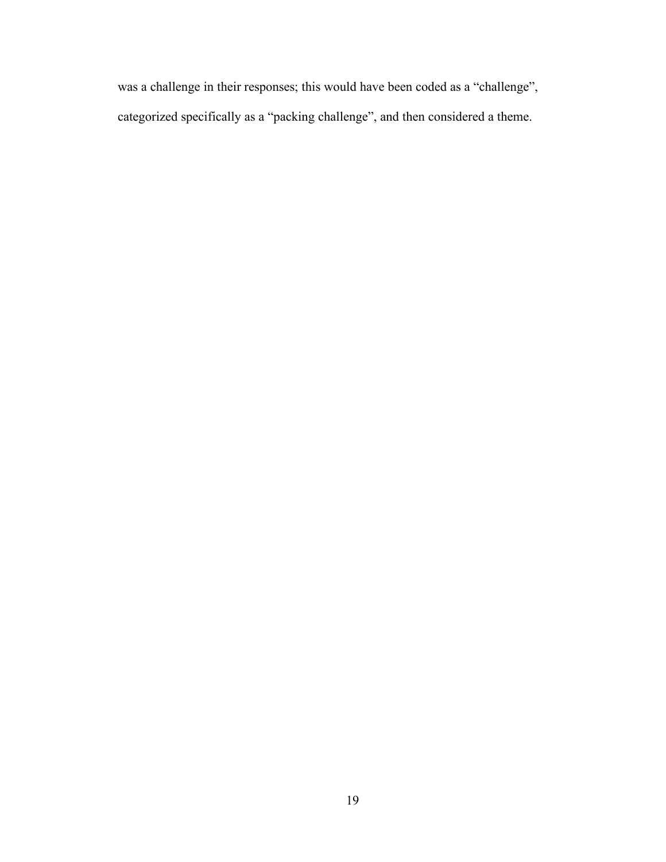was a challenge in their responses; this would have been coded as a "challenge", categorized specifically as a "packing challenge", and then considered a theme.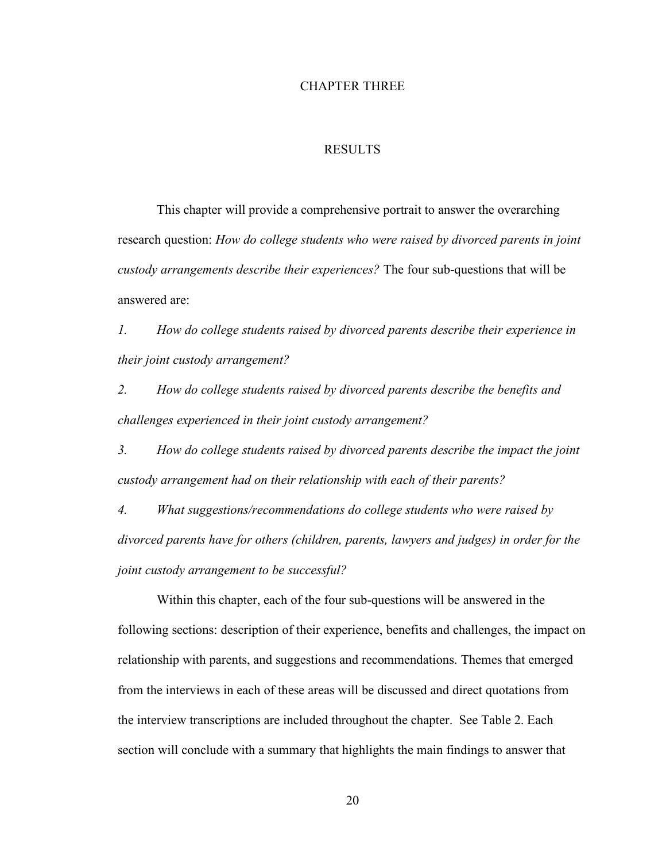#### CHAPTER THREE

### RESULTS

This chapter will provide a comprehensive portrait to answer the overarching research question: *How do college students who were raised by divorced parents in joint custody arrangements describe their experiences?* The four sub-questions that will be answered are:

*1. How do college students raised by divorced parents describe their experience in their joint custody arrangement?*

*2. How do college students raised by divorced parents describe the benefits and challenges experienced in their joint custody arrangement?*

*3. How do college students raised by divorced parents describe the impact the joint custody arrangement had on their relationship with each of their parents?*

*4. What suggestions/recommendations do college students who were raised by divorced parents have for others (children, parents, lawyers and judges) in order for the joint custody arrangement to be successful?*

Within this chapter, each of the four sub-questions will be answered in the following sections: description of their experience, benefits and challenges, the impact on relationship with parents, and suggestions and recommendations. Themes that emerged from the interviews in each of these areas will be discussed and direct quotations from the interview transcriptions are included throughout the chapter. See Table 2. Each section will conclude with a summary that highlights the main findings to answer that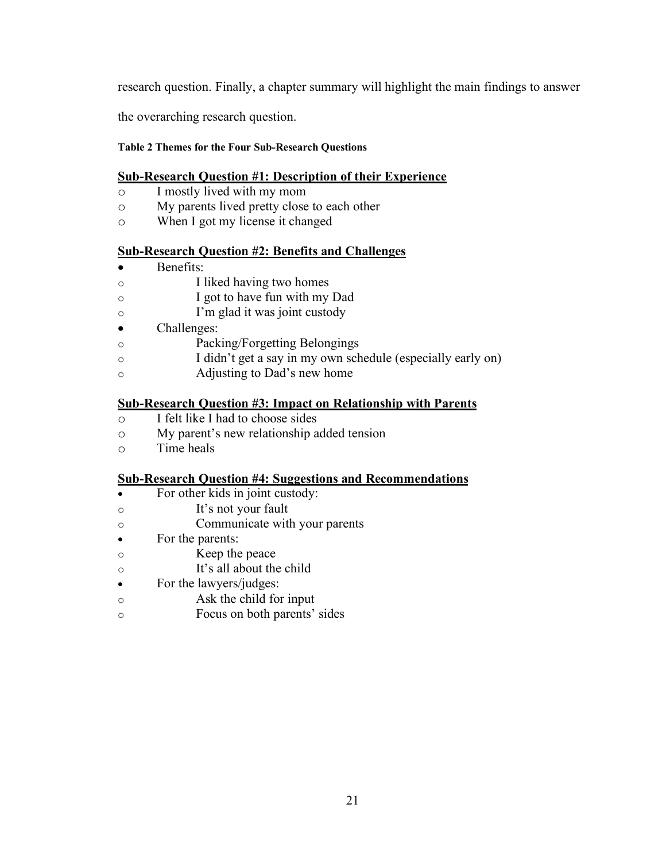research question. Finally, a chapter summary will highlight the main findings to answer

the overarching research question.

### **Table 2 Themes for the Four Sub-Research Questions**

### **Sub-Research Question #1: Description of their Experience**

- o I mostly lived with my mom
- o My parents lived pretty close to each other
- o When I got my license it changed

### **Sub-Research Question #2: Benefits and Challenges**

- Benefits:
- o I liked having two homes
- o I got to have fun with my Dad
- o I'm glad it was joint custody
- Challenges:
- o Packing/Forgetting Belongings
- o I didn't get a say in my own schedule (especially early on)
- o Adjusting to Dad's new home

### **Sub-Research Question #3: Impact on Relationship with Parents**

- o I felt like I had to choose sides
- o My parent's new relationship added tension
- o Time heals

### **Sub-Research Question #4: Suggestions and Recommendations**

- For other kids in joint custody:
- o It's not your fault
- o Communicate with your parents
- For the parents:
- o Keep the peace
- o It's all about the child
- For the lawyers/judges:
- o Ask the child for input
- o Focus on both parents' sides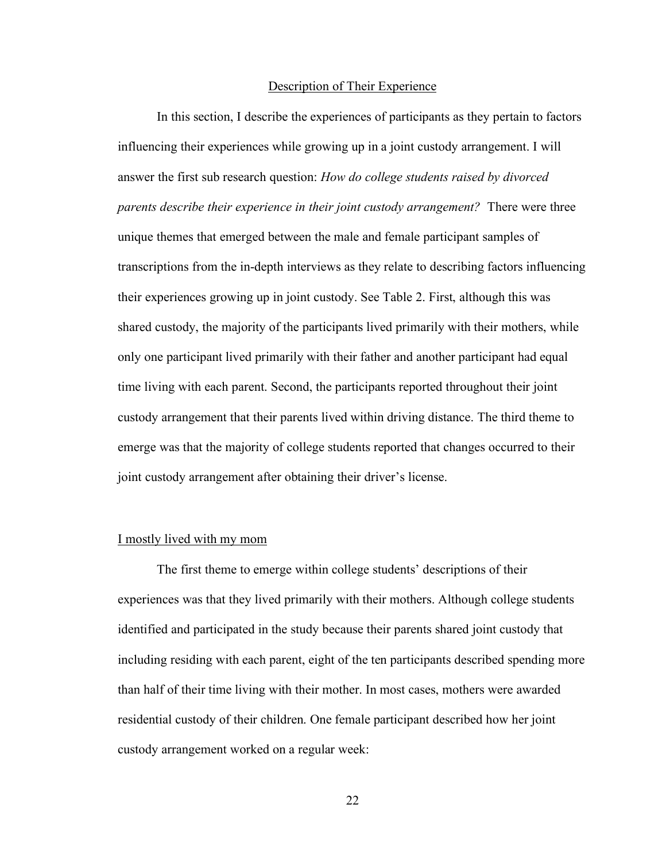#### Description of Their Experience

In this section, I describe the experiences of participants as they pertain to factors influencing their experiences while growing up in a joint custody arrangement. I will answer the first sub research question: *How do college students raised by divorced parents describe their experience in their joint custody arrangement?* There were three unique themes that emerged between the male and female participant samples of transcriptions from the in-depth interviews as they relate to describing factors influencing their experiences growing up in joint custody. See Table 2. First, although this was shared custody, the majority of the participants lived primarily with their mothers, while only one participant lived primarily with their father and another participant had equal time living with each parent. Second, the participants reported throughout their joint custody arrangement that their parents lived within driving distance. The third theme to emerge was that the majority of college students reported that changes occurred to their joint custody arrangement after obtaining their driver's license.

### I mostly lived with my mom

The first theme to emerge within college students' descriptions of their experiences was that they lived primarily with their mothers. Although college students identified and participated in the study because their parents shared joint custody that including residing with each parent, eight of the ten participants described spending more than half of their time living with their mother. In most cases, mothers were awarded residential custody of their children. One female participant described how her joint custody arrangement worked on a regular week: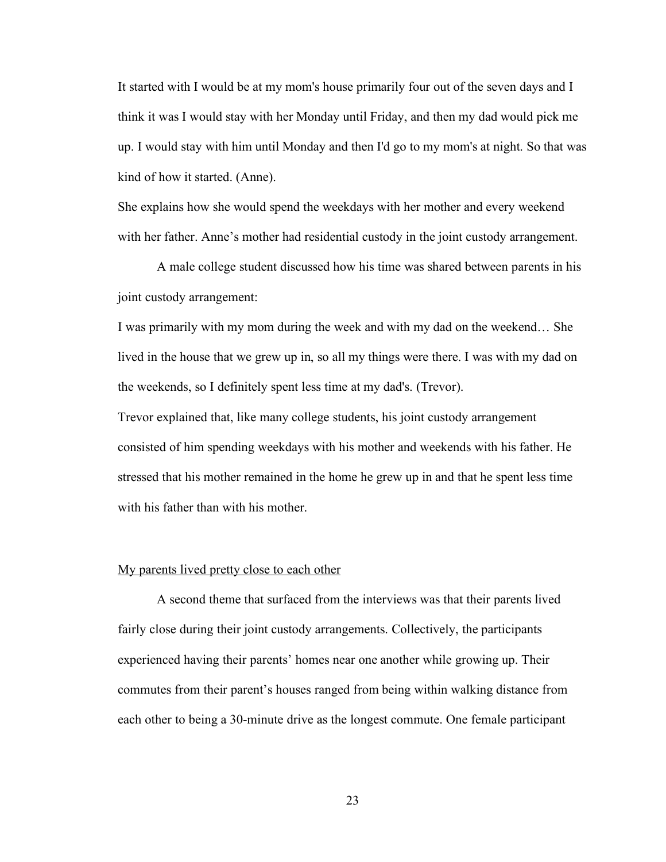It started with I would be at my mom's house primarily four out of the seven days and I think it was I would stay with her Monday until Friday, and then my dad would pick me up. I would stay with him until Monday and then I'd go to my mom's at night. So that was kind of how it started. (Anne).

She explains how she would spend the weekdays with her mother and every weekend with her father. Anne's mother had residential custody in the joint custody arrangement.

A male college student discussed how his time was shared between parents in his joint custody arrangement:

I was primarily with my mom during the week and with my dad on the weekend… She lived in the house that we grew up in, so all my things were there. I was with my dad on the weekends, so I definitely spent less time at my dad's. (Trevor).

Trevor explained that, like many college students, his joint custody arrangement consisted of him spending weekdays with his mother and weekends with his father. He stressed that his mother remained in the home he grew up in and that he spent less time with his father than with his mother.

### My parents lived pretty close to each other

A second theme that surfaced from the interviews was that their parents lived fairly close during their joint custody arrangements. Collectively, the participants experienced having their parents' homes near one another while growing up. Their commutes from their parent's houses ranged from being within walking distance from each other to being a 30-minute drive as the longest commute. One female participant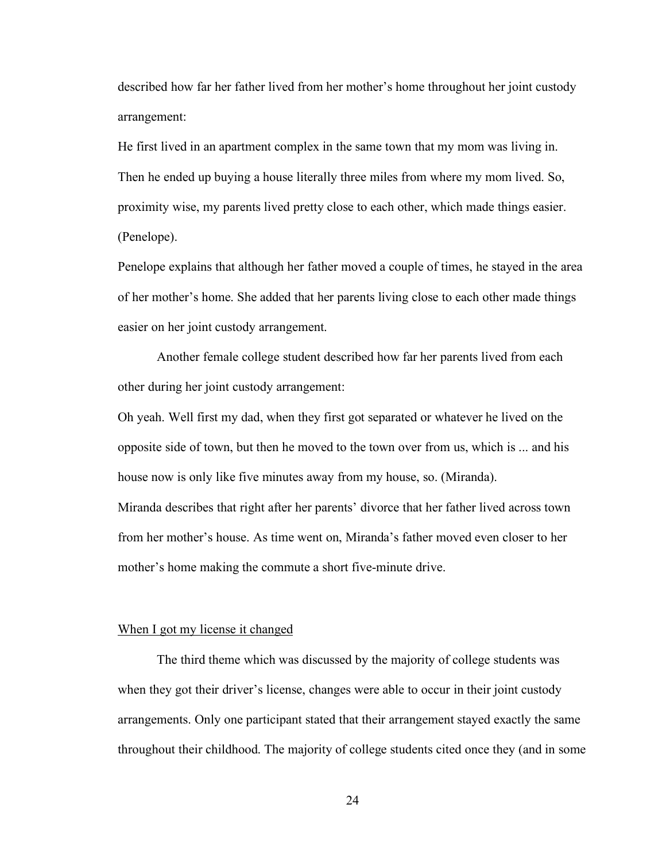described how far her father lived from her mother's home throughout her joint custody arrangement:

He first lived in an apartment complex in the same town that my mom was living in. Then he ended up buying a house literally three miles from where my mom lived. So, proximity wise, my parents lived pretty close to each other, which made things easier. (Penelope).

Penelope explains that although her father moved a couple of times, he stayed in the area of her mother's home. She added that her parents living close to each other made things easier on her joint custody arrangement.

Another female college student described how far her parents lived from each other during her joint custody arrangement:

Oh yeah. Well first my dad, when they first got separated or whatever he lived on the opposite side of town, but then he moved to the town over from us, which is ... and his house now is only like five minutes away from my house, so. (Miranda). Miranda describes that right after her parents' divorce that her father lived across town from her mother's house. As time went on, Miranda's father moved even closer to her

mother's home making the commute a short five-minute drive.

### When I got my license it changed

The third theme which was discussed by the majority of college students was when they got their driver's license, changes were able to occur in their joint custody arrangements. Only one participant stated that their arrangement stayed exactly the same throughout their childhood. The majority of college students cited once they (and in some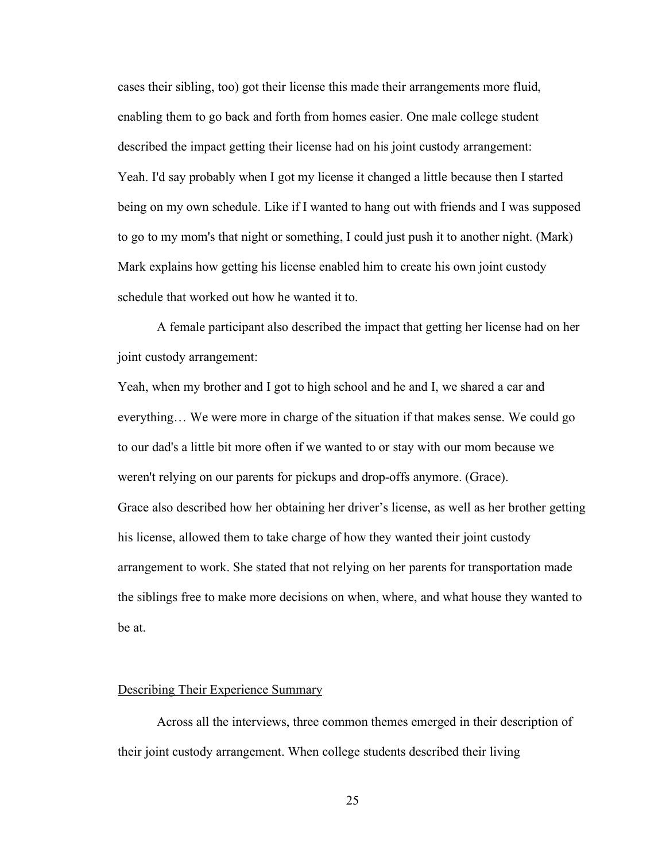cases their sibling, too) got their license this made their arrangements more fluid, enabling them to go back and forth from homes easier. One male college student described the impact getting their license had on his joint custody arrangement: Yeah. I'd say probably when I got my license it changed a little because then I started being on my own schedule. Like if I wanted to hang out with friends and I was supposed to go to my mom's that night or something, I could just push it to another night. (Mark) Mark explains how getting his license enabled him to create his own joint custody schedule that worked out how he wanted it to.

A female participant also described the impact that getting her license had on her joint custody arrangement:

Yeah, when my brother and I got to high school and he and I, we shared a car and everything… We were more in charge of the situation if that makes sense. We could go to our dad's a little bit more often if we wanted to or stay with our mom because we weren't relying on our parents for pickups and drop-offs anymore. (Grace). Grace also described how her obtaining her driver's license, as well as her brother getting his license, allowed them to take charge of how they wanted their joint custody arrangement to work. She stated that not relying on her parents for transportation made the siblings free to make more decisions on when, where, and what house they wanted to be at.

### Describing Their Experience Summary

Across all the interviews, three common themes emerged in their description of their joint custody arrangement. When college students described their living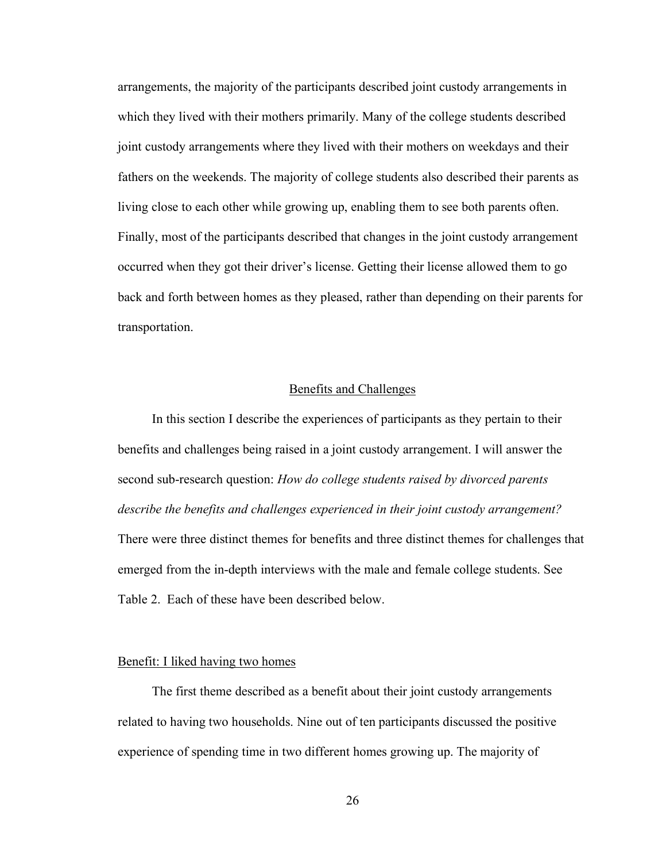arrangements, the majority of the participants described joint custody arrangements in which they lived with their mothers primarily. Many of the college students described joint custody arrangements where they lived with their mothers on weekdays and their fathers on the weekends. The majority of college students also described their parents as living close to each other while growing up, enabling them to see both parents often. Finally, most of the participants described that changes in the joint custody arrangement occurred when they got their driver's license. Getting their license allowed them to go back and forth between homes as they pleased, rather than depending on their parents for transportation.

### Benefits and Challenges

In this section I describe the experiences of participants as they pertain to their benefits and challenges being raised in a joint custody arrangement. I will answer the second sub-research question: *How do college students raised by divorced parents describe the benefits and challenges experienced in their joint custody arrangement?*  There were three distinct themes for benefits and three distinct themes for challenges that emerged from the in-depth interviews with the male and female college students. See Table 2. Each of these have been described below.

### Benefit: I liked having two homes

The first theme described as a benefit about their joint custody arrangements related to having two households. Nine out of ten participants discussed the positive experience of spending time in two different homes growing up. The majority of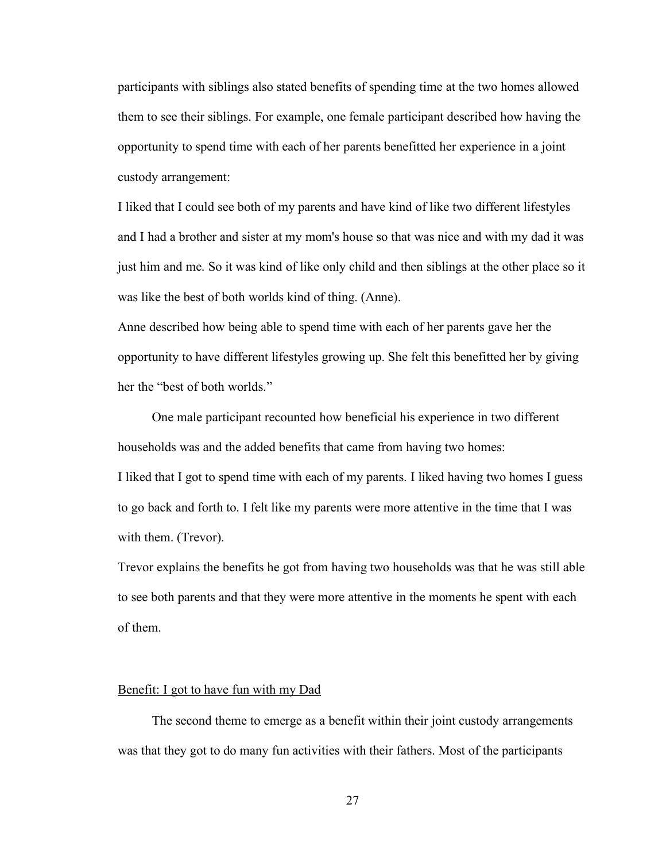participants with siblings also stated benefits of spending time at the two homes allowed them to see their siblings. For example, one female participant described how having the opportunity to spend time with each of her parents benefitted her experience in a joint custody arrangement:

I liked that I could see both of my parents and have kind of like two different lifestyles and I had a brother and sister at my mom's house so that was nice and with my dad it was just him and me. So it was kind of like only child and then siblings at the other place so it was like the best of both worlds kind of thing. (Anne).

Anne described how being able to spend time with each of her parents gave her the opportunity to have different lifestyles growing up. She felt this benefitted her by giving her the "best of both worlds."

One male participant recounted how beneficial his experience in two different households was and the added benefits that came from having two homes: I liked that I got to spend time with each of my parents. I liked having two homes I guess to go back and forth to. I felt like my parents were more attentive in the time that I was with them. (Trevor).

Trevor explains the benefits he got from having two households was that he was still able to see both parents and that they were more attentive in the moments he spent with each of them.

#### Benefit: I got to have fun with my Dad

The second theme to emerge as a benefit within their joint custody arrangements was that they got to do many fun activities with their fathers. Most of the participants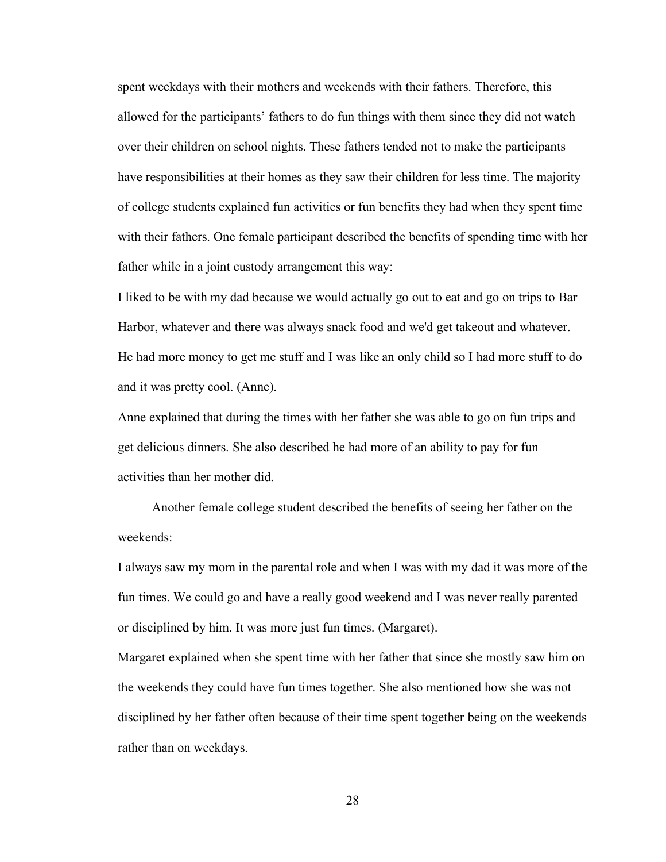spent weekdays with their mothers and weekends with their fathers. Therefore, this allowed for the participants' fathers to do fun things with them since they did not watch over their children on school nights. These fathers tended not to make the participants have responsibilities at their homes as they saw their children for less time. The majority of college students explained fun activities or fun benefits they had when they spent time with their fathers. One female participant described the benefits of spending time with her father while in a joint custody arrangement this way:

I liked to be with my dad because we would actually go out to eat and go on trips to Bar Harbor, whatever and there was always snack food and we'd get takeout and whatever. He had more money to get me stuff and I was like an only child so I had more stuff to do and it was pretty cool. (Anne).

Anne explained that during the times with her father she was able to go on fun trips and get delicious dinners. She also described he had more of an ability to pay for fun activities than her mother did.

Another female college student described the benefits of seeing her father on the weekends:

I always saw my mom in the parental role and when I was with my dad it was more of the fun times. We could go and have a really good weekend and I was never really parented or disciplined by him. It was more just fun times. (Margaret).

Margaret explained when she spent time with her father that since she mostly saw him on the weekends they could have fun times together. She also mentioned how she was not disciplined by her father often because of their time spent together being on the weekends rather than on weekdays.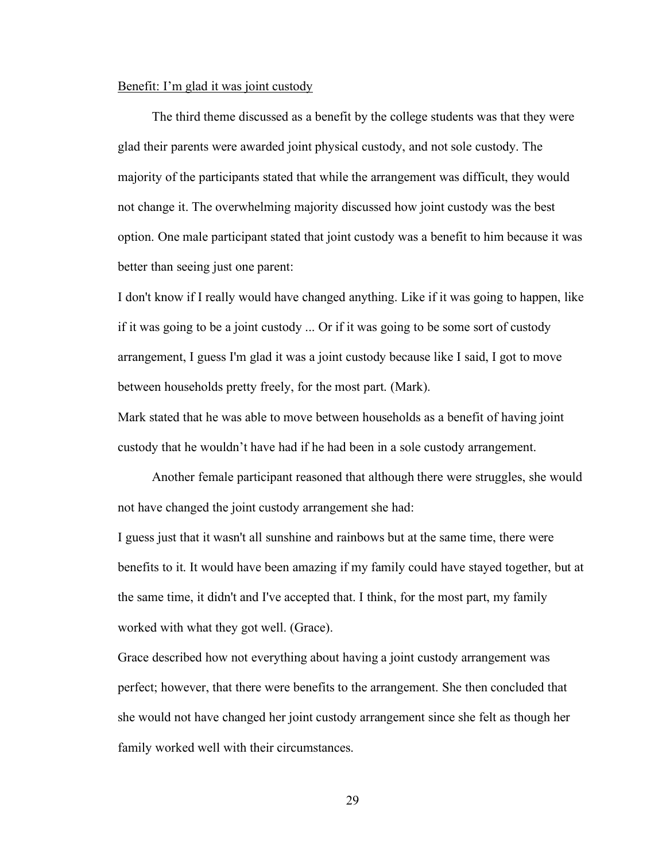#### Benefit: I'm glad it was joint custody

The third theme discussed as a benefit by the college students was that they were glad their parents were awarded joint physical custody, and not sole custody. The majority of the participants stated that while the arrangement was difficult, they would not change it. The overwhelming majority discussed how joint custody was the best option. One male participant stated that joint custody was a benefit to him because it was better than seeing just one parent:

I don't know if I really would have changed anything. Like if it was going to happen, like if it was going to be a joint custody ... Or if it was going to be some sort of custody arrangement, I guess I'm glad it was a joint custody because like I said, I got to move between households pretty freely, for the most part. (Mark).

Mark stated that he was able to move between households as a benefit of having joint custody that he wouldn't have had if he had been in a sole custody arrangement.

Another female participant reasoned that although there were struggles, she would not have changed the joint custody arrangement she had:

I guess just that it wasn't all sunshine and rainbows but at the same time, there were benefits to it. It would have been amazing if my family could have stayed together, but at the same time, it didn't and I've accepted that. I think, for the most part, my family worked with what they got well. (Grace).

Grace described how not everything about having a joint custody arrangement was perfect; however, that there were benefits to the arrangement. She then concluded that she would not have changed her joint custody arrangement since she felt as though her family worked well with their circumstances.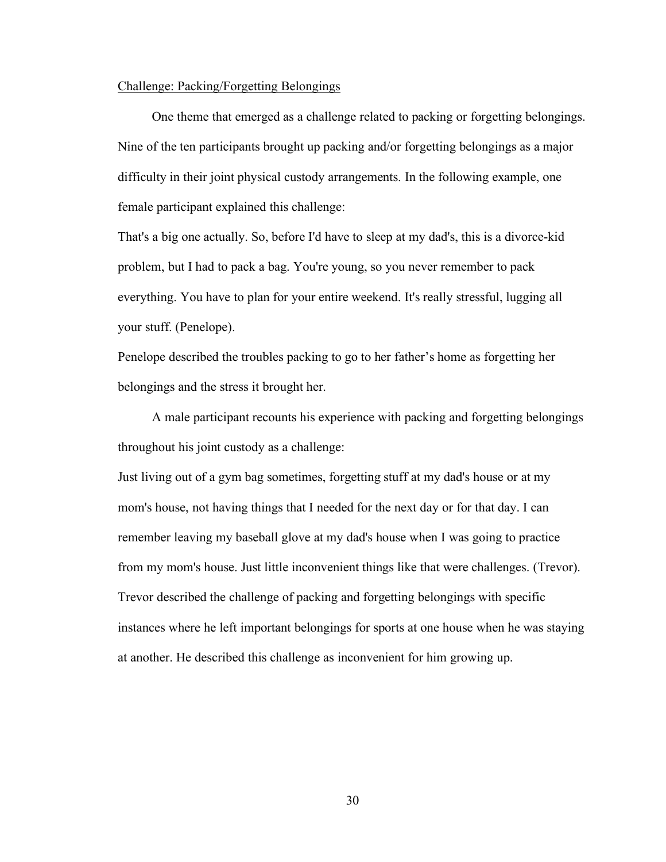# Challenge: Packing/Forgetting Belongings

One theme that emerged as a challenge related to packing or forgetting belongings. Nine of the ten participants brought up packing and/or forgetting belongings as a major difficulty in their joint physical custody arrangements. In the following example, one female participant explained this challenge:

That's a big one actually. So, before I'd have to sleep at my dad's, this is a divorce-kid problem, but I had to pack a bag. You're young, so you never remember to pack everything. You have to plan for your entire weekend. It's really stressful, lugging all your stuff. (Penelope).

Penelope described the troubles packing to go to her father's home as forgetting her belongings and the stress it brought her.

A male participant recounts his experience with packing and forgetting belongings throughout his joint custody as a challenge:

Just living out of a gym bag sometimes, forgetting stuff at my dad's house or at my mom's house, not having things that I needed for the next day or for that day. I can remember leaving my baseball glove at my dad's house when I was going to practice from my mom's house. Just little inconvenient things like that were challenges. (Trevor). Trevor described the challenge of packing and forgetting belongings with specific instances where he left important belongings for sports at one house when he was staying at another. He described this challenge as inconvenient for him growing up.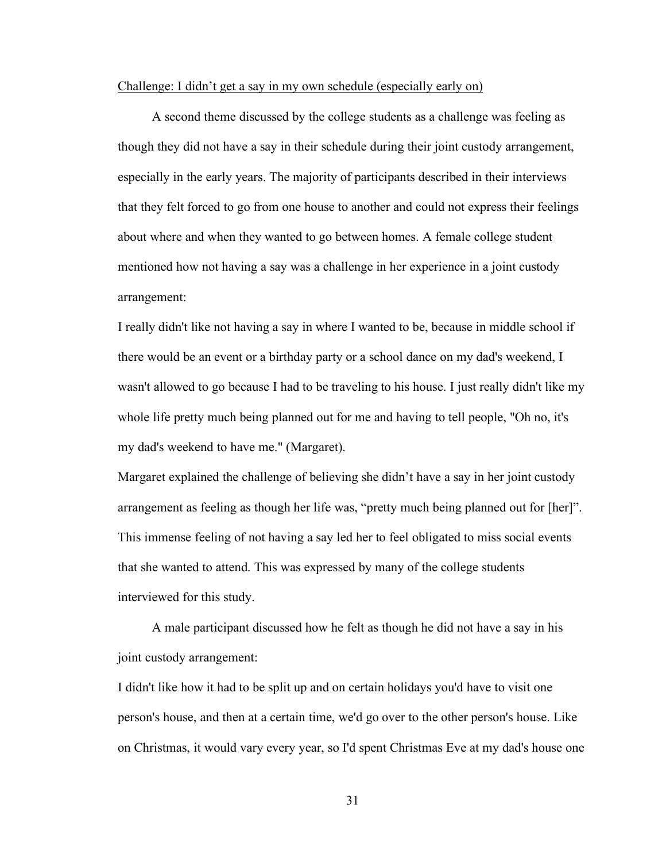#### Challenge: I didn't get a say in my own schedule (especially early on)

A second theme discussed by the college students as a challenge was feeling as though they did not have a say in their schedule during their joint custody arrangement, especially in the early years. The majority of participants described in their interviews that they felt forced to go from one house to another and could not express their feelings about where and when they wanted to go between homes. A female college student mentioned how not having a say was a challenge in her experience in a joint custody arrangement:

I really didn't like not having a say in where I wanted to be, because in middle school if there would be an event or a birthday party or a school dance on my dad's weekend, I wasn't allowed to go because I had to be traveling to his house. I just really didn't like my whole life pretty much being planned out for me and having to tell people, "Oh no, it's my dad's weekend to have me." (Margaret).

Margaret explained the challenge of believing she didn't have a say in her joint custody arrangement as feeling as though her life was, "pretty much being planned out for [her]". This immense feeling of not having a say led her to feel obligated to miss social events that she wanted to attend. This was expressed by many of the college students interviewed for this study.

A male participant discussed how he felt as though he did not have a say in his joint custody arrangement:

I didn't like how it had to be split up and on certain holidays you'd have to visit one person's house, and then at a certain time, we'd go over to the other person's house. Like on Christmas, it would vary every year, so I'd spent Christmas Eve at my dad's house one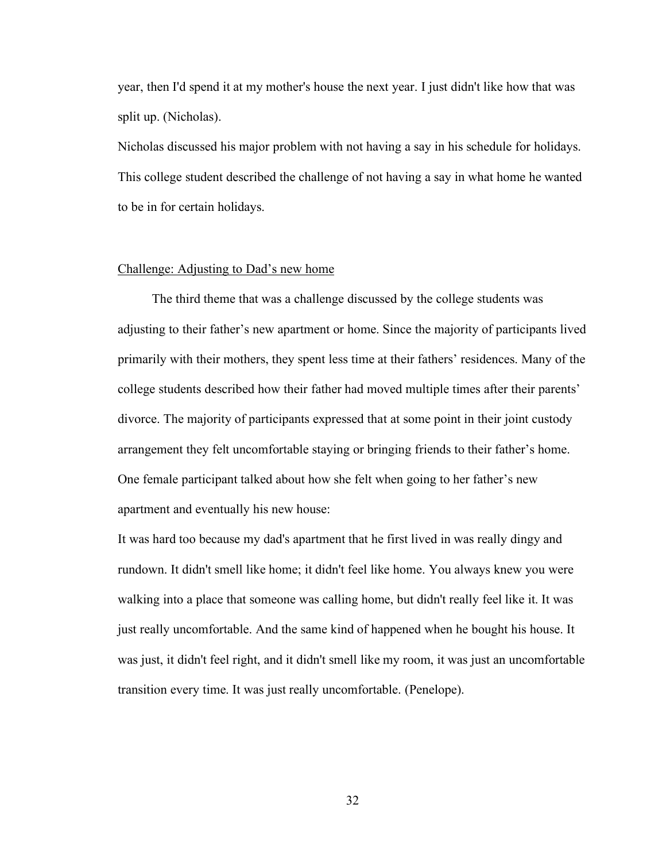year, then I'd spend it at my mother's house the next year. I just didn't like how that was split up. (Nicholas).

Nicholas discussed his major problem with not having a say in his schedule for holidays. This college student described the challenge of not having a say in what home he wanted to be in for certain holidays.

# Challenge: Adjusting to Dad's new home

The third theme that was a challenge discussed by the college students was adjusting to their father's new apartment or home. Since the majority of participants lived primarily with their mothers, they spent less time at their fathers' residences. Many of the college students described how their father had moved multiple times after their parents' divorce. The majority of participants expressed that at some point in their joint custody arrangement they felt uncomfortable staying or bringing friends to their father's home. One female participant talked about how she felt when going to her father's new apartment and eventually his new house:

It was hard too because my dad's apartment that he first lived in was really dingy and rundown. It didn't smell like home; it didn't feel like home. You always knew you were walking into a place that someone was calling home, but didn't really feel like it. It was just really uncomfortable. And the same kind of happened when he bought his house. It was just, it didn't feel right, and it didn't smell like my room, it was just an uncomfortable transition every time. It was just really uncomfortable. (Penelope).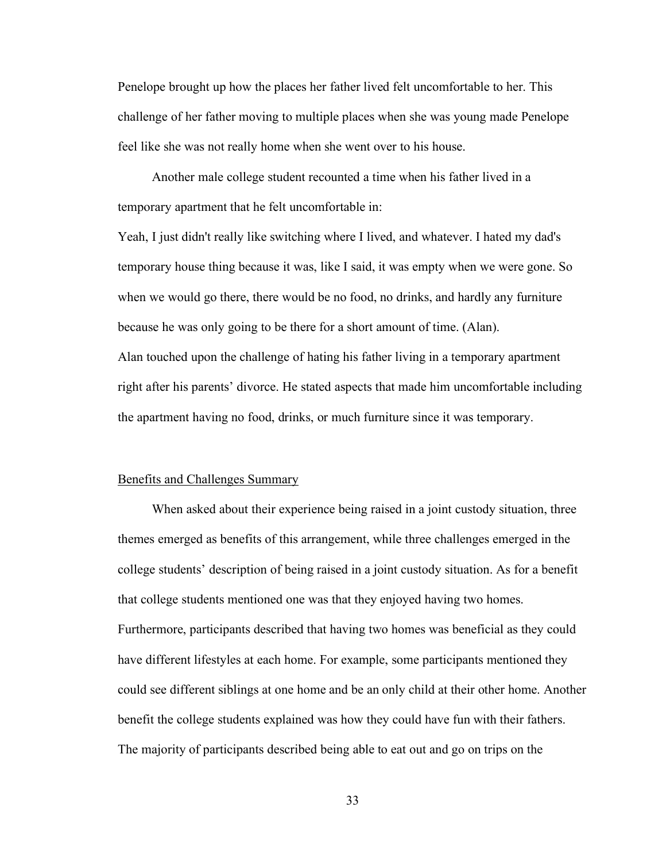Penelope brought up how the places her father lived felt uncomfortable to her. This challenge of her father moving to multiple places when she was young made Penelope feel like she was not really home when she went over to his house.

Another male college student recounted a time when his father lived in a temporary apartment that he felt uncomfortable in:

Yeah, I just didn't really like switching where I lived, and whatever. I hated my dad's temporary house thing because it was, like I said, it was empty when we were gone. So when we would go there, there would be no food, no drinks, and hardly any furniture because he was only going to be there for a short amount of time. (Alan). Alan touched upon the challenge of hating his father living in a temporary apartment right after his parents' divorce. He stated aspects that made him uncomfortable including the apartment having no food, drinks, or much furniture since it was temporary.

# Benefits and Challenges Summary

When asked about their experience being raised in a joint custody situation, three themes emerged as benefits of this arrangement, while three challenges emerged in the college students' description of being raised in a joint custody situation. As for a benefit that college students mentioned one was that they enjoyed having two homes. Furthermore, participants described that having two homes was beneficial as they could have different lifestyles at each home. For example, some participants mentioned they could see different siblings at one home and be an only child at their other home. Another benefit the college students explained was how they could have fun with their fathers. The majority of participants described being able to eat out and go on trips on the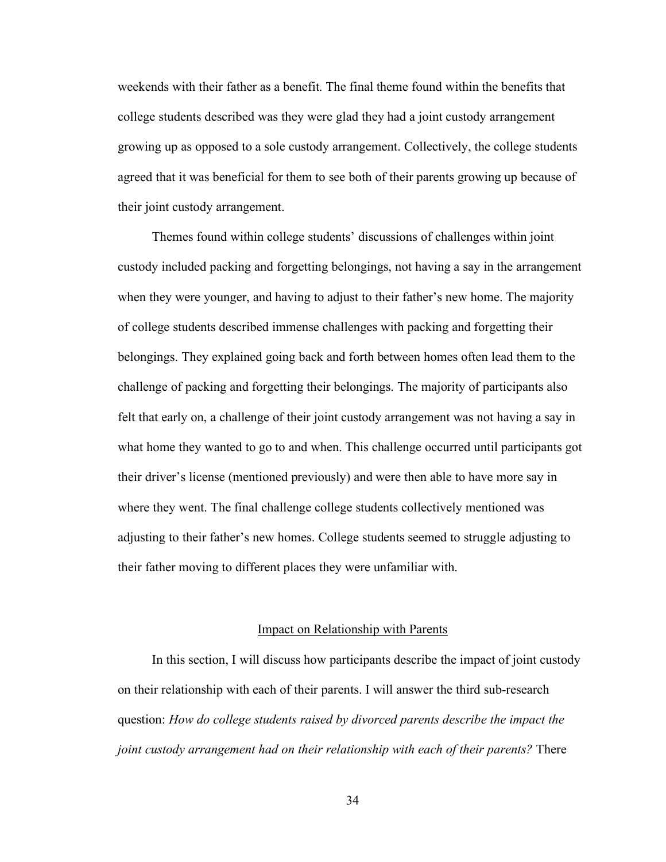weekends with their father as a benefit. The final theme found within the benefits that college students described was they were glad they had a joint custody arrangement growing up as opposed to a sole custody arrangement. Collectively, the college students agreed that it was beneficial for them to see both of their parents growing up because of their joint custody arrangement.

Themes found within college students' discussions of challenges within joint custody included packing and forgetting belongings, not having a say in the arrangement when they were younger, and having to adjust to their father's new home. The majority of college students described immense challenges with packing and forgetting their belongings. They explained going back and forth between homes often lead them to the challenge of packing and forgetting their belongings. The majority of participants also felt that early on, a challenge of their joint custody arrangement was not having a say in what home they wanted to go to and when. This challenge occurred until participants got their driver's license (mentioned previously) and were then able to have more say in where they went. The final challenge college students collectively mentioned was adjusting to their father's new homes. College students seemed to struggle adjusting to their father moving to different places they were unfamiliar with.

# Impact on Relationship with Parents

In this section, I will discuss how participants describe the impact of joint custody on their relationship with each of their parents. I will answer the third sub-research question: *How do college students raised by divorced parents describe the impact the joint custody arrangement had on their relationship with each of their parents?* There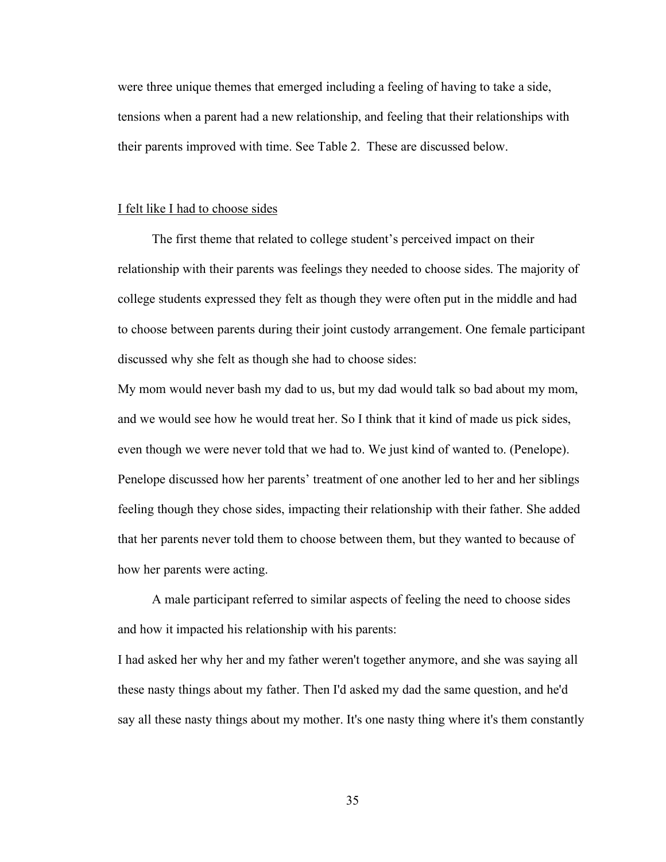were three unique themes that emerged including a feeling of having to take a side, tensions when a parent had a new relationship, and feeling that their relationships with their parents improved with time. See Table 2. These are discussed below.

## I felt like I had to choose sides

The first theme that related to college student's perceived impact on their relationship with their parents was feelings they needed to choose sides. The majority of college students expressed they felt as though they were often put in the middle and had to choose between parents during their joint custody arrangement. One female participant discussed why she felt as though she had to choose sides:

My mom would never bash my dad to us, but my dad would talk so bad about my mom, and we would see how he would treat her. So I think that it kind of made us pick sides, even though we were never told that we had to. We just kind of wanted to. (Penelope). Penelope discussed how her parents' treatment of one another led to her and her siblings feeling though they chose sides, impacting their relationship with their father. She added that her parents never told them to choose between them, but they wanted to because of how her parents were acting.

A male participant referred to similar aspects of feeling the need to choose sides and how it impacted his relationship with his parents:

I had asked her why her and my father weren't together anymore, and she was saying all these nasty things about my father. Then I'd asked my dad the same question, and he'd say all these nasty things about my mother. It's one nasty thing where it's them constantly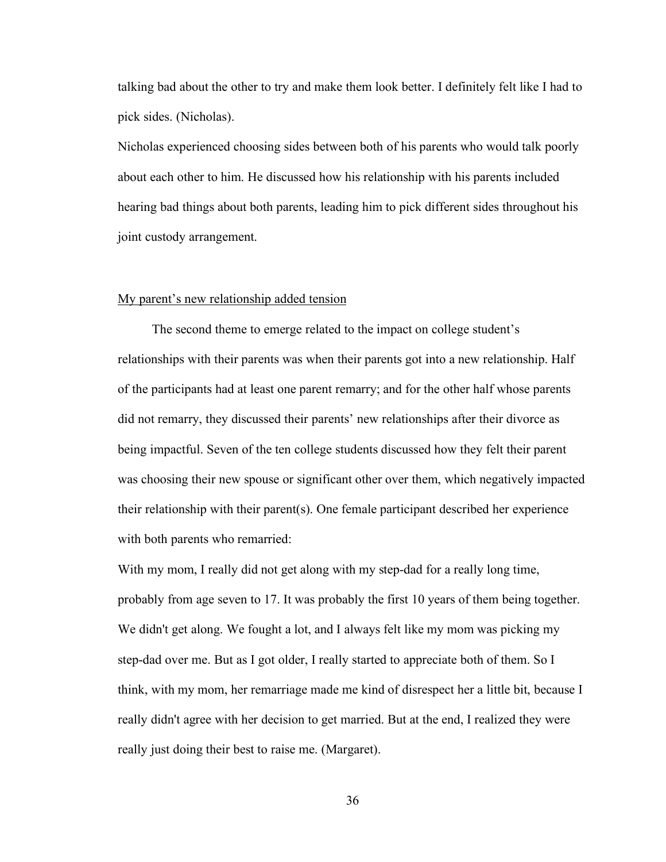talking bad about the other to try and make them look better. I definitely felt like I had to pick sides. (Nicholas).

Nicholas experienced choosing sides between both of his parents who would talk poorly about each other to him. He discussed how his relationship with his parents included hearing bad things about both parents, leading him to pick different sides throughout his joint custody arrangement.

## My parent's new relationship added tension

The second theme to emerge related to the impact on college student's relationships with their parents was when their parents got into a new relationship. Half of the participants had at least one parent remarry; and for the other half whose parents did not remarry, they discussed their parents' new relationships after their divorce as being impactful. Seven of the ten college students discussed how they felt their parent was choosing their new spouse or significant other over them, which negatively impacted their relationship with their parent(s). One female participant described her experience with both parents who remarried:

With my mom, I really did not get along with my step-dad for a really long time, probably from age seven to 17. It was probably the first 10 years of them being together. We didn't get along. We fought a lot, and I always felt like my mom was picking my step-dad over me. But as I got older, I really started to appreciate both of them. So I think, with my mom, her remarriage made me kind of disrespect her a little bit, because I really didn't agree with her decision to get married. But at the end, I realized they were really just doing their best to raise me. (Margaret).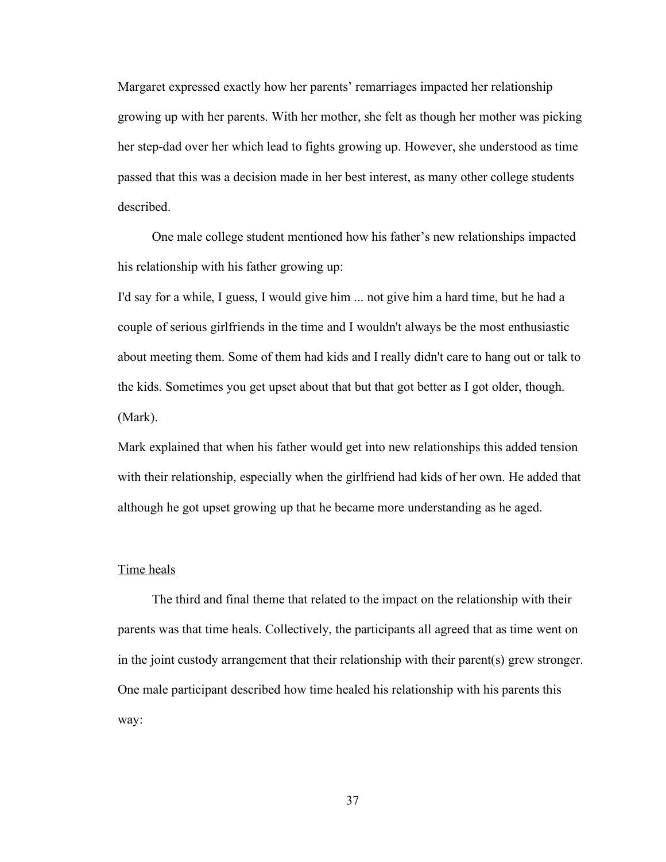Margaret expressed exactly how her parents' remarriages impacted her relationship growing up with her parents. With her mother, she felt as though her mother was picking her step-dad over her which lead to fights growing up. However, she understood as time passed that this was a decision made in her best interest, as many other college students described.

One male college student mentioned how his father's new relationships impacted his relationship with his father growing up:

I'd say for a while, I guess, I would give him ... not give him a hard time, but he had a couple of serious girlfriends in the time and I wouldn't always be the most enthusiastic about meeting them. Some of them had kids and I really didn't care to hang out or talk to the kids. Sometimes you get upset about that but that got better as I got older, though. (Mark).

Mark explained that when his father would get into new relationships this added tension with their relationship, especially when the girlfriend had kids of her own. He added that although he got upset growing up that he became more understanding as he aged.

#### Time heals

The third and final theme that related to the impact on the relationship with their parents was that time heals. Collectively, the participants all agreed that as time went on in the joint custody arrangement that their relationship with their parent(s) grew stronger. One male participant described how time healed his relationship with his parents this way: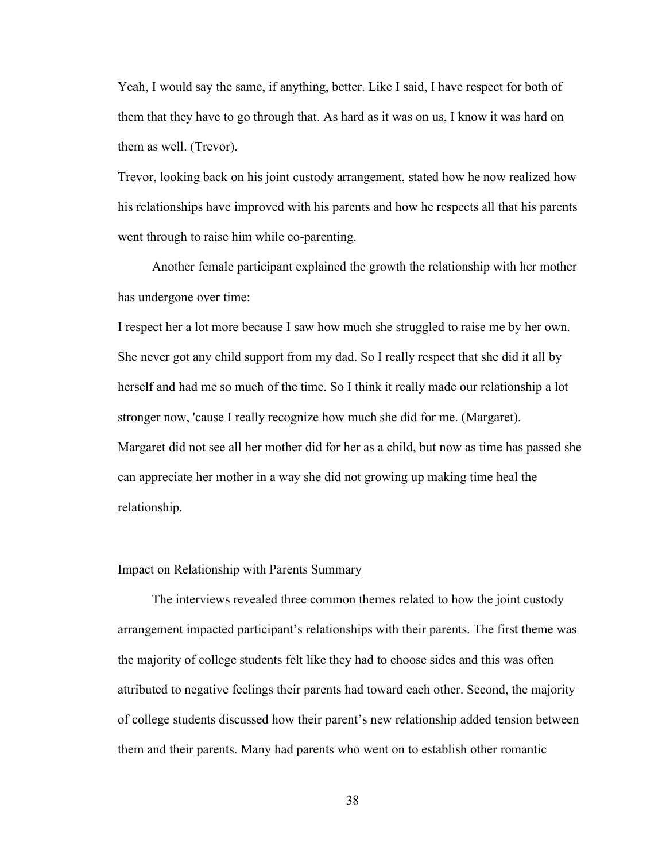Yeah, I would say the same, if anything, better. Like I said, I have respect for both of them that they have to go through that. As hard as it was on us, I know it was hard on them as well. (Trevor).

Trevor, looking back on his joint custody arrangement, stated how he now realized how his relationships have improved with his parents and how he respects all that his parents went through to raise him while co-parenting.

Another female participant explained the growth the relationship with her mother has undergone over time:

I respect her a lot more because I saw how much she struggled to raise me by her own. She never got any child support from my dad. So I really respect that she did it all by herself and had me so much of the time. So I think it really made our relationship a lot stronger now, 'cause I really recognize how much she did for me. (Margaret). Margaret did not see all her mother did for her as a child, but now as time has passed she can appreciate her mother in a way she did not growing up making time heal the relationship.

## Impact on Relationship with Parents Summary

The interviews revealed three common themes related to how the joint custody arrangement impacted participant's relationships with their parents. The first theme was the majority of college students felt like they had to choose sides and this was often attributed to negative feelings their parents had toward each other. Second, the majority of college students discussed how their parent's new relationship added tension between them and their parents. Many had parents who went on to establish other romantic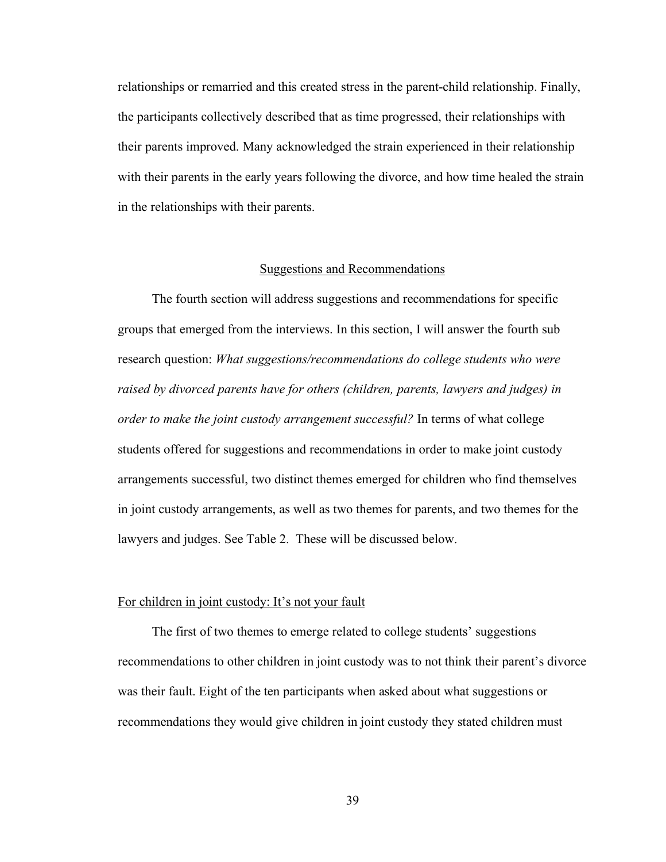relationships or remarried and this created stress in the parent-child relationship. Finally, the participants collectively described that as time progressed, their relationships with their parents improved. Many acknowledged the strain experienced in their relationship with their parents in the early years following the divorce, and how time healed the strain in the relationships with their parents.

# Suggestions and Recommendations

The fourth section will address suggestions and recommendations for specific groups that emerged from the interviews. In this section, I will answer the fourth sub research question: *What suggestions/recommendations do college students who were raised by divorced parents have for others (children, parents, lawyers and judges) in order to make the joint custody arrangement successful?* In terms of what college students offered for suggestions and recommendations in order to make joint custody arrangements successful, two distinct themes emerged for children who find themselves in joint custody arrangements, as well as two themes for parents, and two themes for the lawyers and judges. See Table 2. These will be discussed below.

## For children in joint custody: It's not your fault

The first of two themes to emerge related to college students' suggestions recommendations to other children in joint custody was to not think their parent's divorce was their fault. Eight of the ten participants when asked about what suggestions or recommendations they would give children in joint custody they stated children must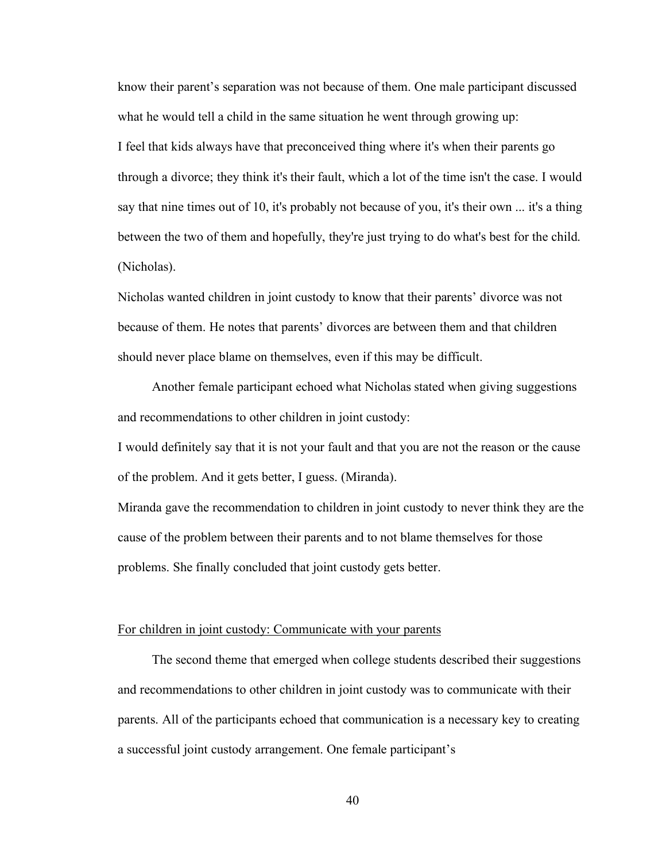know their parent's separation was not because of them. One male participant discussed what he would tell a child in the same situation he went through growing up: I feel that kids always have that preconceived thing where it's when their parents go through a divorce; they think it's their fault, which a lot of the time isn't the case. I would say that nine times out of 10, it's probably not because of you, it's their own ... it's a thing between the two of them and hopefully, they're just trying to do what's best for the child. (Nicholas).

Nicholas wanted children in joint custody to know that their parents' divorce was not because of them. He notes that parents' divorces are between them and that children should never place blame on themselves, even if this may be difficult.

Another female participant echoed what Nicholas stated when giving suggestions and recommendations to other children in joint custody:

I would definitely say that it is not your fault and that you are not the reason or the cause of the problem. And it gets better, I guess. (Miranda).

Miranda gave the recommendation to children in joint custody to never think they are the cause of the problem between their parents and to not blame themselves for those problems. She finally concluded that joint custody gets better.

# For children in joint custody: Communicate with your parents

The second theme that emerged when college students described their suggestions and recommendations to other children in joint custody was to communicate with their parents. All of the participants echoed that communication is a necessary key to creating a successful joint custody arrangement. One female participant's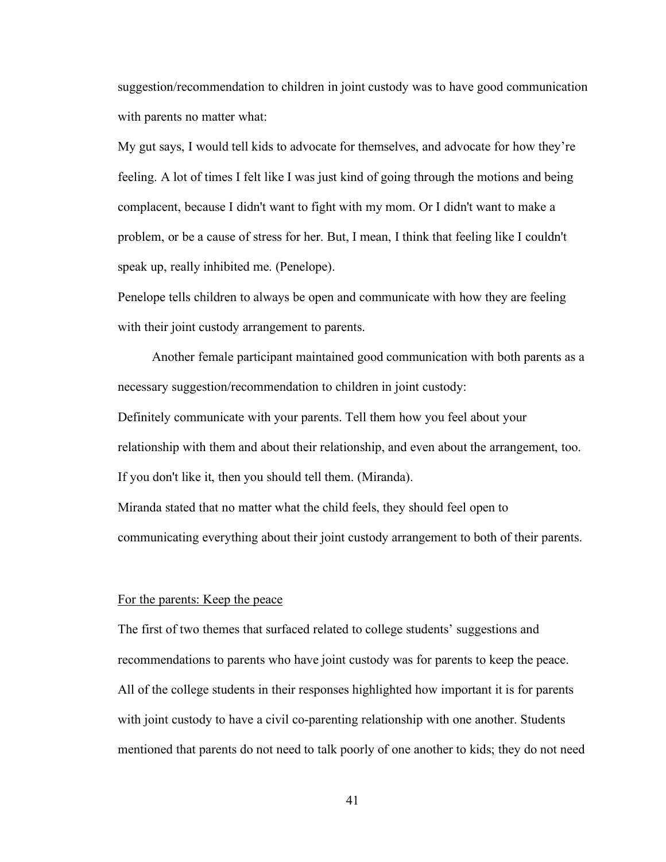suggestion/recommendation to children in joint custody was to have good communication with parents no matter what:

My gut says, I would tell kids to advocate for themselves, and advocate for how they're feeling. A lot of times I felt like I was just kind of going through the motions and being complacent, because I didn't want to fight with my mom. Or I didn't want to make a problem, or be a cause of stress for her. But, I mean, I think that feeling like I couldn't speak up, really inhibited me. (Penelope).

Penelope tells children to always be open and communicate with how they are feeling with their joint custody arrangement to parents.

Another female participant maintained good communication with both parents as a necessary suggestion/recommendation to children in joint custody: Definitely communicate with your parents. Tell them how you feel about your relationship with them and about their relationship, and even about the arrangement, too. If you don't like it, then you should tell them. (Miranda). Miranda stated that no matter what the child feels, they should feel open to communicating everything about their joint custody arrangement to both of their parents.

# For the parents: Keep the peace

The first of two themes that surfaced related to college students' suggestions and recommendations to parents who have joint custody was for parents to keep the peace. All of the college students in their responses highlighted how important it is for parents with joint custody to have a civil co-parenting relationship with one another. Students mentioned that parents do not need to talk poorly of one another to kids; they do not need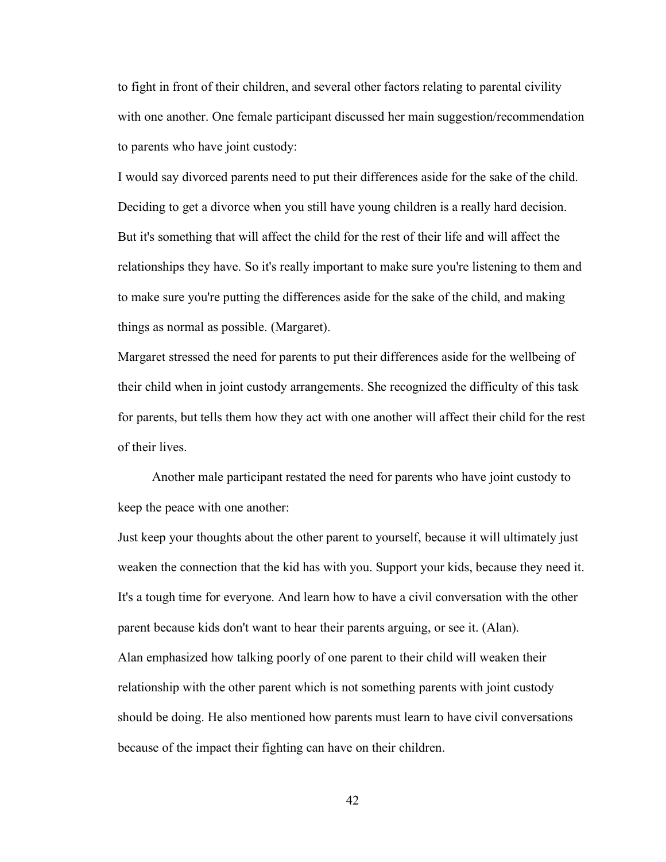to fight in front of their children, and several other factors relating to parental civility with one another. One female participant discussed her main suggestion/recommendation to parents who have joint custody:

I would say divorced parents need to put their differences aside for the sake of the child. Deciding to get a divorce when you still have young children is a really hard decision. But it's something that will affect the child for the rest of their life and will affect the relationships they have. So it's really important to make sure you're listening to them and to make sure you're putting the differences aside for the sake of the child, and making things as normal as possible. (Margaret).

Margaret stressed the need for parents to put their differences aside for the wellbeing of their child when in joint custody arrangements. She recognized the difficulty of this task for parents, but tells them how they act with one another will affect their child for the rest of their lives.

Another male participant restated the need for parents who have joint custody to keep the peace with one another:

Just keep your thoughts about the other parent to yourself, because it will ultimately just weaken the connection that the kid has with you. Support your kids, because they need it. It's a tough time for everyone. And learn how to have a civil conversation with the other parent because kids don't want to hear their parents arguing, or see it. (Alan). Alan emphasized how talking poorly of one parent to their child will weaken their relationship with the other parent which is not something parents with joint custody should be doing. He also mentioned how parents must learn to have civil conversations because of the impact their fighting can have on their children.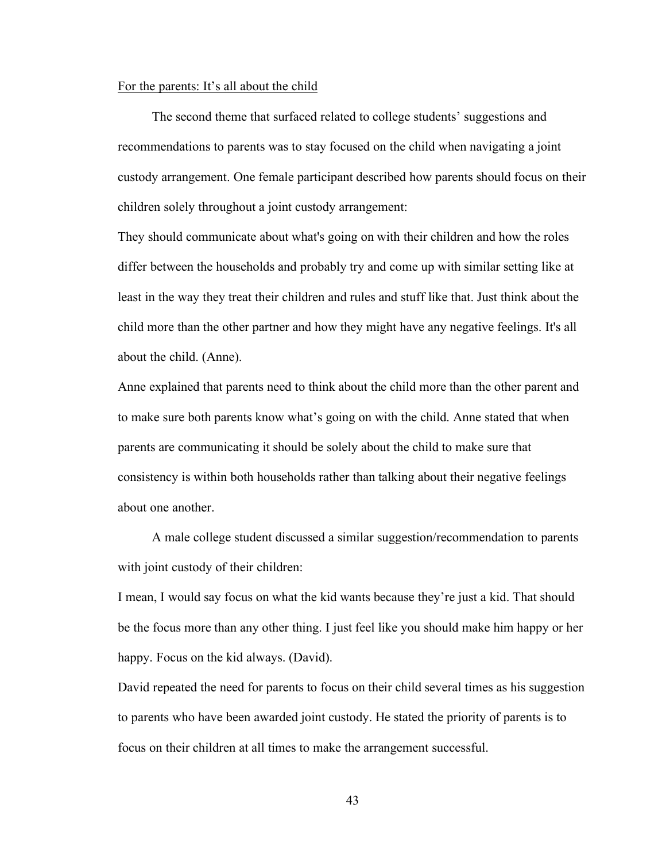#### For the parents: It's all about the child

The second theme that surfaced related to college students' suggestions and recommendations to parents was to stay focused on the child when navigating a joint custody arrangement. One female participant described how parents should focus on their children solely throughout a joint custody arrangement:

They should communicate about what's going on with their children and how the roles differ between the households and probably try and come up with similar setting like at least in the way they treat their children and rules and stuff like that. Just think about the child more than the other partner and how they might have any negative feelings. It's all about the child. (Anne).

Anne explained that parents need to think about the child more than the other parent and to make sure both parents know what's going on with the child. Anne stated that when parents are communicating it should be solely about the child to make sure that consistency is within both households rather than talking about their negative feelings about one another.

A male college student discussed a similar suggestion/recommendation to parents with joint custody of their children:

I mean, I would say focus on what the kid wants because they're just a kid. That should be the focus more than any other thing. I just feel like you should make him happy or her happy. Focus on the kid always. (David).

David repeated the need for parents to focus on their child several times as his suggestion to parents who have been awarded joint custody. He stated the priority of parents is to focus on their children at all times to make the arrangement successful.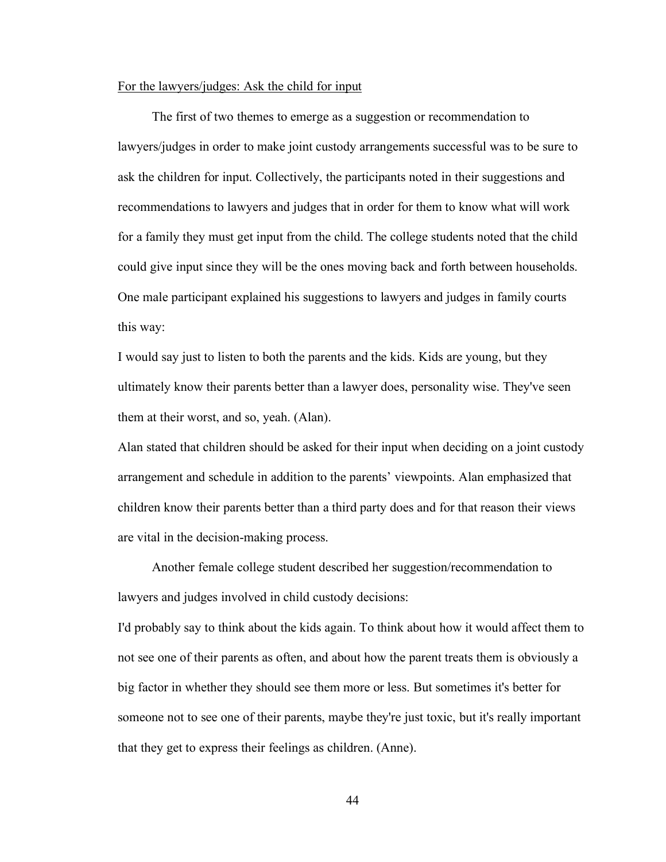#### For the lawyers/judges: Ask the child for input

The first of two themes to emerge as a suggestion or recommendation to lawyers/judges in order to make joint custody arrangements successful was to be sure to ask the children for input. Collectively, the participants noted in their suggestions and recommendations to lawyers and judges that in order for them to know what will work for a family they must get input from the child. The college students noted that the child could give input since they will be the ones moving back and forth between households. One male participant explained his suggestions to lawyers and judges in family courts this way:

I would say just to listen to both the parents and the kids. Kids are young, but they ultimately know their parents better than a lawyer does, personality wise. They've seen them at their worst, and so, yeah. (Alan).

Alan stated that children should be asked for their input when deciding on a joint custody arrangement and schedule in addition to the parents' viewpoints. Alan emphasized that children know their parents better than a third party does and for that reason their views are vital in the decision-making process.

Another female college student described her suggestion/recommendation to lawyers and judges involved in child custody decisions:

I'd probably say to think about the kids again. To think about how it would affect them to not see one of their parents as often, and about how the parent treats them is obviously a big factor in whether they should see them more or less. But sometimes it's better for someone not to see one of their parents, maybe they're just toxic, but it's really important that they get to express their feelings as children. (Anne).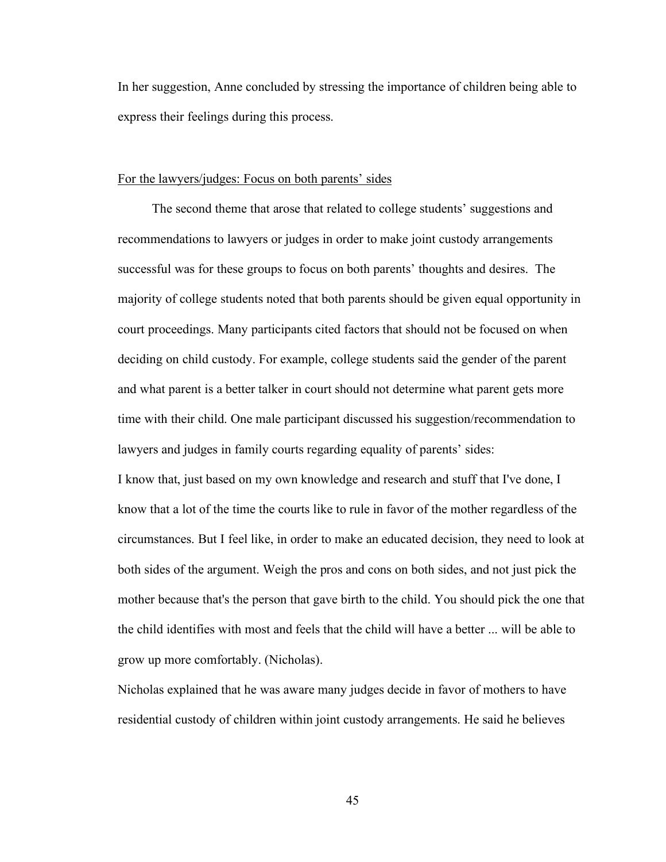In her suggestion, Anne concluded by stressing the importance of children being able to express their feelings during this process.

## For the lawyers/judges: Focus on both parents' sides

The second theme that arose that related to college students' suggestions and recommendations to lawyers or judges in order to make joint custody arrangements successful was for these groups to focus on both parents' thoughts and desires. The majority of college students noted that both parents should be given equal opportunity in court proceedings. Many participants cited factors that should not be focused on when deciding on child custody. For example, college students said the gender of the parent and what parent is a better talker in court should not determine what parent gets more time with their child. One male participant discussed his suggestion/recommendation to lawyers and judges in family courts regarding equality of parents' sides:

I know that, just based on my own knowledge and research and stuff that I've done, I know that a lot of the time the courts like to rule in favor of the mother regardless of the circumstances. But I feel like, in order to make an educated decision, they need to look at both sides of the argument. Weigh the pros and cons on both sides, and not just pick the mother because that's the person that gave birth to the child. You should pick the one that the child identifies with most and feels that the child will have a better ... will be able to grow up more comfortably. (Nicholas).

Nicholas explained that he was aware many judges decide in favor of mothers to have residential custody of children within joint custody arrangements. He said he believes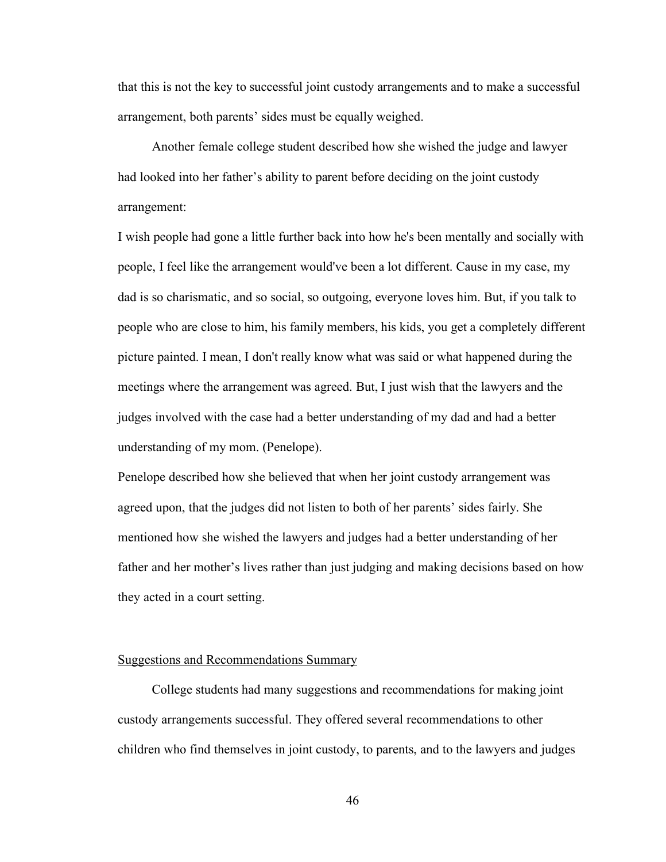that this is not the key to successful joint custody arrangements and to make a successful arrangement, both parents' sides must be equally weighed.

Another female college student described how she wished the judge and lawyer had looked into her father's ability to parent before deciding on the joint custody arrangement:

I wish people had gone a little further back into how he's been mentally and socially with people, I feel like the arrangement would've been a lot different. Cause in my case, my dad is so charismatic, and so social, so outgoing, everyone loves him. But, if you talk to people who are close to him, his family members, his kids, you get a completely different picture painted. I mean, I don't really know what was said or what happened during the meetings where the arrangement was agreed. But, I just wish that the lawyers and the judges involved with the case had a better understanding of my dad and had a better understanding of my mom. (Penelope).

Penelope described how she believed that when her joint custody arrangement was agreed upon, that the judges did not listen to both of her parents' sides fairly. She mentioned how she wished the lawyers and judges had a better understanding of her father and her mother's lives rather than just judging and making decisions based on how they acted in a court setting.

# Suggestions and Recommendations Summary

College students had many suggestions and recommendations for making joint custody arrangements successful. They offered several recommendations to other children who find themselves in joint custody, to parents, and to the lawyers and judges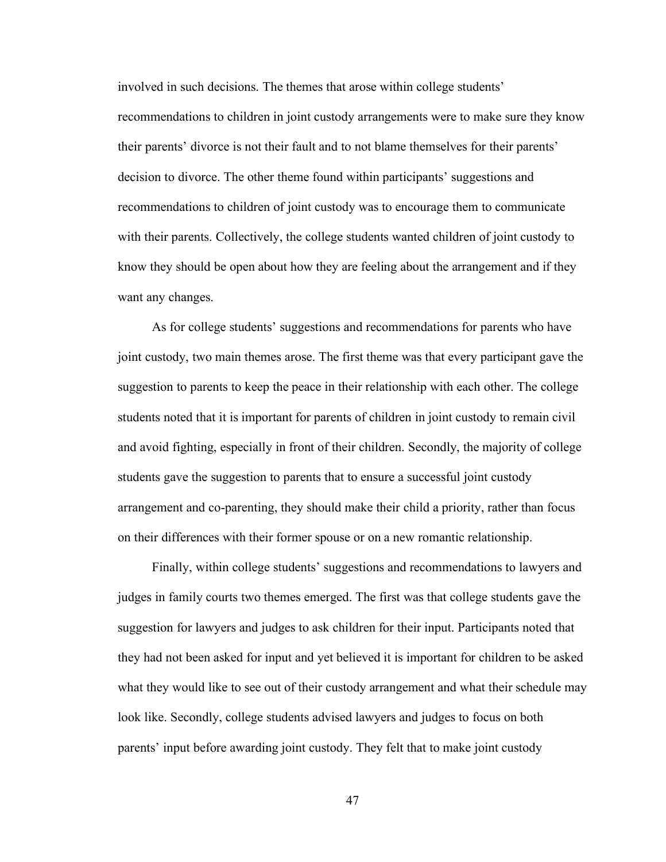involved in such decisions. The themes that arose within college students' recommendations to children in joint custody arrangements were to make sure they know their parents' divorce is not their fault and to not blame themselves for their parents' decision to divorce. The other theme found within participants' suggestions and recommendations to children of joint custody was to encourage them to communicate with their parents. Collectively, the college students wanted children of joint custody to know they should be open about how they are feeling about the arrangement and if they want any changes.

As for college students' suggestions and recommendations for parents who have joint custody, two main themes arose. The first theme was that every participant gave the suggestion to parents to keep the peace in their relationship with each other. The college students noted that it is important for parents of children in joint custody to remain civil and avoid fighting, especially in front of their children. Secondly, the majority of college students gave the suggestion to parents that to ensure a successful joint custody arrangement and co-parenting, they should make their child a priority, rather than focus on their differences with their former spouse or on a new romantic relationship.

Finally, within college students' suggestions and recommendations to lawyers and judges in family courts two themes emerged. The first was that college students gave the suggestion for lawyers and judges to ask children for their input. Participants noted that they had not been asked for input and yet believed it is important for children to be asked what they would like to see out of their custody arrangement and what their schedule may look like. Secondly, college students advised lawyers and judges to focus on both parents' input before awarding joint custody. They felt that to make joint custody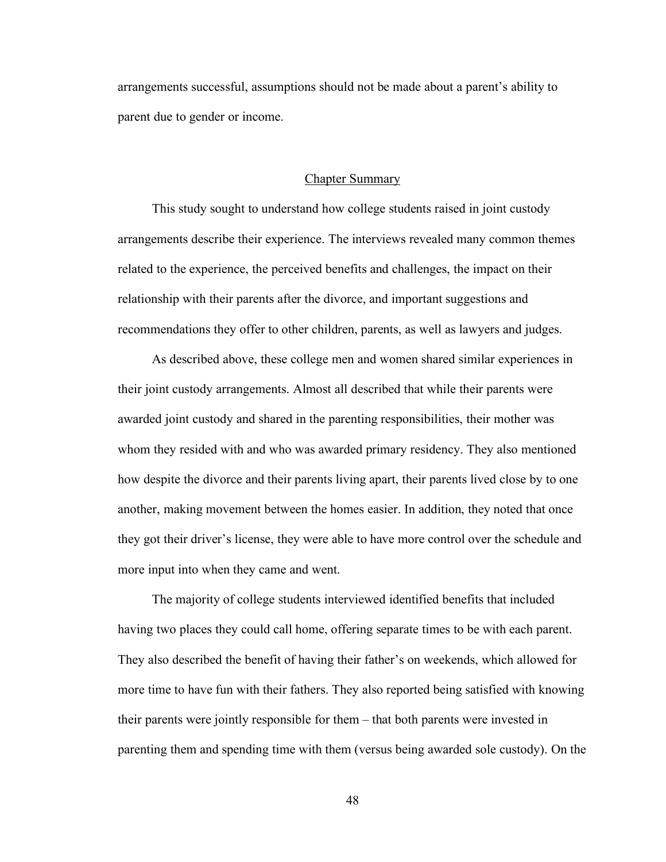arrangements successful, assumptions should not be made about a parent's ability to parent due to gender or income.

## Chapter Summary

This study sought to understand how college students raised in joint custody arrangements describe their experience. The interviews revealed many common themes related to the experience, the perceived benefits and challenges, the impact on their relationship with their parents after the divorce, and important suggestions and recommendations they offer to other children, parents, as well as lawyers and judges.

As described above, these college men and women shared similar experiences in their joint custody arrangements. Almost all described that while their parents were awarded joint custody and shared in the parenting responsibilities, their mother was whom they resided with and who was awarded primary residency. They also mentioned how despite the divorce and their parents living apart, their parents lived close by to one another, making movement between the homes easier. In addition, they noted that once they got their driver's license, they were able to have more control over the schedule and more input into when they came and went.

The majority of college students interviewed identified benefits that included having two places they could call home, offering separate times to be with each parent. They also described the benefit of having their father's on weekends, which allowed for more time to have fun with their fathers. They also reported being satisfied with knowing their parents were jointly responsible for them – that both parents were invested in parenting them and spending time with them (versus being awarded sole custody). On the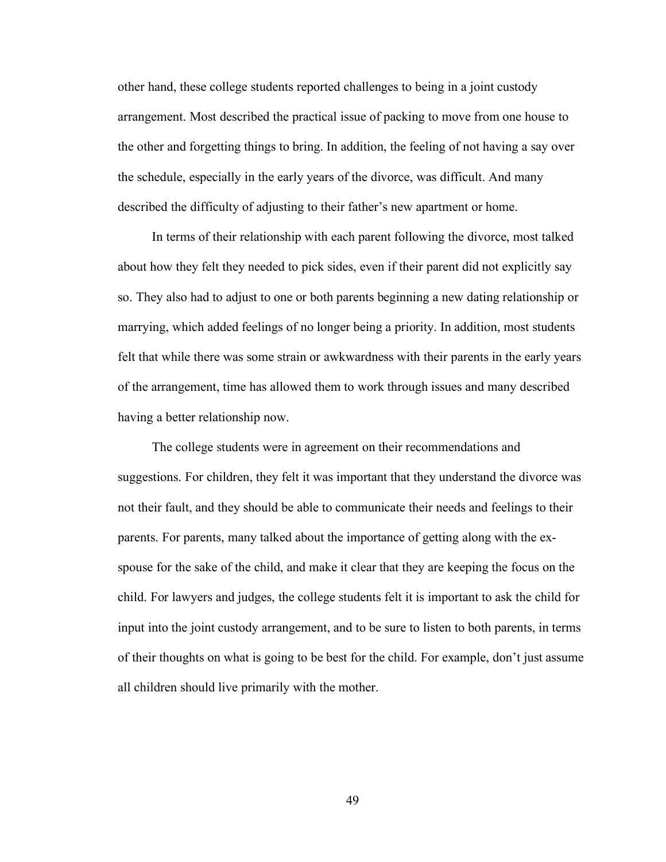other hand, these college students reported challenges to being in a joint custody arrangement. Most described the practical issue of packing to move from one house to the other and forgetting things to bring. In addition, the feeling of not having a say over the schedule, especially in the early years of the divorce, was difficult. And many described the difficulty of adjusting to their father's new apartment or home.

In terms of their relationship with each parent following the divorce, most talked about how they felt they needed to pick sides, even if their parent did not explicitly say so. They also had to adjust to one or both parents beginning a new dating relationship or marrying, which added feelings of no longer being a priority. In addition, most students felt that while there was some strain or awkwardness with their parents in the early years of the arrangement, time has allowed them to work through issues and many described having a better relationship now.

The college students were in agreement on their recommendations and suggestions. For children, they felt it was important that they understand the divorce was not their fault, and they should be able to communicate their needs and feelings to their parents. For parents, many talked about the importance of getting along with the exspouse for the sake of the child, and make it clear that they are keeping the focus on the child. For lawyers and judges, the college students felt it is important to ask the child for input into the joint custody arrangement, and to be sure to listen to both parents, in terms of their thoughts on what is going to be best for the child. For example, don't just assume all children should live primarily with the mother.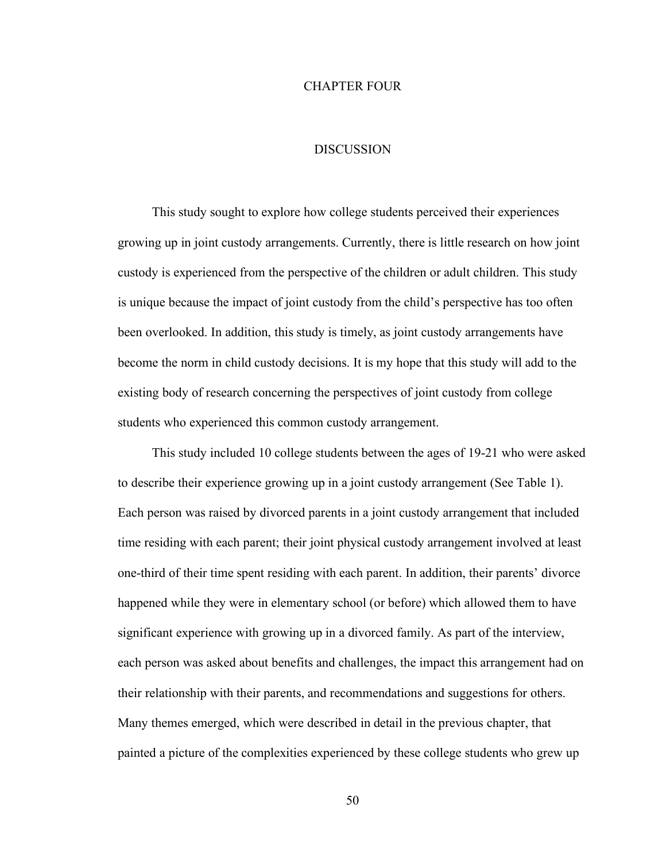## CHAPTER FOUR

## **DISCUSSION**

This study sought to explore how college students perceived their experiences growing up in joint custody arrangements. Currently, there is little research on how joint custody is experienced from the perspective of the children or adult children. This study is unique because the impact of joint custody from the child's perspective has too often been overlooked. In addition, this study is timely, as joint custody arrangements have become the norm in child custody decisions. It is my hope that this study will add to the existing body of research concerning the perspectives of joint custody from college students who experienced this common custody arrangement.

This study included 10 college students between the ages of 19-21 who were asked to describe their experience growing up in a joint custody arrangement (See Table 1). Each person was raised by divorced parents in a joint custody arrangement that included time residing with each parent; their joint physical custody arrangement involved at least one-third of their time spent residing with each parent. In addition, their parents' divorce happened while they were in elementary school (or before) which allowed them to have significant experience with growing up in a divorced family. As part of the interview, each person was asked about benefits and challenges, the impact this arrangement had on their relationship with their parents, and recommendations and suggestions for others. Many themes emerged, which were described in detail in the previous chapter, that painted a picture of the complexities experienced by these college students who grew up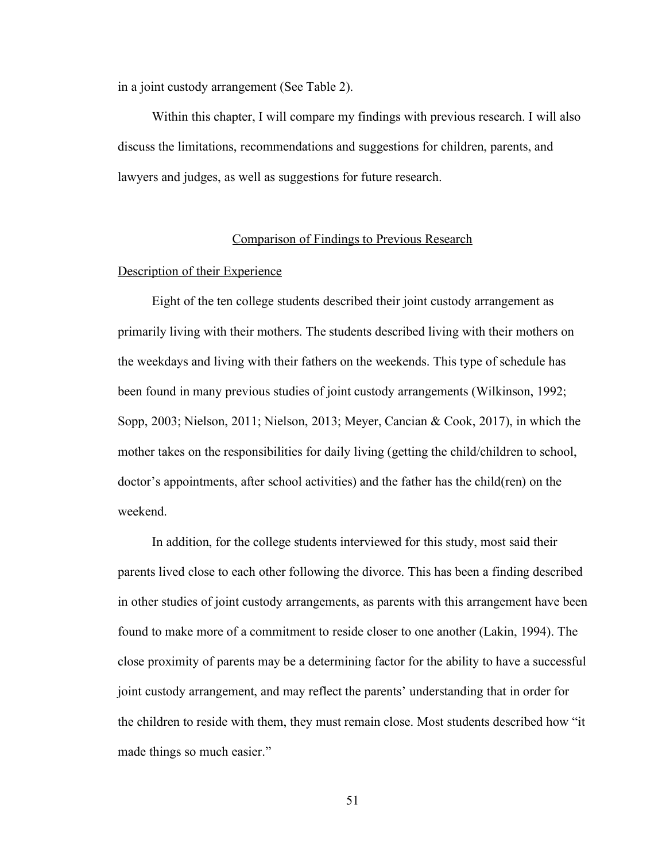in a joint custody arrangement (See Table 2).

Within this chapter, I will compare my findings with previous research. I will also discuss the limitations, recommendations and suggestions for children, parents, and lawyers and judges, as well as suggestions for future research.

## Comparison of Findings to Previous Research

## Description of their Experience

Eight of the ten college students described their joint custody arrangement as primarily living with their mothers. The students described living with their mothers on the weekdays and living with their fathers on the weekends. This type of schedule has been found in many previous studies of joint custody arrangements (Wilkinson, 1992; Sopp, 2003; Nielson, 2011; Nielson, 2013; Meyer, Cancian & Cook, 2017), in which the mother takes on the responsibilities for daily living (getting the child/children to school, doctor's appointments, after school activities) and the father has the child(ren) on the weekend.

In addition, for the college students interviewed for this study, most said their parents lived close to each other following the divorce. This has been a finding described in other studies of joint custody arrangements, as parents with this arrangement have been found to make more of a commitment to reside closer to one another (Lakin, 1994). The close proximity of parents may be a determining factor for the ability to have a successful joint custody arrangement, and may reflect the parents' understanding that in order for the children to reside with them, they must remain close. Most students described how "it made things so much easier."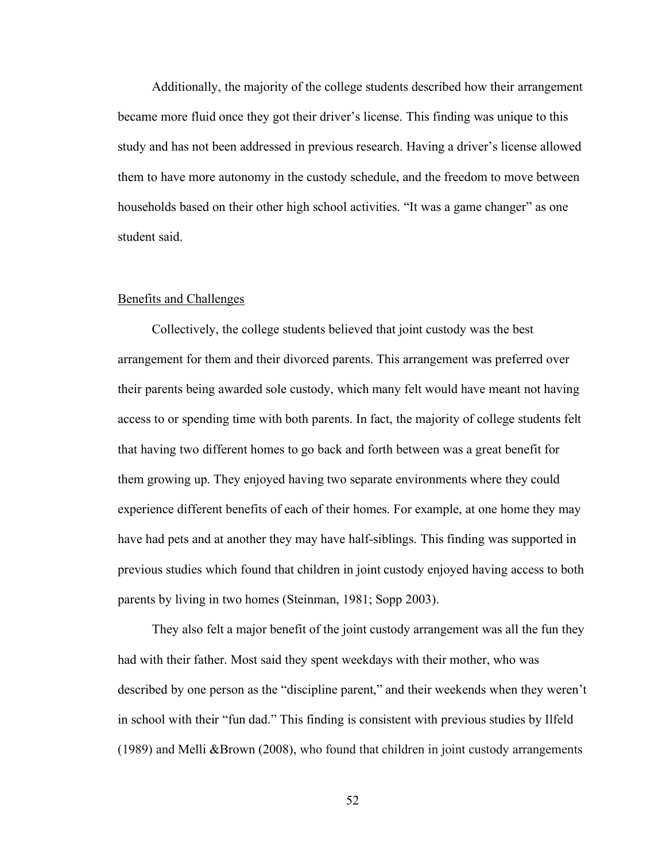Additionally, the majority of the college students described how their arrangement became more fluid once they got their driver's license. This finding was unique to this study and has not been addressed in previous research. Having a driver's license allowed them to have more autonomy in the custody schedule, and the freedom to move between households based on their other high school activities. "It was a game changer" as one student said.

## Benefits and Challenges

Collectively, the college students believed that joint custody was the best arrangement for them and their divorced parents. This arrangement was preferred over their parents being awarded sole custody, which many felt would have meant not having access to or spending time with both parents. In fact, the majority of college students felt that having two different homes to go back and forth between was a great benefit for them growing up. They enjoyed having two separate environments where they could experience different benefits of each of their homes. For example, at one home they may have had pets and at another they may have half-siblings. This finding was supported in previous studies which found that children in joint custody enjoyed having access to both parents by living in two homes (Steinman, 1981; Sopp 2003).

They also felt a major benefit of the joint custody arrangement was all the fun they had with their father. Most said they spent weekdays with their mother, who was described by one person as the "discipline parent," and their weekends when they weren't in school with their "fun dad." This finding is consistent with previous studies by Ilfeld (1989) and Melli &Brown (2008), who found that children in joint custody arrangements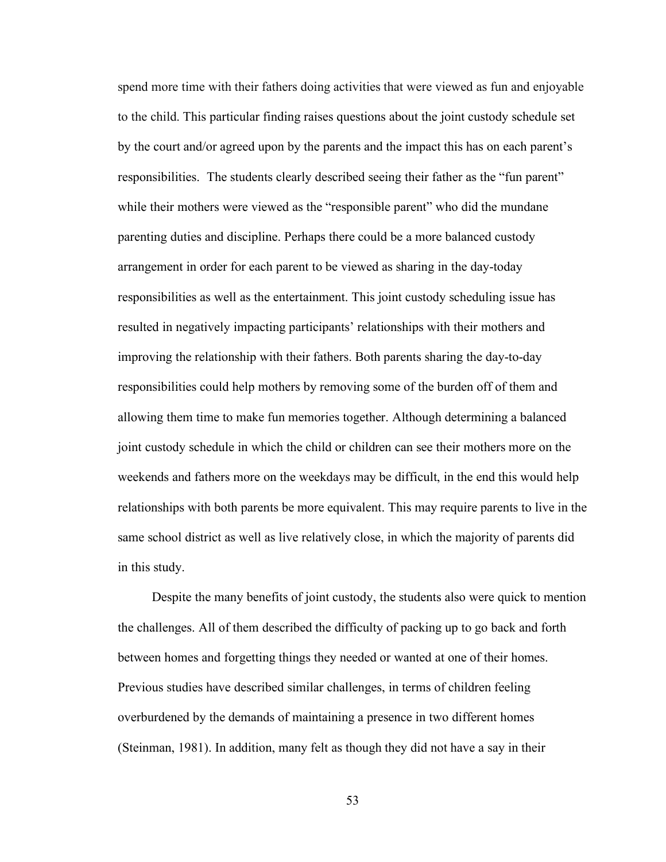spend more time with their fathers doing activities that were viewed as fun and enjoyable to the child. This particular finding raises questions about the joint custody schedule set by the court and/or agreed upon by the parents and the impact this has on each parent's responsibilities. The students clearly described seeing their father as the "fun parent" while their mothers were viewed as the "responsible parent" who did the mundane parenting duties and discipline. Perhaps there could be a more balanced custody arrangement in order for each parent to be viewed as sharing in the day-today responsibilities as well as the entertainment. This joint custody scheduling issue has resulted in negatively impacting participants' relationships with their mothers and improving the relationship with their fathers. Both parents sharing the day-to-day responsibilities could help mothers by removing some of the burden off of them and allowing them time to make fun memories together. Although determining a balanced joint custody schedule in which the child or children can see their mothers more on the weekends and fathers more on the weekdays may be difficult, in the end this would help relationships with both parents be more equivalent. This may require parents to live in the same school district as well as live relatively close, in which the majority of parents did in this study.

Despite the many benefits of joint custody, the students also were quick to mention the challenges. All of them described the difficulty of packing up to go back and forth between homes and forgetting things they needed or wanted at one of their homes. Previous studies have described similar challenges, in terms of children feeling overburdened by the demands of maintaining a presence in two different homes (Steinman, 1981). In addition, many felt as though they did not have a say in their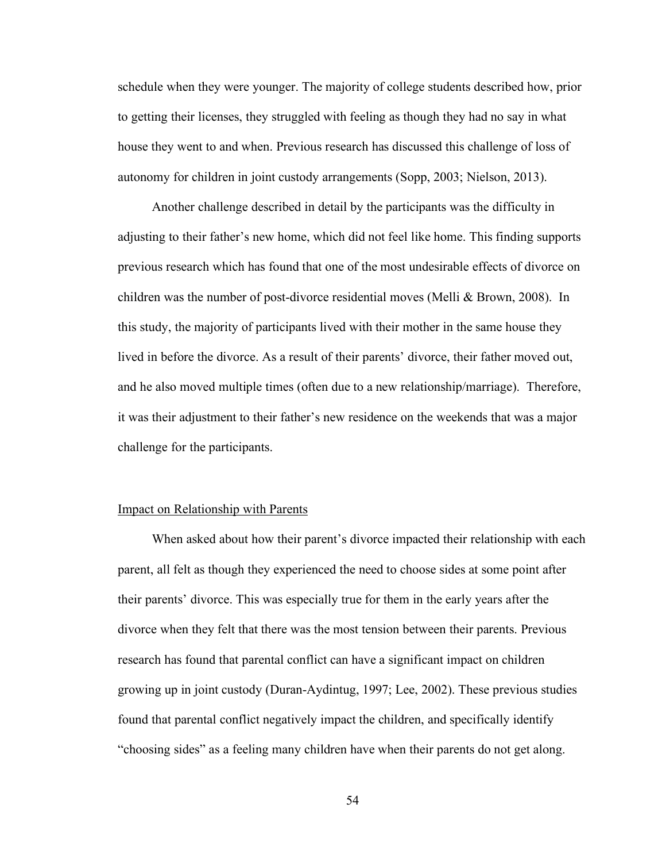schedule when they were younger. The majority of college students described how, prior to getting their licenses, they struggled with feeling as though they had no say in what house they went to and when. Previous research has discussed this challenge of loss of autonomy for children in joint custody arrangements (Sopp, 2003; Nielson, 2013).

Another challenge described in detail by the participants was the difficulty in adjusting to their father's new home, which did not feel like home. This finding supports previous research which has found that one of the most undesirable effects of divorce on children was the number of post-divorce residential moves (Melli & Brown, 2008). In this study, the majority of participants lived with their mother in the same house they lived in before the divorce. As a result of their parents' divorce, their father moved out, and he also moved multiple times (often due to a new relationship/marriage). Therefore, it was their adjustment to their father's new residence on the weekends that was a major challenge for the participants.

## Impact on Relationship with Parents

When asked about how their parent's divorce impacted their relationship with each parent, all felt as though they experienced the need to choose sides at some point after their parents' divorce. This was especially true for them in the early years after the divorce when they felt that there was the most tension between their parents. Previous research has found that parental conflict can have a significant impact on children growing up in joint custody (Duran-Aydintug, 1997; Lee, 2002). These previous studies found that parental conflict negatively impact the children, and specifically identify "choosing sides" as a feeling many children have when their parents do not get along.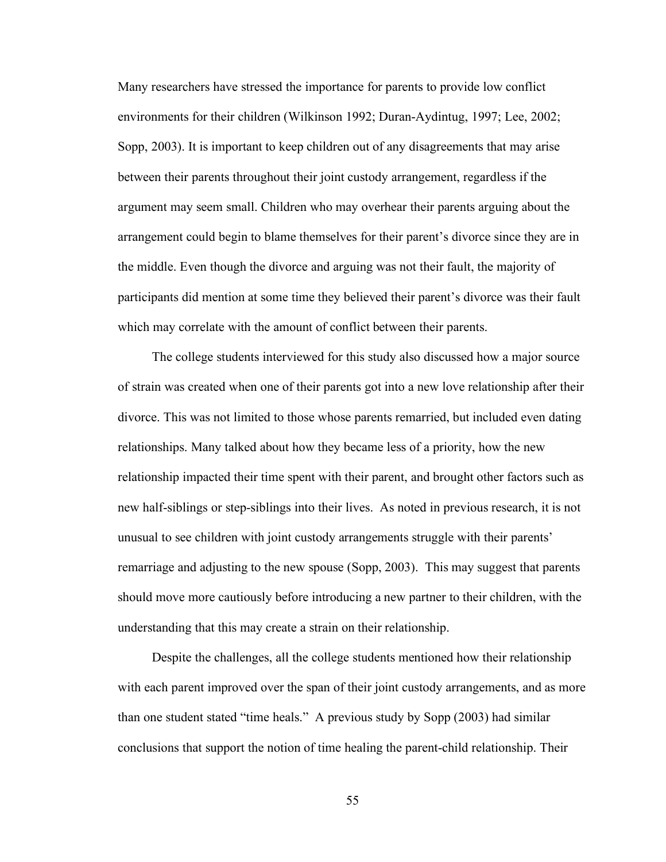Many researchers have stressed the importance for parents to provide low conflict environments for their children (Wilkinson 1992; Duran-Aydintug, 1997; Lee, 2002; Sopp, 2003). It is important to keep children out of any disagreements that may arise between their parents throughout their joint custody arrangement, regardless if the argument may seem small. Children who may overhear their parents arguing about the arrangement could begin to blame themselves for their parent's divorce since they are in the middle. Even though the divorce and arguing was not their fault, the majority of participants did mention at some time they believed their parent's divorce was their fault which may correlate with the amount of conflict between their parents.

The college students interviewed for this study also discussed how a major source of strain was created when one of their parents got into a new love relationship after their divorce. This was not limited to those whose parents remarried, but included even dating relationships. Many talked about how they became less of a priority, how the new relationship impacted their time spent with their parent, and brought other factors such as new half-siblings or step-siblings into their lives. As noted in previous research, it is not unusual to see children with joint custody arrangements struggle with their parents' remarriage and adjusting to the new spouse (Sopp, 2003). This may suggest that parents should move more cautiously before introducing a new partner to their children, with the understanding that this may create a strain on their relationship.

Despite the challenges, all the college students mentioned how their relationship with each parent improved over the span of their joint custody arrangements, and as more than one student stated "time heals." A previous study by Sopp (2003) had similar conclusions that support the notion of time healing the parent-child relationship. Their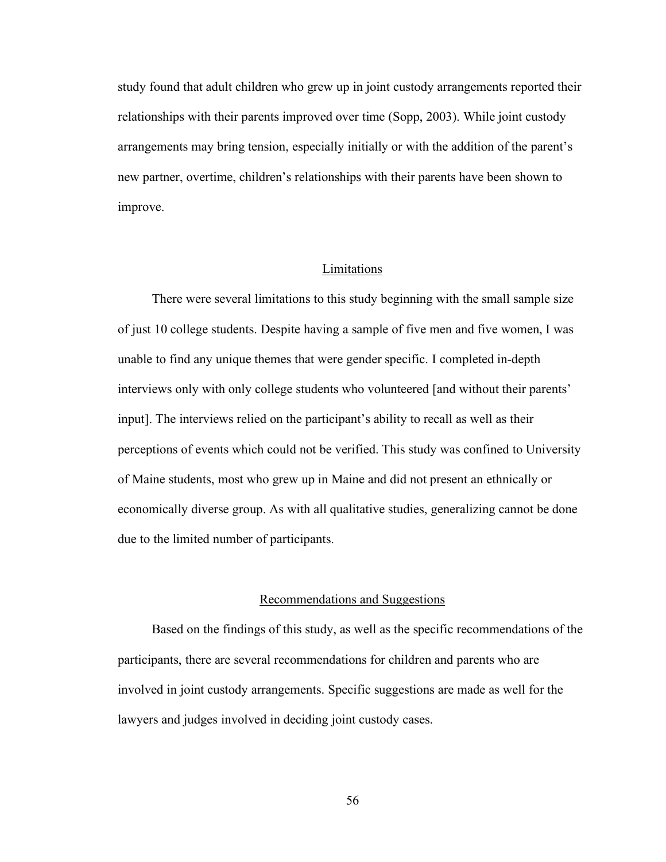study found that adult children who grew up in joint custody arrangements reported their relationships with their parents improved over time (Sopp, 2003). While joint custody arrangements may bring tension, especially initially or with the addition of the parent's new partner, overtime, children's relationships with their parents have been shown to improve.

# Limitations

There were several limitations to this study beginning with the small sample size of just 10 college students. Despite having a sample of five men and five women, I was unable to find any unique themes that were gender specific. I completed in-depth interviews only with only college students who volunteered [and without their parents' input]. The interviews relied on the participant's ability to recall as well as their perceptions of events which could not be verified. This study was confined to University of Maine students, most who grew up in Maine and did not present an ethnically or economically diverse group. As with all qualitative studies, generalizing cannot be done due to the limited number of participants.

## Recommendations and Suggestions

Based on the findings of this study, as well as the specific recommendations of the participants, there are several recommendations for children and parents who are involved in joint custody arrangements. Specific suggestions are made as well for the lawyers and judges involved in deciding joint custody cases.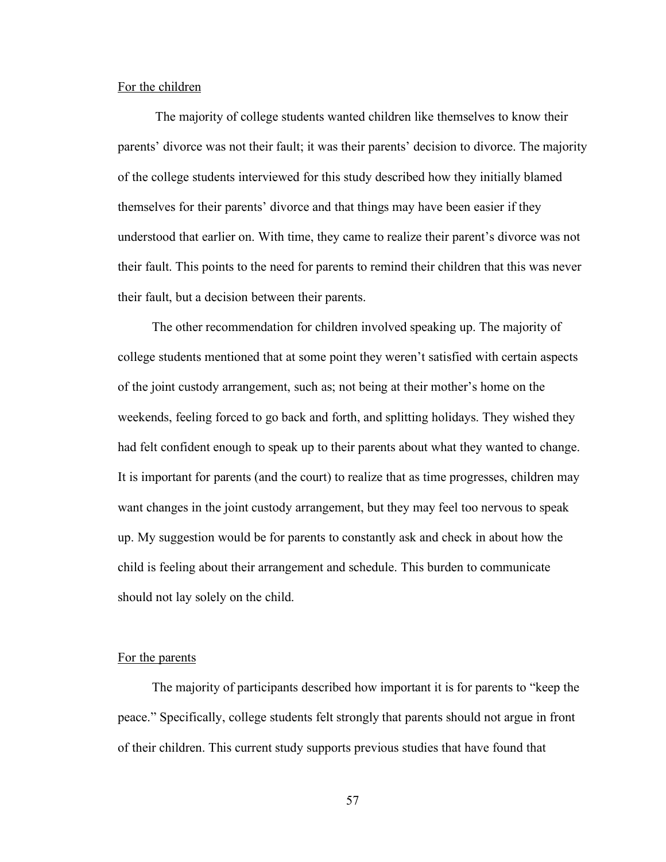#### For the children

The majority of college students wanted children like themselves to know their parents' divorce was not their fault; it was their parents' decision to divorce. The majority of the college students interviewed for this study described how they initially blamed themselves for their parents' divorce and that things may have been easier if they understood that earlier on. With time, they came to realize their parent's divorce was not their fault. This points to the need for parents to remind their children that this was never their fault, but a decision between their parents.

The other recommendation for children involved speaking up. The majority of college students mentioned that at some point they weren't satisfied with certain aspects of the joint custody arrangement, such as; not being at their mother's home on the weekends, feeling forced to go back and forth, and splitting holidays. They wished they had felt confident enough to speak up to their parents about what they wanted to change. It is important for parents (and the court) to realize that as time progresses, children may want changes in the joint custody arrangement, but they may feel too nervous to speak up. My suggestion would be for parents to constantly ask and check in about how the child is feeling about their arrangement and schedule. This burden to communicate should not lay solely on the child.

## For the parents

The majority of participants described how important it is for parents to "keep the peace." Specifically, college students felt strongly that parents should not argue in front of their children. This current study supports previous studies that have found that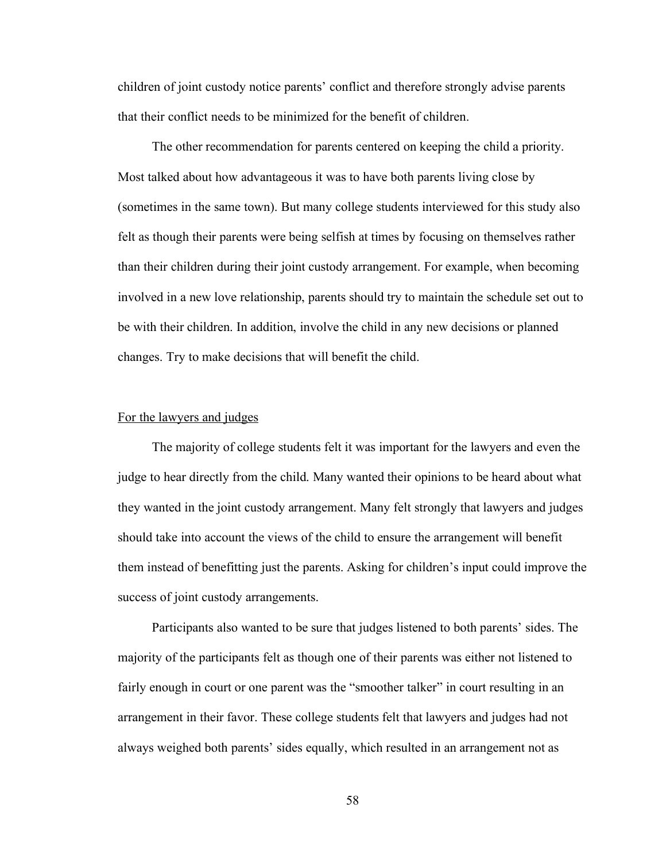children of joint custody notice parents' conflict and therefore strongly advise parents that their conflict needs to be minimized for the benefit of children.

The other recommendation for parents centered on keeping the child a priority. Most talked about how advantageous it was to have both parents living close by (sometimes in the same town). But many college students interviewed for this study also felt as though their parents were being selfish at times by focusing on themselves rather than their children during their joint custody arrangement. For example, when becoming involved in a new love relationship, parents should try to maintain the schedule set out to be with their children. In addition, involve the child in any new decisions or planned changes. Try to make decisions that will benefit the child.

#### For the lawyers and judges

The majority of college students felt it was important for the lawyers and even the judge to hear directly from the child. Many wanted their opinions to be heard about what they wanted in the joint custody arrangement. Many felt strongly that lawyers and judges should take into account the views of the child to ensure the arrangement will benefit them instead of benefitting just the parents. Asking for children's input could improve the success of joint custody arrangements.

Participants also wanted to be sure that judges listened to both parents' sides. The majority of the participants felt as though one of their parents was either not listened to fairly enough in court or one parent was the "smoother talker" in court resulting in an arrangement in their favor. These college students felt that lawyers and judges had not always weighed both parents' sides equally, which resulted in an arrangement not as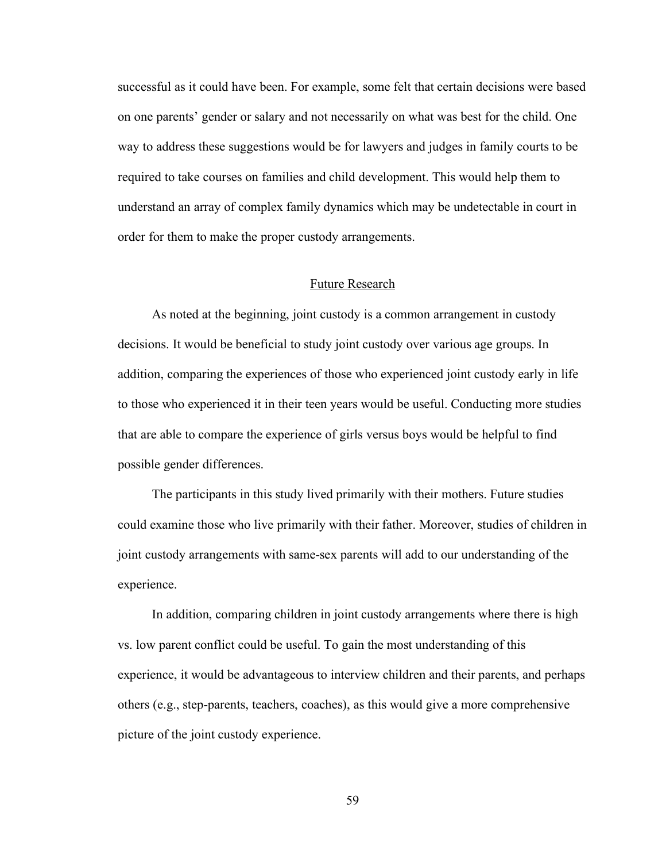successful as it could have been. For example, some felt that certain decisions were based on one parents' gender or salary and not necessarily on what was best for the child. One way to address these suggestions would be for lawyers and judges in family courts to be required to take courses on families and child development. This would help them to understand an array of complex family dynamics which may be undetectable in court in order for them to make the proper custody arrangements.

# Future Research

As noted at the beginning, joint custody is a common arrangement in custody decisions. It would be beneficial to study joint custody over various age groups. In addition, comparing the experiences of those who experienced joint custody early in life to those who experienced it in their teen years would be useful. Conducting more studies that are able to compare the experience of girls versus boys would be helpful to find possible gender differences.

The participants in this study lived primarily with their mothers. Future studies could examine those who live primarily with their father. Moreover, studies of children in joint custody arrangements with same-sex parents will add to our understanding of the experience.

In addition, comparing children in joint custody arrangements where there is high vs. low parent conflict could be useful. To gain the most understanding of this experience, it would be advantageous to interview children and their parents, and perhaps others (e.g., step-parents, teachers, coaches), as this would give a more comprehensive picture of the joint custody experience.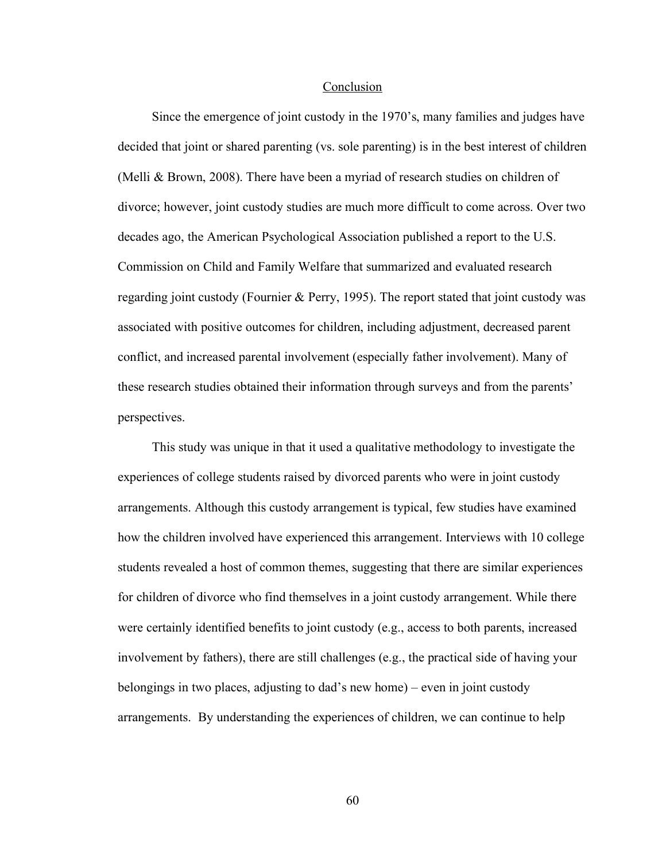#### Conclusion

Since the emergence of joint custody in the 1970's, many families and judges have decided that joint or shared parenting (vs. sole parenting) is in the best interest of children (Melli & Brown, 2008). There have been a myriad of research studies on children of divorce; however, joint custody studies are much more difficult to come across. Over two decades ago, the American Psychological Association published a report to the U.S. Commission on Child and Family Welfare that summarized and evaluated research regarding joint custody (Fournier & Perry, 1995). The report stated that joint custody was associated with positive outcomes for children, including adjustment, decreased parent conflict, and increased parental involvement (especially father involvement). Many of these research studies obtained their information through surveys and from the parents' perspectives.

This study was unique in that it used a qualitative methodology to investigate the experiences of college students raised by divorced parents who were in joint custody arrangements. Although this custody arrangement is typical, few studies have examined how the children involved have experienced this arrangement. Interviews with 10 college students revealed a host of common themes, suggesting that there are similar experiences for children of divorce who find themselves in a joint custody arrangement. While there were certainly identified benefits to joint custody (e.g., access to both parents, increased involvement by fathers), there are still challenges (e.g., the practical side of having your belongings in two places, adjusting to dad's new home) – even in joint custody arrangements. By understanding the experiences of children, we can continue to help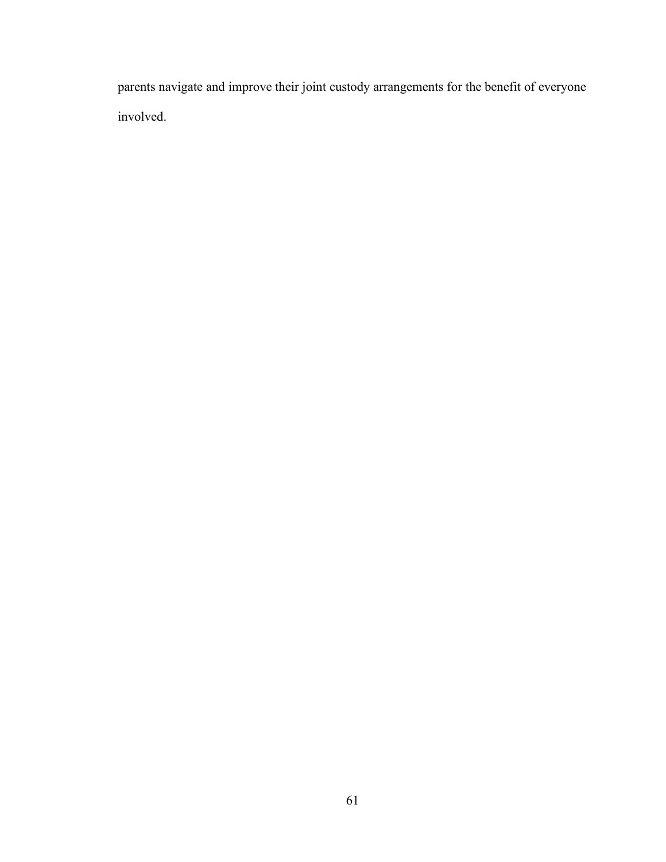parents navigate and improve their joint custody arrangements for the benefit of everyone involved.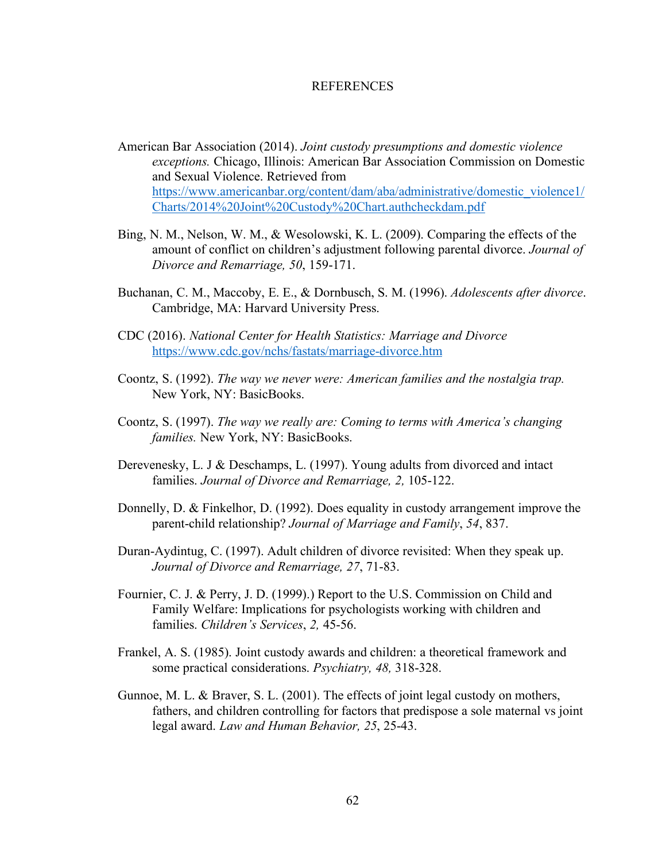#### **REFERENCES**

- American Bar Association (2014). *Joint custody presumptions and domestic violence exceptions.* Chicago, Illinois: American Bar Association Commission on Domestic and Sexual Violence. Retrieved from https://www.americanbar.org/content/dam/aba/administrative/domestic\_violence1/ Charts/2014%20Joint%20Custody%20Chart.authcheckdam.pdf
- Bing, N. M., Nelson, W. M., & Wesolowski, K. L. (2009). Comparing the effects of the amount of conflict on children's adjustment following parental divorce. *Journal of Divorce and Remarriage, 50*, 159-171.
- Buchanan, C. M., Maccoby, E. E., & Dornbusch, S. M. (1996). *Adolescents after divorce*. Cambridge, MA: Harvard University Press.
- CDC (2016). *National Center for Health Statistics: Marriage and Divorce* https://www.cdc.gov/nchs/fastats/marriage-divorce.htm
- Coontz, S. (1992). *The way we never were: American families and the nostalgia trap.*  New York, NY: BasicBooks.
- Coontz, S. (1997). *The way we really are: Coming to terms with America's changing families.* New York, NY: BasicBooks.
- Derevenesky, L. J & Deschamps, L. (1997). Young adults from divorced and intact families. *Journal of Divorce and Remarriage, 2,* 105-122.
- Donnelly, D. & Finkelhor, D. (1992). Does equality in custody arrangement improve the parent-child relationship? *Journal of Marriage and Family*, *54*, 837.
- Duran-Aydintug, C. (1997). Adult children of divorce revisited: When they speak up. *Journal of Divorce and Remarriage, 27*, 71-83.
- Fournier, C. J. & Perry, J. D. (1999).) Report to the U.S. Commission on Child and Family Welfare: Implications for psychologists working with children and families. *Children's Services*, *2,* 45-56.
- Frankel, A. S. (1985). Joint custody awards and children: a theoretical framework and some practical considerations. *Psychiatry, 48,* 318-328.
- Gunnoe, M. L. & Braver, S. L. (2001). The effects of joint legal custody on mothers, fathers, and children controlling for factors that predispose a sole maternal vs joint legal award. *Law and Human Behavior, 25*, 25-43.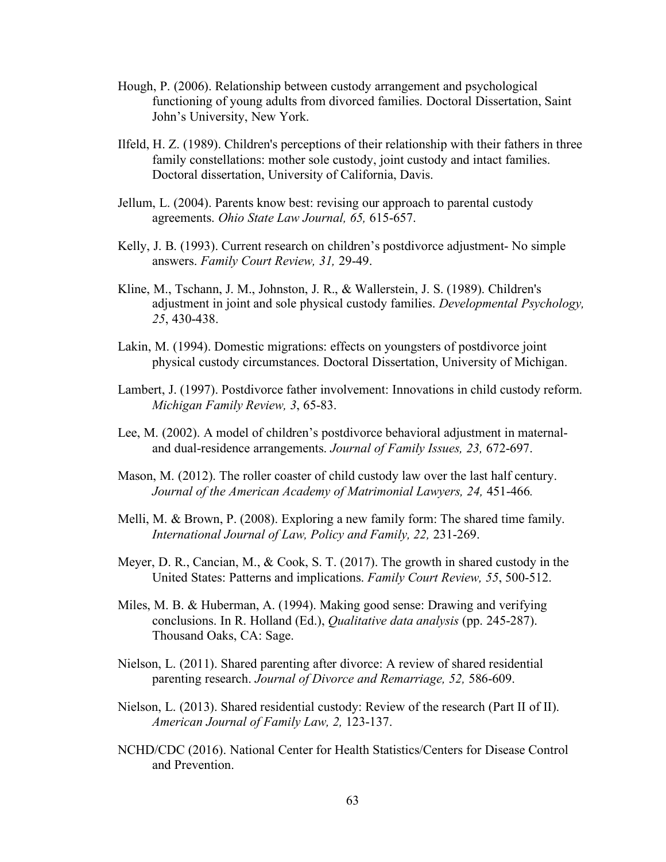- Hough, P. (2006). Relationship between custody arrangement and psychological functioning of young adults from divorced families. Doctoral Dissertation, Saint John's University, New York.
- Ilfeld, H. Z. (1989). Children's perceptions of their relationship with their fathers in three family constellations: mother sole custody, joint custody and intact families. Doctoral dissertation, University of California, Davis.
- Jellum, L. (2004). Parents know best: revising our approach to parental custody agreements. *Ohio State Law Journal, 65,* 615-657.
- Kelly, J. B. (1993). Current research on children's postdivorce adjustment- No simple answers. *Family Court Review, 31,* 29-49.
- Kline, M., Tschann, J. M., Johnston, J. R., & Wallerstein, J. S. (1989). Children's adjustment in joint and sole physical custody families. *Developmental Psychology, 25*, 430-438.
- Lakin, M. (1994). Domestic migrations: effects on youngsters of postdivorce joint physical custody circumstances. Doctoral Dissertation, University of Michigan.
- Lambert, J. (1997). Postdivorce father involvement: Innovations in child custody reform. *Michigan Family Review, 3*, 65-83.
- Lee, M. (2002). A model of children's postdivorce behavioral adjustment in maternaland dual-residence arrangements. *Journal of Family Issues, 23,* 672-697.
- Mason, M. (2012). The roller coaster of child custody law over the last half century. *Journal of the American Academy of Matrimonial Lawyers, 24,* 451-466*.*
- Melli, M. & Brown, P. (2008). Exploring a new family form: The shared time family. *International Journal of Law, Policy and Family, 22,* 231-269.
- Meyer, D. R., Cancian, M., & Cook, S. T. (2017). The growth in shared custody in the United States: Patterns and implications. *Family Court Review, 55*, 500-512.
- Miles, M. B. & Huberman, A. (1994). Making good sense: Drawing and verifying conclusions. In R. Holland (Ed.), *Qualitative data analysis* (pp. 245-287). Thousand Oaks, CA: Sage.
- Nielson, L. (2011). Shared parenting after divorce: A review of shared residential parenting research. *Journal of Divorce and Remarriage, 52,* 586-609.
- Nielson, L. (2013). Shared residential custody: Review of the research (Part II of II). *American Journal of Family Law, 2,* 123-137.
- NCHD/CDC (2016). National Center for Health Statistics/Centers for Disease Control and Prevention.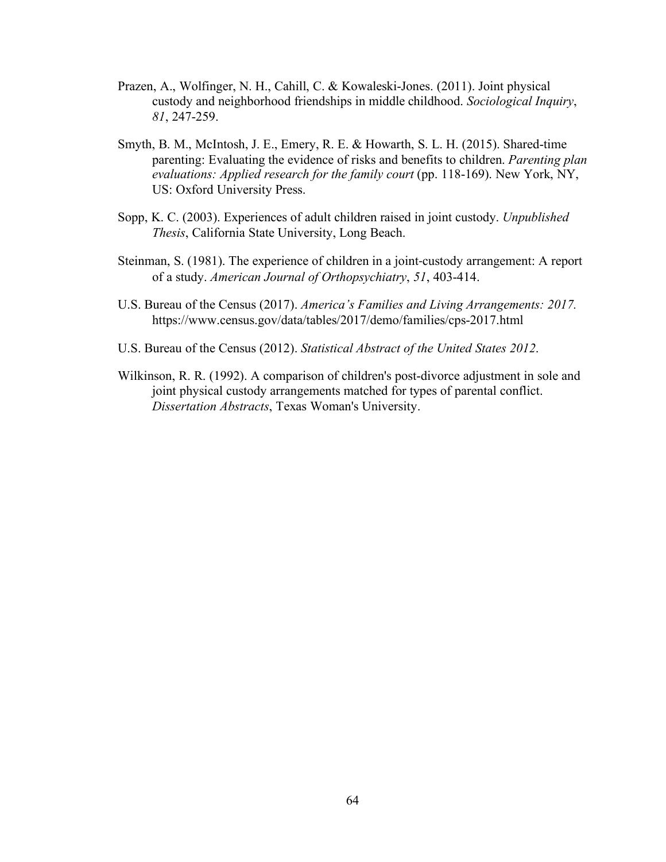- Prazen, A., Wolfinger, N. H., Cahill, C. & Kowaleski-Jones. (2011). Joint physical custody and neighborhood friendships in middle childhood. *Sociological Inquiry*, *81*, 247-259.
- Smyth, B. M., McIntosh, J. E., Emery, R. E. & Howarth, S. L. H. (2015). Shared-time parenting: Evaluating the evidence of risks and benefits to children. *Parenting plan evaluations: Applied research for the family court (pp. 118-169). New York, NY,* US: Oxford University Press.
- Sopp, K. C. (2003). Experiences of adult children raised in joint custody. *Unpublished Thesis*, California State University, Long Beach.
- Steinman, S. (1981). The experience of children in a joint-custody arrangement: A report of a study. *American Journal of Orthopsychiatry*, *51*, 403-414.
- U.S. Bureau of the Census (2017). *America's Families and Living Arrangements: 2017.*  https://www.census.gov/data/tables/2017/demo/families/cps-2017.html
- U.S. Bureau of the Census (2012). *Statistical Abstract of the United States 2012*.
- Wilkinson, R. R. (1992). A comparison of children's post-divorce adjustment in sole and joint physical custody arrangements matched for types of parental conflict. *Dissertation Abstracts*, Texas Woman's University.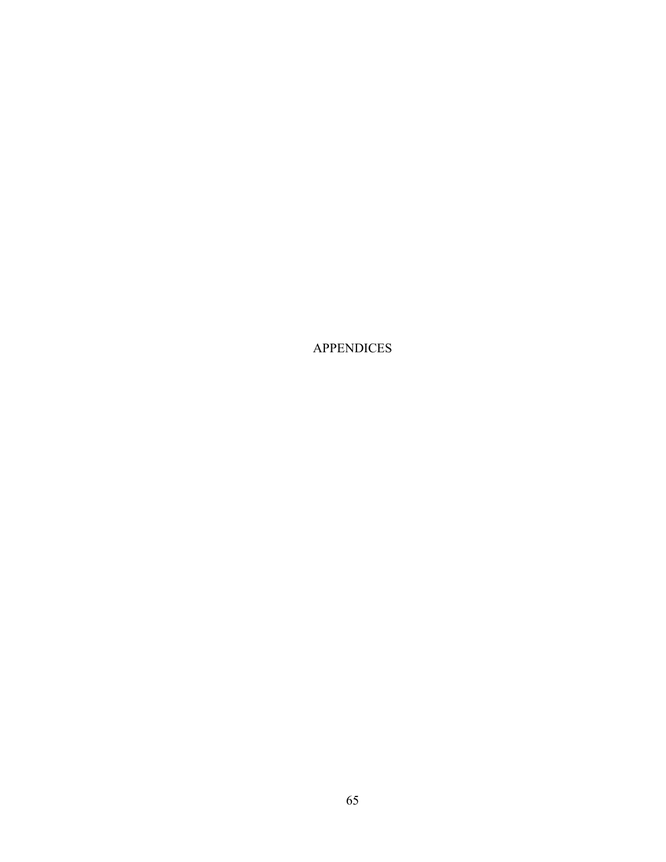APPENDICES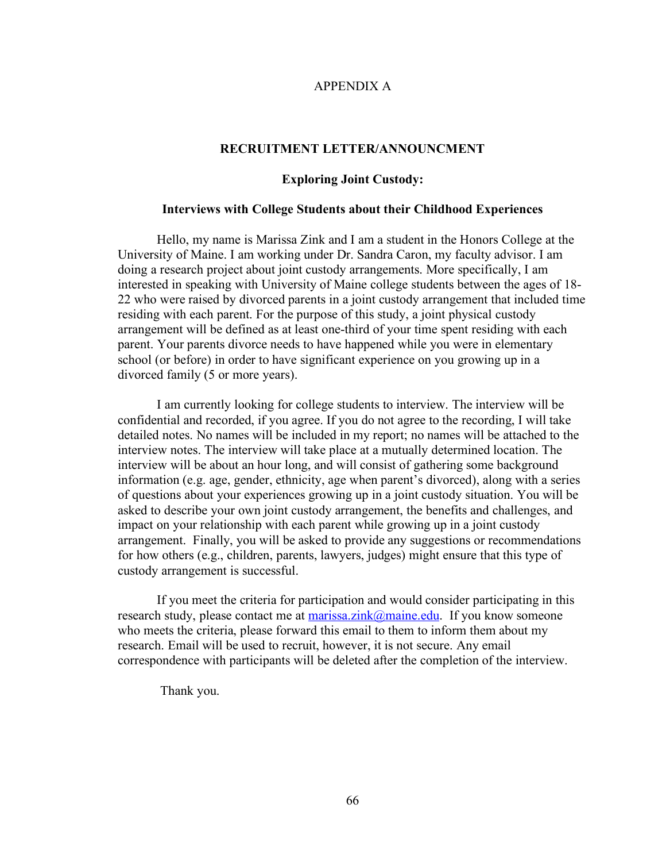### APPENDIX A

### **RECRUITMENT LETTER/ANNOUNCMENT**

### **Exploring Joint Custody:**

### **Interviews with College Students about their Childhood Experiences**

Hello, my name is Marissa Zink and I am a student in the Honors College at the University of Maine. I am working under Dr. Sandra Caron, my faculty advisor. I am doing a research project about joint custody arrangements. More specifically, I am interested in speaking with University of Maine college students between the ages of 18- 22 who were raised by divorced parents in a joint custody arrangement that included time residing with each parent. For the purpose of this study, a joint physical custody arrangement will be defined as at least one-third of your time spent residing with each parent. Your parents divorce needs to have happened while you were in elementary school (or before) in order to have significant experience on you growing up in a divorced family (5 or more years).

I am currently looking for college students to interview. The interview will be confidential and recorded, if you agree. If you do not agree to the recording, I will take detailed notes. No names will be included in my report; no names will be attached to the interview notes. The interview will take place at a mutually determined location. The interview will be about an hour long, and will consist of gathering some background information (e.g. age, gender, ethnicity, age when parent's divorced), along with a series of questions about your experiences growing up in a joint custody situation. You will be asked to describe your own joint custody arrangement, the benefits and challenges, and impact on your relationship with each parent while growing up in a joint custody arrangement. Finally, you will be asked to provide any suggestions or recommendations for how others (e.g., children, parents, lawyers, judges) might ensure that this type of custody arrangement is successful.

If you meet the criteria for participation and would consider participating in this research study, please contact me at marissa.zink@maine.edu. If you know someone who meets the criteria, please forward this email to them to inform them about my research. Email will be used to recruit, however, it is not secure. Any email correspondence with participants will be deleted after the completion of the interview.

Thank you.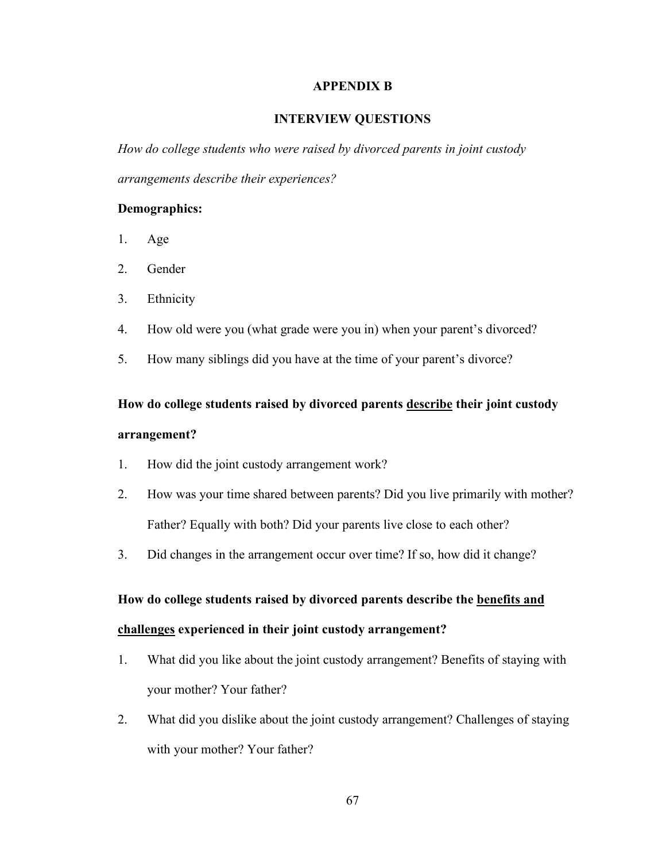### **APPENDIX B**

### **INTERVIEW QUESTIONS**

*How do college students who were raised by divorced parents in joint custody arrangements describe their experiences?*

### **Demographics:**

- 1. Age
- 2. Gender
- 3. Ethnicity
- 4. How old were you (what grade were you in) when your parent's divorced?
- 5. How many siblings did you have at the time of your parent's divorce?

# **How do college students raised by divorced parents describe their joint custody arrangement?**

- 1. How did the joint custody arrangement work?
- 2. How was your time shared between parents? Did you live primarily with mother? Father? Equally with both? Did your parents live close to each other?
- 3. Did changes in the arrangement occur over time? If so, how did it change?

# **How do college students raised by divorced parents describe the benefits and challenges experienced in their joint custody arrangement?**

- 1. What did you like about the joint custody arrangement? Benefits of staying with your mother? Your father?
- 2. What did you dislike about the joint custody arrangement? Challenges of staying with your mother? Your father?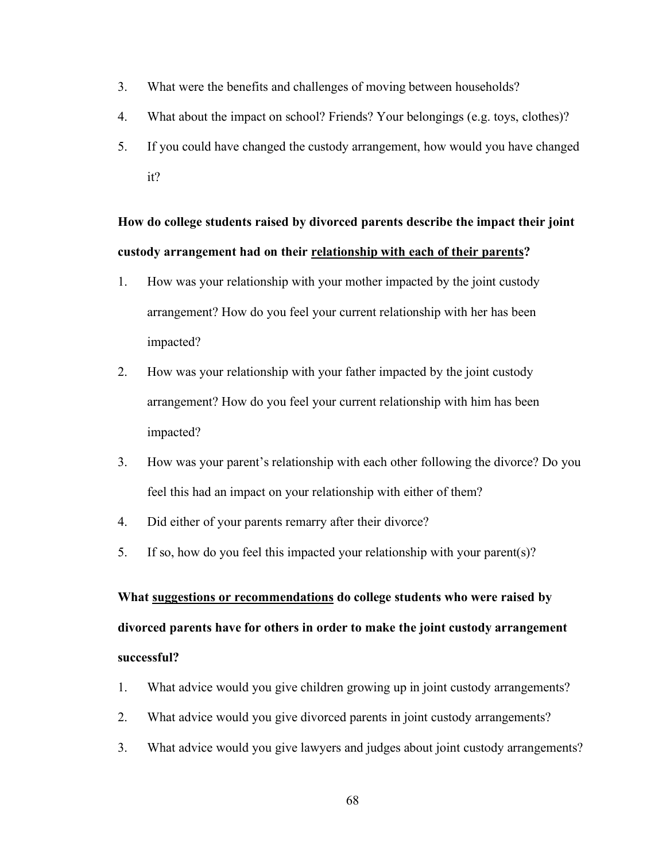- 3. What were the benefits and challenges of moving between households?
- 4. What about the impact on school? Friends? Your belongings (e.g. toys, clothes)?
- 5. If you could have changed the custody arrangement, how would you have changed it?

## **How do college students raised by divorced parents describe the impact their joint custody arrangement had on their relationship with each of their parents?**

- 1. How was your relationship with your mother impacted by the joint custody arrangement? How do you feel your current relationship with her has been impacted?
- 2. How was your relationship with your father impacted by the joint custody arrangement? How do you feel your current relationship with him has been impacted?
- 3. How was your parent's relationship with each other following the divorce? Do you feel this had an impact on your relationship with either of them?
- 4. Did either of your parents remarry after their divorce?
- 5. If so, how do you feel this impacted your relationship with your parent(s)?

# **What suggestions or recommendations do college students who were raised by divorced parents have for others in order to make the joint custody arrangement successful?**

- 1. What advice would you give children growing up in joint custody arrangements?
- 2. What advice would you give divorced parents in joint custody arrangements?
- 3. What advice would you give lawyers and judges about joint custody arrangements?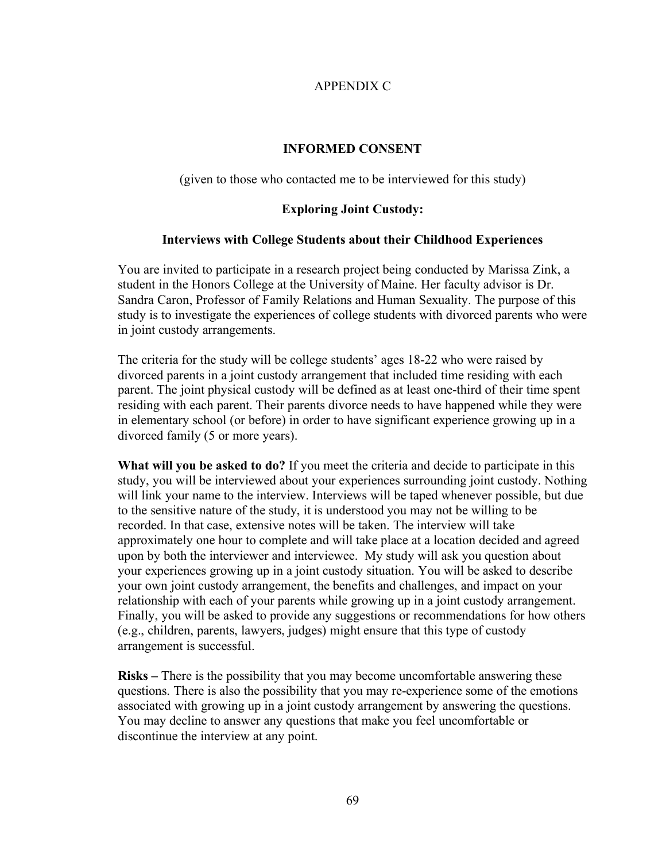## APPENDIX C

### **INFORMED CONSENT**

(given to those who contacted me to be interviewed for this study)

## **Exploring Joint Custody:**

### **Interviews with College Students about their Childhood Experiences**

You are invited to participate in a research project being conducted by Marissa Zink, a student in the Honors College at the University of Maine. Her faculty advisor is Dr. Sandra Caron, Professor of Family Relations and Human Sexuality. The purpose of this study is to investigate the experiences of college students with divorced parents who were in joint custody arrangements.

The criteria for the study will be college students' ages 18-22 who were raised by divorced parents in a joint custody arrangement that included time residing with each parent. The joint physical custody will be defined as at least one-third of their time spent residing with each parent. Their parents divorce needs to have happened while they were in elementary school (or before) in order to have significant experience growing up in a divorced family (5 or more years).

**What will you be asked to do?** If you meet the criteria and decide to participate in this study, you will be interviewed about your experiences surrounding joint custody. Nothing will link your name to the interview. Interviews will be taped whenever possible, but due to the sensitive nature of the study, it is understood you may not be willing to be recorded. In that case, extensive notes will be taken. The interview will take approximately one hour to complete and will take place at a location decided and agreed upon by both the interviewer and interviewee. My study will ask you question about your experiences growing up in a joint custody situation. You will be asked to describe your own joint custody arrangement, the benefits and challenges, and impact on your relationship with each of your parents while growing up in a joint custody arrangement. Finally, you will be asked to provide any suggestions or recommendations for how others (e.g., children, parents, lawyers, judges) might ensure that this type of custody arrangement is successful.

**Risks –** There is the possibility that you may become uncomfortable answering these questions. There is also the possibility that you may re-experience some of the emotions associated with growing up in a joint custody arrangement by answering the questions. You may decline to answer any questions that make you feel uncomfortable or discontinue the interview at any point.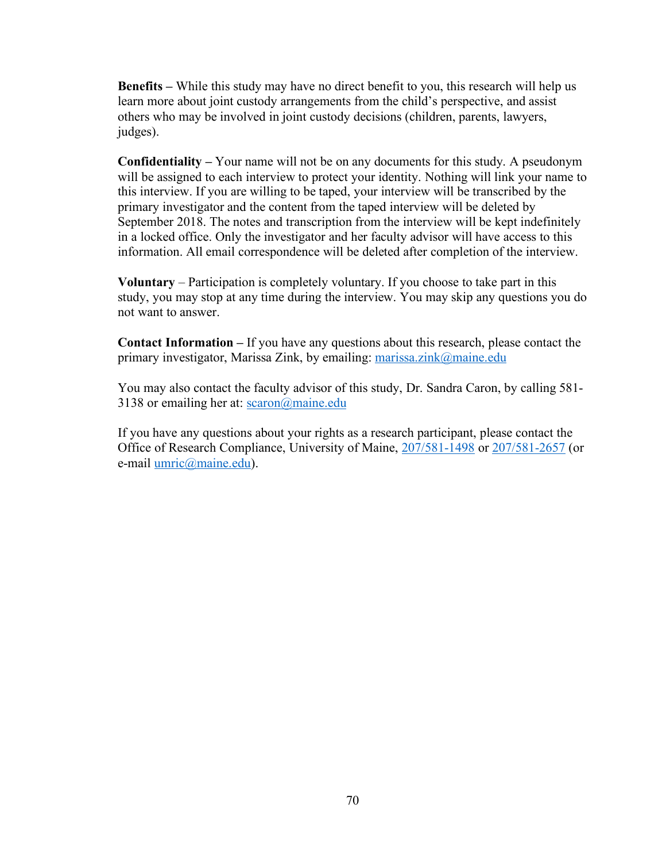**Benefits –** While this study may have no direct benefit to you, this research will help us learn more about joint custody arrangements from the child's perspective, and assist others who may be involved in joint custody decisions (children, parents, lawyers, judges).

**Confidentiality –** Your name will not be on any documents for this study. A pseudonym will be assigned to each interview to protect your identity. Nothing will link your name to this interview. If you are willing to be taped, your interview will be transcribed by the primary investigator and the content from the taped interview will be deleted by September 2018. The notes and transcription from the interview will be kept indefinitely in a locked office. Only the investigator and her faculty advisor will have access to this information. All email correspondence will be deleted after completion of the interview.

**Voluntary** – Participation is completely voluntary. If you choose to take part in this study, you may stop at any time during the interview. You may skip any questions you do not want to answer.

**Contact Information –** If you have any questions about this research, please contact the primary investigator, Marissa Zink, by emailing: marissa.zink@maine.edu

You may also contact the faculty advisor of this study, Dr. Sandra Caron, by calling 581- 3138 or emailing her at:  $scaron(\hat{\omega})$ maine.edu

If you have any questions about your rights as a research participant, please contact the Office of Research Compliance, University of Maine, 207/581-1498 or 207/581-2657 (or e-mail umric@maine.edu).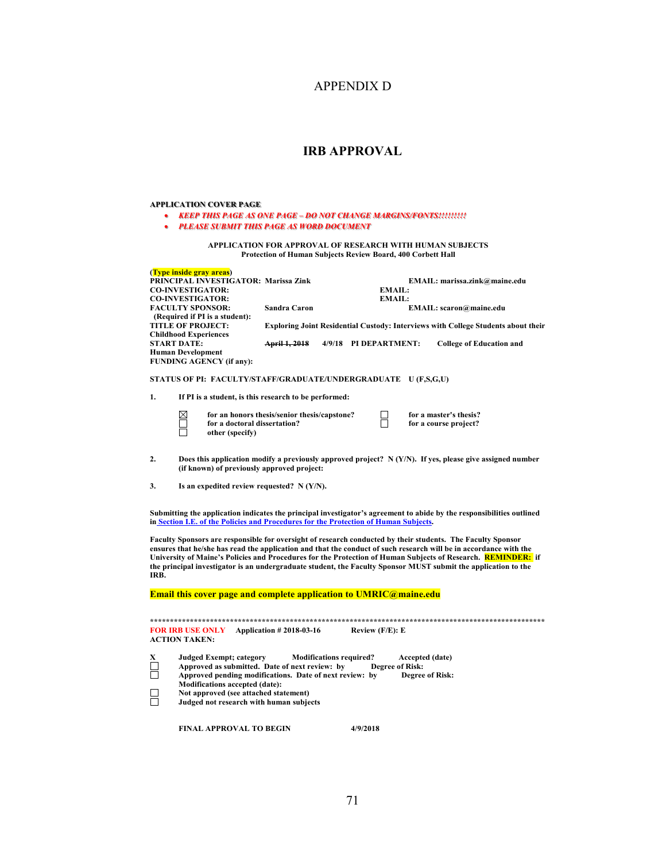## APPENDIX D

### **IRB APPROVAL**

### **APPLICATION COVER PAGE**

- *KEEP THIS PAGE AS ONE PAGE – DO NOT CHANGE MARGINS/FONTS!!!!!!!!!*
- *PLEASE SUBMIT THIS PAGE AS WORD DOCUMENT*

#### **APPLICATION FOR APPROVAL OF RESEARCH WITH HUMAN SUBJECTS Protection of Human Subjects Review Board, 400 Corbett Hall**

| (Type inside gray areas)<br><b>PRINCIPAL INVESTIGATOR: Marissa Zink</b><br><b>CO-INVESTIGATOR:</b><br><b>CO-INVESTIGATOR:</b><br><b>FACULTY SPONSOR:</b><br>(Required if PI is a student):<br><b>TITLE OF PROJECT:</b><br><b>Childhood Experiences</b><br><b>START DATE:</b><br><b>Human Development</b><br><b>FUNDING AGENCY (if any):</b>                                                                                                                                |                                                                                                                                                                                                                                                                          | EMAIL:<br>EMAIL:<br><b>Sandra Caron</b><br><b>Exploring Joint Residential Custody: Interviews with College Students about their</b><br>4/9/18 PI DEPARTMENT:<br>April 1, 2018 |                                |                        |                                           | EMAIL: marissa.zink@maine.edu<br>EMAIL: scaron@maine.edu<br><b>College of Education and</b> |  |
|----------------------------------------------------------------------------------------------------------------------------------------------------------------------------------------------------------------------------------------------------------------------------------------------------------------------------------------------------------------------------------------------------------------------------------------------------------------------------|--------------------------------------------------------------------------------------------------------------------------------------------------------------------------------------------------------------------------------------------------------------------------|-------------------------------------------------------------------------------------------------------------------------------------------------------------------------------|--------------------------------|------------------------|-------------------------------------------|---------------------------------------------------------------------------------------------|--|
| STATUS OF PI: FACULTY/STAFF/GRADUATE/UNDERGRADUATE U (F,S,G,U)                                                                                                                                                                                                                                                                                                                                                                                                             |                                                                                                                                                                                                                                                                          |                                                                                                                                                                               |                                |                        |                                           |                                                                                             |  |
| 1.                                                                                                                                                                                                                                                                                                                                                                                                                                                                         | If PI is a student, is this research to be performed:                                                                                                                                                                                                                    |                                                                                                                                                                               |                                |                        |                                           |                                                                                             |  |
|                                                                                                                                                                                                                                                                                                                                                                                                                                                                            | $\boxtimes$<br>for a doctoral dissertation?<br>other (specify)                                                                                                                                                                                                           | for an honors thesis/senior thesis/capstone?                                                                                                                                  |                                |                        |                                           | for a master's thesis?<br>for a course project?                                             |  |
| 2.<br>Does this application modify a previously approved project? $N(Y/N)$ . If yes, please give assigned number<br>(if known) of previously approved project:                                                                                                                                                                                                                                                                                                             |                                                                                                                                                                                                                                                                          |                                                                                                                                                                               |                                |                        |                                           |                                                                                             |  |
| 3.<br>Is an expedited review requested? $N(Y/N)$ .                                                                                                                                                                                                                                                                                                                                                                                                                         |                                                                                                                                                                                                                                                                          |                                                                                                                                                                               |                                |                        |                                           |                                                                                             |  |
| Submitting the application indicates the principal investigator's agreement to abide by the responsibilities outlined<br>in Section I.E. of the Policies and Procedures for the Protection of Human Subjects.                                                                                                                                                                                                                                                              |                                                                                                                                                                                                                                                                          |                                                                                                                                                                               |                                |                        |                                           |                                                                                             |  |
| Faculty Sponsors are responsible for oversight of research conducted by their students. The Faculty Sponsor<br>ensures that he/she has read the application and that the conduct of such research will be in accordance with the<br>University of Maine's Policies and Procedures for the Protection of Human Subjects of Research. REMINDER: if<br>the principal investigator is an undergraduate student, the Faculty Sponsor MUST submit the application to the<br>IRB. |                                                                                                                                                                                                                                                                          |                                                                                                                                                                               |                                |                        |                                           |                                                                                             |  |
| Email this cover page and complete application to UMRIC@maine.edu                                                                                                                                                                                                                                                                                                                                                                                                          |                                                                                                                                                                                                                                                                          |                                                                                                                                                                               |                                |                        |                                           |                                                                                             |  |
| <b>FOR IRB USE ONLY</b><br><b>Application #2018-03-16</b><br>Review (F/E): E<br><b>ACTION TAKEN:</b>                                                                                                                                                                                                                                                                                                                                                                       |                                                                                                                                                                                                                                                                          |                                                                                                                                                                               |                                |                        |                                           |                                                                                             |  |
| X                                                                                                                                                                                                                                                                                                                                                                                                                                                                          | <b>Judged Exempt; category</b><br>Approved as submitted. Date of next review: by<br>Approved pending modifications. Date of next review: by<br><b>Modifications accepted (date):</b><br>Not approved (see attached statement)<br>Judged not research with human subjects |                                                                                                                                                                               | <b>Modifications required?</b> | <b>Degree of Risk:</b> | Accepted (date)<br><b>Degree of Risk:</b> |                                                                                             |  |
|                                                                                                                                                                                                                                                                                                                                                                                                                                                                            | <b>FINAL APPROVAL TO BEGIN</b>                                                                                                                                                                                                                                           |                                                                                                                                                                               | 4/9/2018                       |                        |                                           |                                                                                             |  |